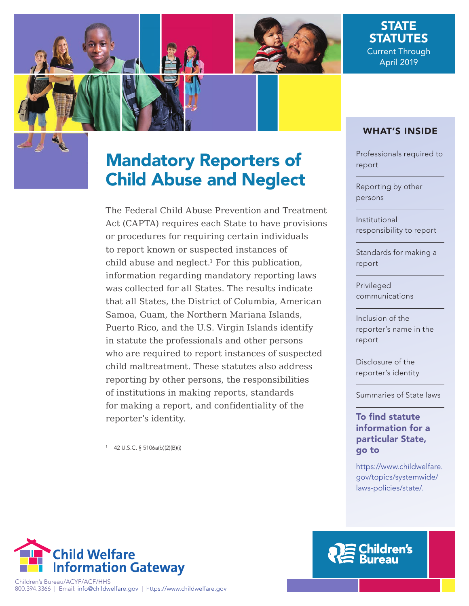

## STATE **STATUTES** Current Through April 2019

# Mandatory Reporters of Child Abuse and Neglect

The Federal Child Abuse Prevention and Treatment Act (CAPTA) requires each State to have provisions or procedures for requiring certain individuals to report known or suspected instances of child abuse and neglect. $1$  For this publication, information regarding mandatory reporting laws was collected for all States. The results indicate that all States, the District of Columbia, American Samoa, Guam, the Northern Mariana Islands, Puerto Rico, and the U.S. Virgin Islands identify in statute the professionals and other persons who are required to report instances of suspected child maltreatment. These statutes also address reporting by other persons, the responsibilities of institutions in making reports, standards for making a report, and confidentiality of the reporter's identity.

 $\frac{1}{1}$  42 U.S.C. § 5106a(b)(2)(B)(i)

## WHAT'S INSIDE

[Professionals required to](#page-1-0) report

[Reporting by other](#page-1-0)  persons

Institutional [responsibility to report](#page-2-0)

[Standards for making a](#page-2-0) report

Privileged [communications](#page-3-0)

Inclusion of the [reporter's name in the](#page-3-0) report

Disclosure of the [reporter's identity](#page-3-0)

[Summaries of State laws](#page-4-0)

To find statute information for a particular State, go to

[https://www.childwelfare.](https://www.childwelfare.gov/topics/systemwide/laws-policies/state/) [gov/topics/systemwide/](https://www.childwelfare.gov/topics/systemwide/laws-policies/state/) [laws-policies/state/](https://www.childwelfare.gov/topics/systemwide/laws-policies/state/).



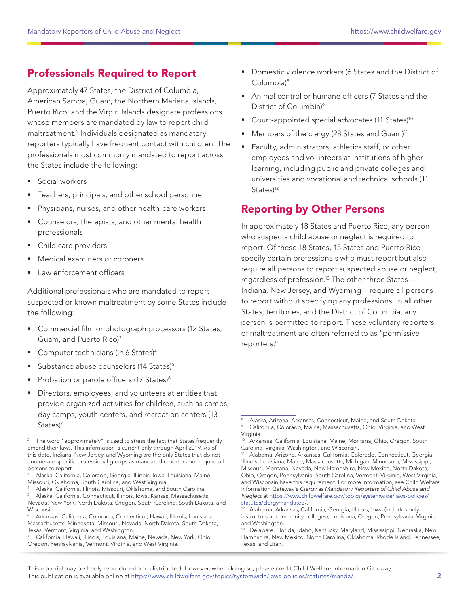## <span id="page-1-0"></span>Professionals Required to Report

Approximately 47 States, the District of Columbia, American Samoa, Guam, the Northern Mariana Islands, Puerto Rico, and the Virgin Islands designate professions whose members are mandated by law to report child maltreatment.2 Individuals designated as mandatory reporters typically have frequent contact with children. The professionals most commonly mandated to report across the States include the following:

- **Social workers**
- Teachers, principals, and other school personnel
- Physicians, nurses, and other health-care workers
- Counselors, therapists, and other mental health professionals
- Child care providers
- Medical examiners or coroners
- Law enforcement officers

Additional professionals who are mandated to report suspected or known maltreatment by some States include the following:

- **Commercial film or photograph processors (12 States,** Guam, and Puerto Rico)3
- Computer technicians (in 6 States)4
- Substance abuse counselors (14 States)<sup>5</sup>
- Probation or parole officers (17 States)<sup>6</sup>
- Directors, employees, and volunteers at entities that provide organized activities for children, such as camps, day camps, youth centers, and recreation centers (13 States)<sup>7</sup>

Alaska, California, Colorado, Georgia, Illinois, Iowa, Louisiana, Maine, Missouri, Oklahoma, South Carolina, and West Virginia.

- Domestic violence workers (6 States and the District of Columbia)8
- Animal control or humane officers (7 States and the District of Columbia)<sup>9</sup>
- Court-appointed special advocates (11 States)<sup>10</sup>
- Members of the clergy (28 States and Guam)<sup>11</sup>
- Faculty, administrators, athletics staff, or other employees and volunteers at institutions of higher learning, including public and private colleges and universities and vocational and technical schools (11 States)<sup>12</sup>

## Reporting by Other Persons

In approximately 18 States and Puerto Rico, any person who suspects child abuse or neglect is required to report. Of these 18 States, 15 States and Puerto Rico specify certain professionals who must report but also require all persons to report suspected abuse or neglect, regardless of profession.13 The other three States— Indiana, New Jersey, and Wyoming—require all persons to report without specifying any professions. In all other States, territories, and the District of Columbia, any person is permitted to report. These voluntary reporters of maltreatment are often referred to as "permissive reporters."

The word "approximately" is used to stress the fact that States frequently amend their laws. This information is current only through April 2019. As of this date, Indiana, New Jersey, and Wyoming are the only States that do not enumerate specific professional groups as mandated reporters but require all persons to report.

<sup>4</sup> Alaska, California, Illinois, Missouri, Oklahoma, and South Carolina. Alaska, California, Connecticut, Illinois, Iowa, Kansas, Massachusetts, Nevada, New York, North Dakota, Oregon, South Carolina, South Dakota, and Wisconsin.

Arkansas, California, Colorado, Connecticut, Hawaii, Illinois, Louisiana, Massachusetts, Minnesota, Missouri, Nevada, North Dakota, South Dakota, Texas, Vermont, Virginia, and Washington.

California, Hawaii, Illinois, Louisiana, Maine, Nevada, New York, Ohio, Oregon, Pennsylvania, Vermont, Virginia, and West Virginia.

Alaska, Arizona, Arkansas, Connecticut, Maine, and South Dakota.

California, Colorado, Maine, Massachusetts, Ohio, Virginia, and West Virginia.

Arkansas, California, Louisiana, Maine, Montana, Ohio, Oregon, South Carolina, Virginia, Washington, and Wisconsin.

Alabama, Arizona, Arkansas, California, Colorado, Connecticut, Georgia, Illinois, Louisiana, Maine, Massachusetts, Michigan, Minnesota, Mississippi, Missouri, Montana, Nevada, New Hampshire, New Mexico, North Dakota, Ohio, Oregon, Pennsylvania, South Carolina, Vermont, Virginia, West Virginia, and Wisconsin have this requirement. For more information, see Child Welfare Information Gateway's Clergy as Mandatory Reporters of Child Abuse and Neglect at [https://www.childwelfare.gov/topics/systemwide/laws-policies/](https://www.childwelfare.gov/topics/systemwide/laws-policies/statutes/clergymandated/)

[statutes/clergymandated/.](https://www.childwelfare.gov/topics/systemwide/laws-policies/statutes/clergymandated/)<br><sup>12</sup> Alabama, Arkansas, California, Georgia, Illinois, Iowa (includes only instructors at community colleges), Louisiana, Oregon, Pennsylvania, Virginia, and Washington.

<sup>13</sup> Delaware, Florida, Idaho, Kentucky, Maryland, Mississippi, Nebraska, New Hampshire, New Mexico, North Carolina, Oklahoma, Rhode Island, Tennessee, Texas, and Utah.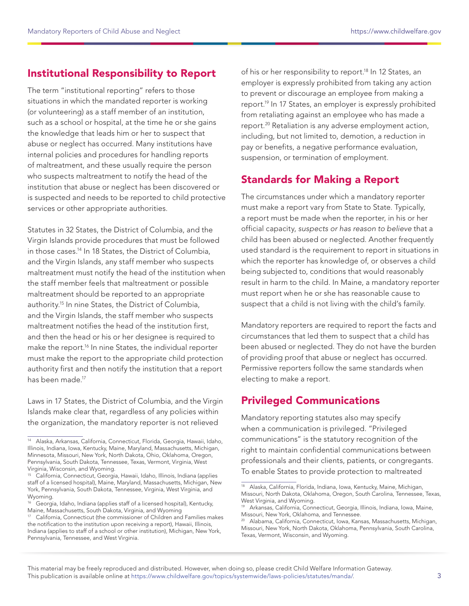## <span id="page-2-0"></span>Institutional Responsibility to Report

The term "institutional reporting" refers to those situations in which the mandated reporter is working (or volunteering) as a staff member of an institution, such as a school or hospital, at the time he or she gains the knowledge that leads him or her to suspect that abuse or neglect has occurred. Many institutions have internal policies and procedures for handling reports of maltreatment, and these usually require the person who suspects maltreatment to notify the head of the institution that abuse or neglect has been discovered or is suspected and needs to be reported to child protective services or other appropriate authorities.

Statutes in 32 States, the District of Columbia, and the Virgin Islands provide procedures that must be followed in those cases.14 In 18 States, the District of Columbia, and the Virgin Islands, any staff member who suspects maltreatment must notify the head of the institution when the staff member feels that maltreatment or possible maltreatment should be reported to an appropriate authority.15 In nine States, the District of Columbia, and the Virgin Islands, the staff member who suspects maltreatment notifies the head of the institution first, and then the head or his or her designee is required to make the report.<sup>16</sup> In nine States, the individual reporter must make the report to the appropriate child protection authority first and then notify the institution that a report has been made.17

Laws in 17 States, the District of Columbia, and the Virgin Islands make clear that, regardless of any policies within the organization, the mandatory reporter is not relieved

of his or her responsibility to report.<sup>18</sup> In 12 States, an employer is expressly prohibited from taking any action to prevent or discourage an employee from making a report.<sup>19</sup> In 17 States, an employer is expressly prohibited from retaliating against an employee who has made a report.20 Retaliation is any adverse employment action, including, but not limited to, demotion, a reduction in pay or benefits, a negative performance evaluation, suspension, or termination of employment.

## Standards for Making a Report

The circumstances under which a mandatory reporter must make a report vary from State to State. Typically, a report must be made when the reporter, in his or her official capacity, suspects or has reason to believe that a child has been abused or neglected. Another frequently used standard is the requirement to report in situations in which the reporter has knowledge of, or observes a child being subjected to, conditions that would reasonably result in harm to the child. In Maine, a mandatory reporter must report when he or she has reasonable cause to suspect that a child is not living with the child's family.

Mandatory reporters are required to report the facts and circumstances that led them to suspect that a child has been abused or neglected. They do not have the burden of providing proof that abuse or neglect has occurred. Permissive reporters follow the same standards when electing to make a report.

## Privileged Communications

Mandatory reporting statutes also may specify when a communication is privileged. "Privileged communications" is the statutory recognition of the right to maintain confidential communications between professionals and their clients, patients, or congregants. To enable States to provide protection to maltreated

<sup>14</sup> Alaska, Arkansas, California, Connecticut, Florida, Georgia, Hawaii, Idaho, Illinois, Indiana, Iowa, Kentucky, Maine, Maryland, Massachusetts, Michigan, Minnesota, Missouri, New York, North Dakota, Ohio, Oklahoma, Oregon, Pennsylvania, South Dakota, Tennessee, Texas, Vermont, Virginia, West Virginia, Wisconsin, and Wyoming.

<sup>15</sup> California, Connecticut, Georgia, Hawaii, Idaho, Illinois, Indiana (applies staff of a licensed hospital), Maine, Maryland, Massachusetts, Michigan, New York, Pennsylvania, South Dakota, Tennessee, Virginia, West Virginia, and Wyoming.

<sup>&</sup>lt;sup>16</sup> Georgia, Idaho, Indiana (applies staff of a licensed hospital), Kentucky, Maine, Massachusetts, South Dakota, Virginia, and Wyoming

<sup>&</sup>lt;sup>17</sup> California, Connecticut (the commissioner of Children and Families makes the notification to the institution upon receiving a report), Hawaii, Illinois, Indiana (applies to staff of a school or other institution), Michigan, New York, Pennsylvania, Tennessee, and West Virginia.

<sup>18</sup> Alaska, California, Florida, Indiana, Iowa, Kentucky, Maine, Michigan, Missouri, North Dakota, Oklahoma, Oregon, South Carolina, Tennessee, Texas, West Virginia, and Wyoming.

<sup>19</sup> Arkansas, California, Connecticut, Georgia, Illinois, Indiana, Iowa, Maine, Missouri, New York, Oklahoma, and Tennessee.

<sup>20</sup> Alabama, California, Connecticut, Iowa, Kansas, Massachusetts, Michigan, Missouri, New York, North Dakota, Oklahoma, Pennsylvania, South Carolina, Texas, Vermont, Wisconsin, and Wyoming.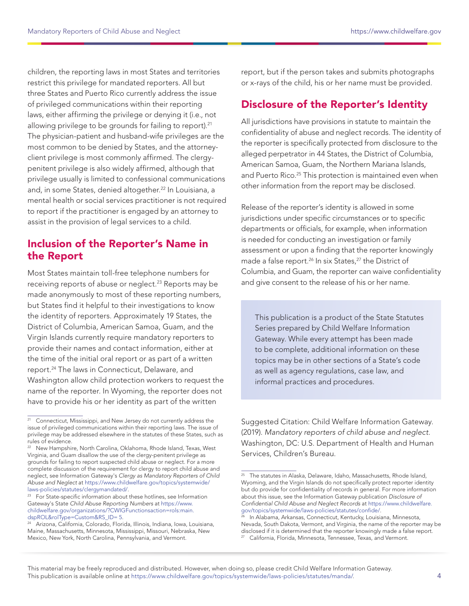<span id="page-3-0"></span>children, the reporting laws in most States and territories restrict this privilege for mandated reporters. All but three States and Puerto Rico currently address the issue of privileged communications within their reporting laws, either affirming the privilege or denying it (i.e., not allowing privilege to be grounds for failing to report).<sup>21</sup> The physician-patient and husband-wife privileges are the most common to be denied by States, and the attorneyclient privilege is most commonly affirmed. The clergypenitent privilege is also widely affirmed, although that privilege usually is limited to confessional communications and, in some States, denied altogether.<sup>22</sup> In Louisiana, a mental health or social services practitioner is not required to report if the practitioner is engaged by an attorney to assist in the provision of legal services to a child.

## Inclusion of the Reporter's Name in the Report

Most States maintain toll-free telephone numbers for receiving reports of abuse or neglect.<sup>23</sup> Reports may be made anonymously to most of these reporting numbers, but States find it helpful to their investigations to know the identity of reporters. Approximately 19 States, the District of Columbia, American Samoa, Guam, and the Virgin Islands currently require mandatory reporters to provide their names and contact information, either at the time of the initial oral report or as part of a written report.24 The laws in Connecticut, Delaware, and Washington allow child protection workers to request the name of the reporter. In Wyoming, the reporter does not have to provide his or her identity as part of the written

report, but if the person takes and submits photographs or x-rays of the child, his or her name must be provided.

## Disclosure of the Reporter's Identity

All jurisdictions have provisions in statute to maintain the confidentiality of abuse and neglect records. The identity of the reporter is specifically protected from disclosure to the alleged perpetrator in 44 States, the District of Columbia, American Samoa, Guam, the Northern Mariana Islands, and Puerto Rico.<sup>25</sup> This protection is maintained even when other information from the report may be disclosed.

Release of the reporter's identity is allowed in some jurisdictions under specific circumstances or to specific departments or officials, for example, when information is needed for conducting an investigation or family assessment or upon a finding that the reporter knowingly made a false report.<sup>26</sup> In six States,<sup>27</sup> the District of Columbia, and Guam, the reporter can waive confidentiality and give consent to the release of his or her name.

This publication is a product of the State Statutes Series prepared by Child Welfare Information Gateway. While every attempt has been made to be complete, additional information on these topics may be in other sections of a State's code as well as agency regulations, case law, and informal practices and procedures.

Suggested Citation: Child Welfare Information Gateway. (2019). Mandatory reporters of child abuse and neglect. Washington, DC: U.S. Department of Health and Human Services, Children's Bureau.

<sup>&</sup>lt;sup>21</sup> Connecticut, Mississippi, and New Jersey do not currently address the issue of privileged communications within their reporting laws. The issue of privilege may be addressed elsewhere in the statutes of these States, such as rules of evidence.

<sup>&</sup>lt;sup>22</sup> New Hampshire, North Carolina, Oklahoma, Rhode Island, Texas, West Virginia, and Guam disallow the use of the clergy-penitent privilege as grounds for failing to report suspected child abuse or neglect. For a more complete discussion of the requirement for clergy to report child abuse and neglect, see Information Gateway's Clergy as Mandatory Reporters of Child Abuse and Neglect at [https://www.childwelfare.gov/topics/systemwide/](https://www.childwelfare.gov/topics/systemwide/laws-policies/statutes/clergymandated/)

<sup>&</sup>lt;sup>23</sup> For State-specific information about these hotlines, see Information Gateway's State Child Abuse Reporting Numbers at [https://www.](https://www.childwelfare.gov/organizations/?CWIGFunctionsaction=rols:main.dspROL&rolType=Custom&RS_ID= 5) [childwelfare.gov/organizations/?CWIGFunctionsaction=rols:main.](https://www.childwelfare.gov/organizations/?CWIGFunctionsaction=rols:main.dspROL&rolType=Custom&RS_ID= 5) [dspROL&rolType=Custom&RS\\_ID= 5](https://www.childwelfare.gov/organizations/?CWIGFunctionsaction=rols:main.dspROL&rolType=Custom&RS_ID= 5).<br><sup>24</sup> Arizona, California, Colorado, Florida, Illinois, Indiana, Iowa, Louisiana,

Maine, Massachusetts, Minnesota, Mississippi, Missouri, Nebraska, New Mexico, New York, North Carolina, Pennsylvania, and Vermont.

 $25$  The statutes in Alaska, Delaware, Idaho, Massachusetts, Rhode Island, Wyoming, and the Virgin Islands do not specifically protect reporter identity but do provide for confidentiality of records in general. For more information about this issue, see the Information Gateway publication Disclosure of Confidential Child Abuse and Neglect Records at [https://www.childwelfare.](https://www.childwelfare.gov/topics/systemwide/laws-policies/statutes/confide/) [gov/topics/systemwide/laws-policies/statutes/confide/](https://www.childwelfare.gov/topics/systemwide/laws-policies/statutes/confide/).

In Alabama, Arkansas, Connecticut, Kentucky, Louisiana, Minnesota, Nevada, South Dakota, Vermont, and Virginia, the name of the reporter may be disclosed if it is determined that the reporter knowingly made a false report. California, Florida, Minnesota, Tennessee, Texas, and Vermont.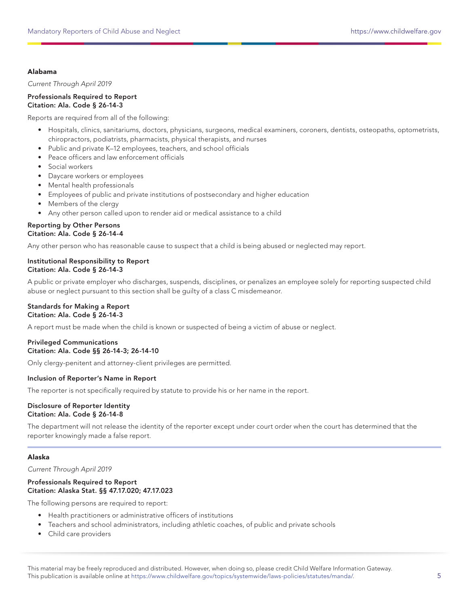## <span id="page-4-0"></span>Alabama

Current Through April 2019

Professionals Required to Report Citation: Ala. Code § 26-14-3

Reports are required from all of the following:

- Hospitals, clinics, sanitariums, doctors, physicians, surgeons, medical examiners, coroners, dentists, osteopaths, optometrists, chiropractors, podiatrists, pharmacists, physical therapists, and nurses
- Public and private K–12 employees, teachers, and school officials
- Peace officers and law enforcement officials
- Social workers
- Daycare workers or employees
- Mental health professionals
- Employees of public and private institutions of postsecondary and higher education
- Members of the clergy
- Any other person called upon to render aid or medical assistance to a child

## Reporting by Other Persons Citation: Ala. Code § 26-14-4

Any other person who has reasonable cause to suspect that a child is being abused or neglected may report.

## Institutional Responsibility to Report Citation: Ala. Code § 26-14-3

A public or private employer who discharges, suspends, disciplines, or penalizes an employee solely for reporting suspected child abuse or neglect pursuant to this section shall be guilty of a class C misdemeanor.

## Standards for Making a Report Citation: Ala. Code § 26-14-3

A report must be made when the child is known or suspected of being a victim of abuse or neglect.

#### Privileged Communications Citation: Ala. Code §§ 26-14-3; 26-14-10

Only clergy-penitent and attorney-client privileges are permitted.

## Inclusion of Reporter's Name in Report

The reporter is not specifically required by statute to provide his or her name in the report.

#### Disclosure of Reporter Identity Citation: Ala. Code § 26-14-8

The department will not release the identity of the reporter except under court order when the court has determined that the reporter knowingly made a false report.

## Alaska

Current Through April 2019

#### Professionals Required to Report Citation: Alaska Stat. §§ 47.17.020; 47.17.023

The following persons are required to report:

- Health practitioners or administrative officers of institutions
- Teachers and school administrators, including athletic coaches, of public and private schools
- Child care providers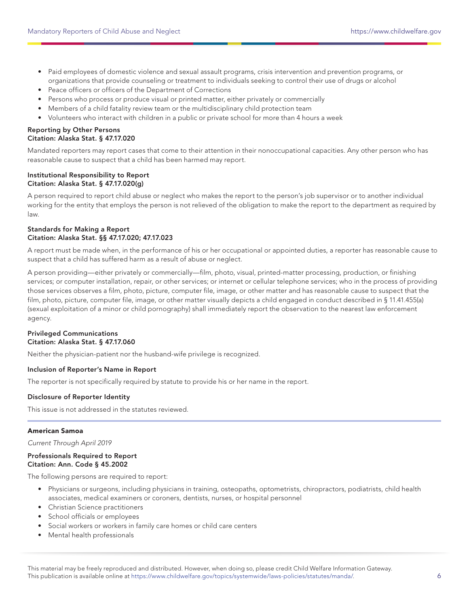- Paid employees of domestic violence and sexual assault programs, crisis intervention and prevention programs, or organizations that provide counseling or treatment to individuals seeking to control their use of drugs or alcohol
- Peace officers or officers of the Department of Corrections
- Persons who process or produce visual or printed matter, either privately or commercially
- Members of a child fatality review team or the multidisciplinary child protection team
- Volunteers who interact with children in a public or private school for more than 4 hours a week

#### Reporting by Other Persons Citation: Alaska Stat. § 47.17.020

Mandated reporters may report cases that come to their attention in their nonoccupational capacities. Any other person who has reasonable cause to suspect that a child has been harmed may report.

#### Institutional Responsibility to Report Citation: Alaska Stat. § 47.17.020(g)

A person required to report child abuse or neglect who makes the report to the person's job supervisor or to another individual working for the entity that employs the person is not relieved of the obligation to make the report to the department as required by law.

## Standards for Making a Report Citation: Alaska Stat. §§ 47.17.020; 47.17.023

A report must be made when, in the performance of his or her occupational or appointed duties, a reporter has reasonable cause to suspect that a child has suffered harm as a result of abuse or neglect.

A person providing—either privately or commercially—film, photo, visual, printed-matter processing, production, or finishing services; or computer installation, repair, or other services; or internet or cellular telephone services; who in the process of providing those services observes a film, photo, picture, computer file, image, or other matter and has reasonable cause to suspect that the film, photo, picture, computer file, image, or other matter visually depicts a child engaged in conduct described in § 11.41.455(a) (sexual exploitation of a minor or child pornography) shall immediately report the observation to the nearest law enforcement agency.

## Privileged Communications Citation: Alaska Stat. § 47.17.060

Neither the physician-patient nor the husband-wife privilege is recognized.

## Inclusion of Reporter's Name in Report

The reporter is not specifically required by statute to provide his or her name in the report.

## Disclosure of Reporter Identity

This issue is not addressed in the statutes reviewed.

## American Samoa

Current Through April 2019

#### Professionals Required to Report Citation: Ann. Code § 45.2002

The following persons are required to report:

- Physicians or surgeons, including physicians in training, osteopaths, optometrists, chiropractors, podiatrists, child health associates, medical examiners or coroners, dentists, nurses, or hospital personnel
- Christian Science practitioners
- School officials or employees
- Social workers or workers in family care homes or child care centers
- Mental health professionals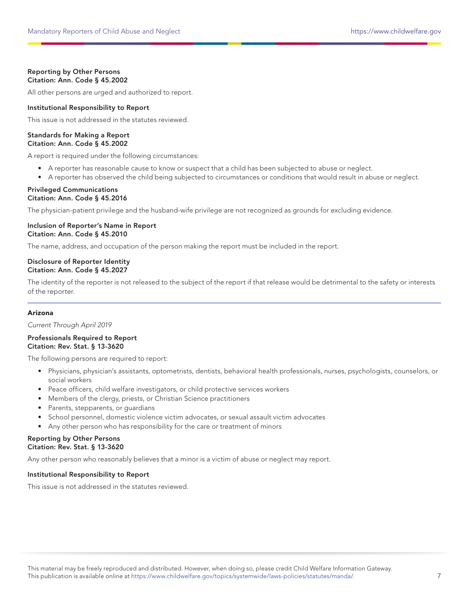## Reporting by Other Persons Citation: Ann. Code § 45.2002

All other persons are urged and authorized to report.

## Institutional Responsibility to Report

This issue is not addressed in the statutes reviewed.

#### Standards for Making a Report Citation: Ann. Code § 45.2002

A report is required under the following circumstances:

- A reporter has reasonable cause to know or suspect that a child has been subjected to abuse or neglect.
- A reporter has observed the child being subjected to circumstances or conditions that would result in abuse or neglect.

#### Privileged Communications Citation: Ann. Code § 45.2016

The physician-patient privilege and the husband-wife privilege are not recognized as grounds for excluding evidence.

## Inclusion of Reporter's Name in Report Citation: Ann. Code § 45.2010

The name, address, and occupation of the person making the report must be included in the report.

## Disclosure of Reporter Identity Citation: Ann. Code § 45.2027

The identity of the reporter is not released to the subject of the report if that release would be detrimental to the safety or interests of the reporter.

## Arizona

Current Through April 2019

## Professionals Required to Report Citation: Rev. Stat. § 13-3620

The following persons are required to report:

- Physicians, physician's assistants, optometrists, dentists, behavioral health professionals, nurses, psychologists, counselors, or social workers
- Peace officers, child welfare investigators, or child protective services workers
- Members of the clergy, priests, or Christian Science practitioners
- Parents, stepparents, or guardians
- School personnel, domestic violence victim advocates, or sexual assault victim advocates
- Any other person who has responsibility for the care or treatment of minors

#### Reporting by Other Persons Citation: Rev. Stat. § 13-3620

Any other person who reasonably believes that a minor is a victim of abuse or neglect may report.

## Institutional Responsibility to Report

This issue is not addressed in the statutes reviewed.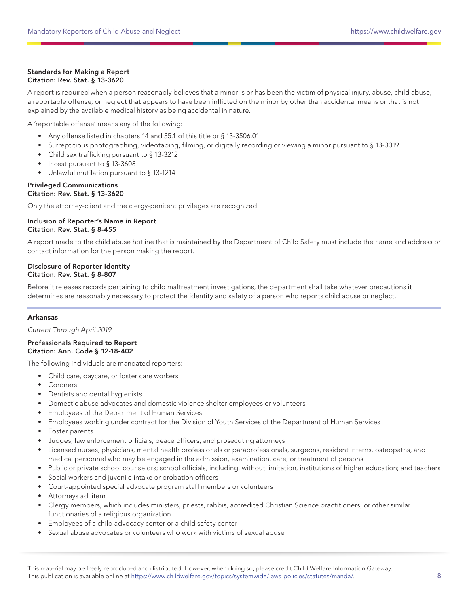## Standards for Making a Report Citation: Rev. Stat. § 13-3620

A report is required when a person reasonably believes that a minor is or has been the victim of physical injury, abuse, child abuse, a reportable offense, or neglect that appears to have been inflicted on the minor by other than accidental means or that is not explained by the available medical history as being accidental in nature.

A 'reportable offense' means any of the following:

- Any offense listed in chapters 14 and 35.1 of this title or § 13-3506.01
- Surreptitious photographing, videotaping, filming, or digitally recording or viewing a minor pursuant to § 13-3019
- Child sex trafficking pursuant to § 13-3212
- Incest pursuant to § 13-3608
- Unlawful mutilation pursuant to § 13-1214

#### Privileged Communications Citation: Rev. Stat. § 13-3620

Only the attorney-client and the clergy-penitent privileges are recognized.

## Inclusion of Reporter's Name in Report Citation: Rev. Stat. § 8-455

A report made to the child abuse hotline that is maintained by the Department of Child Safety must include the name and address or contact information for the person making the report.

## Disclosure of Reporter Identity Citation: Rev. Stat. § 8-807

Before it releases records pertaining to child maltreatment investigations, the department shall take whatever precautions it determines are reasonably necessary to protect the identity and safety of a person who reports child abuse or neglect.

## Arkansas

Current Through April 2019

#### Professionals Required to Report Citation: Ann. Code § 12-18-402

The following individuals are mandated reporters:

- Child care, daycare, or foster care workers
- Coroners
- Dentists and dental hygienists
- Domestic abuse advocates and domestic violence shelter employees or volunteers
- Employees of the Department of Human Services
- Employees working under contract for the Division of Youth Services of the Department of Human Services
- Foster parents
- Judges, law enforcement officials, peace officers, and prosecuting attorneys
- Licensed nurses, physicians, mental health professionals or paraprofessionals, surgeons, resident interns, osteopaths, and medical personnel who may be engaged in the admission, examination, care, or treatment of persons
- Public or private school counselors; school officials, including, without limitation, institutions of higher education; and teachers
- Social workers and juvenile intake or probation officers
- Court-appointed special advocate program staff members or volunteers
- Attorneys ad litem
- Clergy members, which includes ministers, priests, rabbis, accredited Christian Science practitioners, or other similar functionaries of a religious organization
- Employees of a child advocacy center or a child safety center
- Sexual abuse advocates or volunteers who work with victims of sexual abuse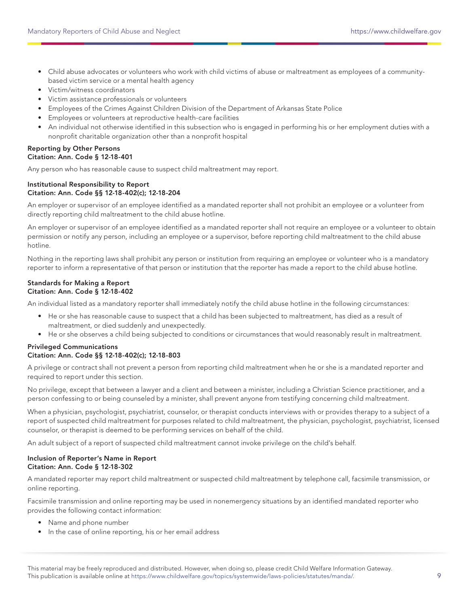- Child abuse advocates or volunteers who work with child victims of abuse or maltreatment as employees of a communitybased victim service or a mental health agency
- Victim/witness coordinators
- Victim assistance professionals or volunteers
- Employees of the Crimes Against Children Division of the Department of Arkansas State Police
- Employees or volunteers at reproductive health-care facilities
- An individual not otherwise identified in this subsection who is engaged in performing his or her employment duties with a nonprofit charitable organization other than a nonprofit hospital

## Reporting by Other Persons Citation: Ann. Code § 12-18-401

Any person who has reasonable cause to suspect child maltreatment may report.

## Institutional Responsibility to Report Citation: Ann. Code §§ 12-18-402(c); 12-18-204

An employer or supervisor of an employee identified as a mandated reporter shall not prohibit an employee or a volunteer from directly reporting child maltreatment to the child abuse hotline.

An employer or supervisor of an employee identified as a mandated reporter shall not require an employee or a volunteer to obtain permission or notify any person, including an employee or a supervisor, before reporting child maltreatment to the child abuse hotline.

Nothing in the reporting laws shall prohibit any person or institution from requiring an employee or volunteer who is a mandatory reporter to inform a representative of that person or institution that the reporter has made a report to the child abuse hotline.

#### Standards for Making a Report Citation: Ann. Code § 12-18-402

An individual listed as a mandatory reporter shall immediately notify the child abuse hotline in the following circumstances:

- He or she has reasonable cause to suspect that a child has been subjected to maltreatment, has died as a result of maltreatment, or died suddenly and unexpectedly.
- He or she observes a child being subjected to conditions or circumstances that would reasonably result in maltreatment.

#### Privileged Communications Citation: Ann. Code §§ 12-18-402(c); 12-18-803

A privilege or contract shall not prevent a person from reporting child maltreatment when he or she is a mandated reporter and required to report under this section.

No privilege, except that between a lawyer and a client and between a minister, including a Christian Science practitioner, and a person confessing to or being counseled by a minister, shall prevent anyone from testifying concerning child maltreatment.

When a physician, psychologist, psychiatrist, counselor, or therapist conducts interviews with or provides therapy to a subject of a report of suspected child maltreatment for purposes related to child maltreatment, the physician, psychologist, psychiatrist, licensed counselor, or therapist is deemed to be performing services on behalf of the child.

An adult subject of a report of suspected child maltreatment cannot invoke privilege on the child's behalf.

## Inclusion of Reporter's Name in Report Citation: Ann. Code § 12-18-302

A mandated reporter may report child maltreatment or suspected child maltreatment by telephone call, facsimile transmission, or online reporting.

Facsimile transmission and online reporting may be used in nonemergency situations by an identified mandated reporter who provides the following contact information:

- Name and phone number
- In the case of online reporting, his or her email address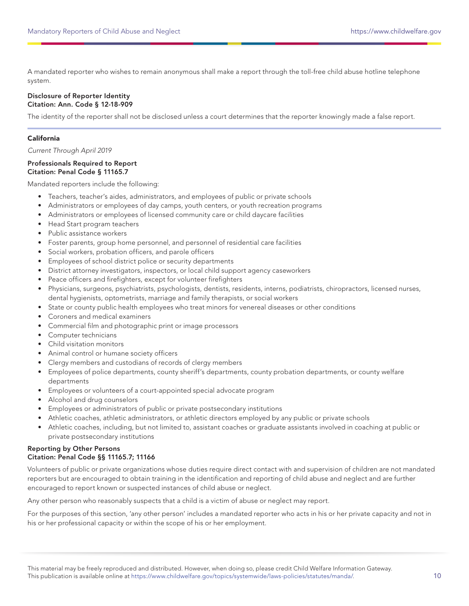A mandated reporter who wishes to remain anonymous shall make a report through the toll-free child abuse hotline telephone system.

#### Disclosure of Reporter Identity Citation: Ann. Code § 12-18-909

The identity of the reporter shall not be disclosed unless a court determines that the reporter knowingly made a false report.

## California

Current Through April 2019

#### Professionals Required to Report Citation: Penal Code § 11165.7

Mandated reporters include the following:

- Teachers, teacher's aides, administrators, and employees of public or private schools
- Administrators or employees of day camps, youth centers, or youth recreation programs
- Administrators or employees of licensed community care or child daycare facilities
- Head Start program teachers
- Public assistance workers
- Foster parents, group home personnel, and personnel of residential care facilities
- Social workers, probation officers, and parole officers
- Employees of school district police or security departments
- District attorney investigators, inspectors, or local child support agency caseworkers
- Peace officers and firefighters, except for volunteer firefighters
- Physicians, surgeons, psychiatrists, psychologists, dentists, residents, interns, podiatrists, chiropractors, licensed nurses, dental hygienists, optometrists, marriage and family therapists, or social workers
- State or county public health employees who treat minors for venereal diseases or other conditions
- Coroners and medical examiners
- Commercial film and photographic print or image processors
- Computer technicians
- Child visitation monitors
- Animal control or humane society officers
- Clergy members and custodians of records of clergy members
- Employees of police departments, county sheriff's departments, county probation departments, or county welfare departments
- Employees or volunteers of a court-appointed special advocate program
- Alcohol and drug counselors
- Employees or administrators of public or private postsecondary institutions
- Athletic coaches, athletic administrators, or athletic directors employed by any public or private schools
- Athletic coaches, including, but not limited to, assistant coaches or graduate assistants involved in coaching at public or private postsecondary institutions

## Reporting by Other Persons Citation: Penal Code §§ 11165.7; 11166

Volunteers of public or private organizations whose duties require direct contact with and supervision of children are not mandated reporters but are encouraged to obtain training in the identification and reporting of child abuse and neglect and are further encouraged to report known or suspected instances of child abuse or neglect.

Any other person who reasonably suspects that a child is a victim of abuse or neglect may report.

For the purposes of this section, 'any other person' includes a mandated reporter who acts in his or her private capacity and not in his or her professional capacity or within the scope of his or her employment.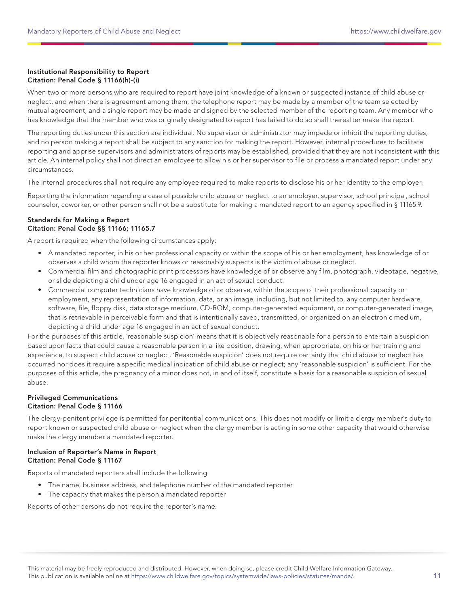## Institutional Responsibility to Report Citation: Penal Code § 11166(h)-(i)

When two or more persons who are required to report have joint knowledge of a known or suspected instance of child abuse or neglect, and when there is agreement among them, the telephone report may be made by a member of the team selected by mutual agreement, and a single report may be made and signed by the selected member of the reporting team. Any member who has knowledge that the member who was originally designated to report has failed to do so shall thereafter make the report.

The reporting duties under this section are individual. No supervisor or administrator may impede or inhibit the reporting duties, and no person making a report shall be subject to any sanction for making the report. However, internal procedures to facilitate reporting and apprise supervisors and administrators of reports may be established, provided that they are not inconsistent with this article. An internal policy shall not direct an employee to allow his or her supervisor to file or process a mandated report under any circumstances.

The internal procedures shall not require any employee required to make reports to disclose his or her identity to the employer.

Reporting the information regarding a case of possible child abuse or neglect to an employer, supervisor, school principal, school counselor, coworker, or other person shall not be a substitute for making a mandated report to an agency specified in § 11165.9.

## Standards for Making a Report Citation: Penal Code §§ 11166; 11165.7

A report is required when the following circumstances apply:

- A mandated reporter, in his or her professional capacity or within the scope of his or her employment, has knowledge of or observes a child whom the reporter knows or reasonably suspects is the victim of abuse or neglect.
- Commercial film and photographic print processors have knowledge of or observe any film, photograph, videotape, negative, or slide depicting a child under age 16 engaged in an act of sexual conduct.
- Commercial computer technicians have knowledge of or observe, within the scope of their professional capacity or employment, any representation of information, data, or an image, including, but not limited to, any computer hardware, software, file, floppy disk, data storage medium, CD-ROM, computer-generated equipment, or computer-generated image, that is retrievable in perceivable form and that is intentionally saved, transmitted, or organized on an electronic medium, depicting a child under age 16 engaged in an act of sexual conduct.

For the purposes of this article, 'reasonable suspicion' means that it is objectively reasonable for a person to entertain a suspicion based upon facts that could cause a reasonable person in a like position, drawing, when appropriate, on his or her training and experience, to suspect child abuse or neglect. 'Reasonable suspicion' does not require certainty that child abuse or neglect has occurred nor does it require a specific medical indication of child abuse or neglect; any 'reasonable suspicion' is sufficient. For the purposes of this article, the pregnancy of a minor does not, in and of itself, constitute a basis for a reasonable suspicion of sexual abuse.

## Privileged Communications Citation: Penal Code § 11166

The clergy-penitent privilege is permitted for penitential communications. This does not modify or limit a clergy member's duty to report known or suspected child abuse or neglect when the clergy member is acting in some other capacity that would otherwise make the clergy member a mandated reporter.

## Inclusion of Reporter's Name in Report Citation: Penal Code § 11167

Reports of mandated reporters shall include the following:

- The name, business address, and telephone number of the mandated reporter
- The capacity that makes the person a mandated reporter

Reports of other persons do not require the reporter's name.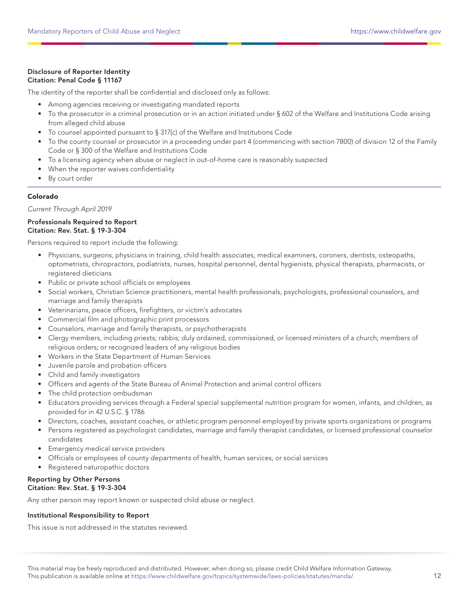## Disclosure of Reporter Identity Citation: Penal Code § 11167

The identity of the reporter shall be confidential and disclosed only as follows:

- Among agencies receiving or investigating mandated reports
- To the prosecutor in a criminal prosecution or in an action initiated under § 602 of the Welfare and Institutions Code arising from alleged child abuse
- To counsel appointed pursuant to § 317(c) of the Welfare and Institutions Code
- To the county counsel or prosecutor in a proceeding under part 4 (commencing with section 7800) of division 12 of the Family Code or § 300 of the Welfare and Institutions Code
- To a licensing agency when abuse or neglect in out-of-home care is reasonably suspected
- When the reporter waives confidentiality
- By court order

## Colorado

Current Through April 2019

## Professionals Required to Report Citation: Rev. Stat. § 19-3-304

Persons required to report include the following:

- Physicians, surgeons, physicians in training, child health associates, medical examiners, coroners, dentists, osteopaths, optometrists, chiropractors, podiatrists, nurses, hospital personnel, dental hygienists, physical therapists, pharmacists, or registered dieticians
- Public or private school officials or employees
- Social workers, Christian Science practitioners, mental health professionals, psychologists, professional counselors, and marriage and family therapists
- Veterinarians, peace officers, firefighters, or victim's advocates
- Commercial film and photographic print processors
- Counselors, marriage and family therapists, or psychotherapists
- Clergy members, including priests; rabbis; duly ordained, commissioned, or licensed ministers of a church; members of religious orders; or recognized leaders of any religious bodies
- Workers in the State Department of Human Services
- Juvenile parole and probation officers
- Child and family investigators
- Officers and agents of the State Bureau of Animal Protection and animal control officers
- The child protection ombudsman
- Educators providing services through a Federal special supplemental nutrition program for women, infants, and children, as provided for in 42 U.S.C. § 1786
- Directors, coaches, assistant coaches, or athletic program personnel employed by private sports organizations or programs
- Persons registered as psychologist candidates, marriage and family therapist candidates, or licensed professional counselor candidates
- Emergency medical service providers
- Officials or employees of county departments of health, human services, or social services
- Registered naturopathic doctors

#### Reporting by Other Persons Citation: Rev. Stat. § 19-3-304

Any other person may report known or suspected child abuse or neglect.

## Institutional Responsibility to Report

This issue is not addressed in the statutes reviewed.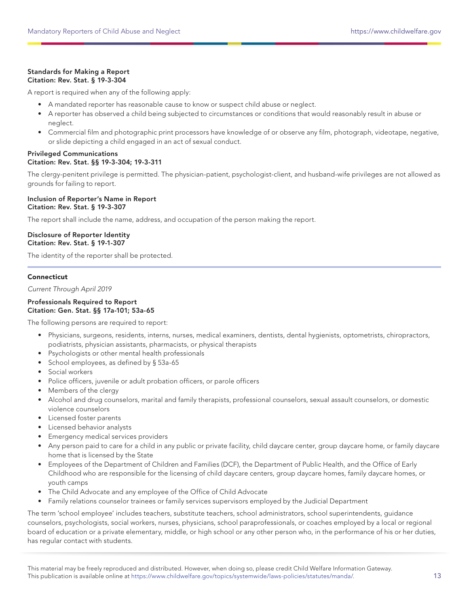## Standards for Making a Report Citation: Rev. Stat. § 19-3-304

A report is required when any of the following apply:

- A mandated reporter has reasonable cause to know or suspect child abuse or neglect.
- A reporter has observed a child being subjected to circumstances or conditions that would reasonably result in abuse or neglect.
- Commercial film and photographic print processors have knowledge of or observe any film, photograph, videotape, negative, or slide depicting a child engaged in an act of sexual conduct.

## Privileged Communications Citation: Rev. Stat. §§ 19-3-304; 19-3-311

The clergy-penitent privilege is permitted. The physician-patient, psychologist-client, and husband-wife privileges are not allowed as grounds for failing to report.

Inclusion of Reporter's Name in Report Citation: Rev. Stat. § 19-3-307

The report shall include the name, address, and occupation of the person making the report.

Disclosure of Reporter Identity Citation: Rev. Stat. § 19-1-307

The identity of the reporter shall be protected.

## **Connecticut**

Current Through April 2019

#### Professionals Required to Report Citation: Gen. Stat. §§ 17a-101; 53a-65

The following persons are required to report:

- Physicians, surgeons, residents, interns, nurses, medical examiners, dentists, dental hygienists, optometrists, chiropractors, podiatrists, physician assistants, pharmacists, or physical therapists
- Psychologists or other mental health professionals
- School employees, as defined by § 53a-65
- Social workers
- Police officers, juvenile or adult probation officers, or parole officers
- Members of the clergy
- Alcohol and drug counselors, marital and family therapists, professional counselors, sexual assault counselors, or domestic violence counselors
- Licensed foster parents
- Licensed behavior analysts
- Emergency medical services providers
- Any person paid to care for a child in any public or private facility, child daycare center, group daycare home, or family daycare home that is licensed by the State
- Employees of the Department of Children and Families (DCF), the Department of Public Health, and the Office of Early Childhood who are responsible for the licensing of child daycare centers, group daycare homes, family daycare homes, or youth camps
- The Child Advocate and any employee of the Office of Child Advocate
- Family relations counselor trainees or family services supervisors employed by the Judicial Department

The term 'school employee' includes teachers, substitute teachers, school administrators, school superintendents, guidance counselors, psychologists, social workers, nurses, physicians, school paraprofessionals, or coaches employed by a local or regional board of education or a private elementary, middle, or high school or any other person who, in the performance of his or her duties, has regular contact with students.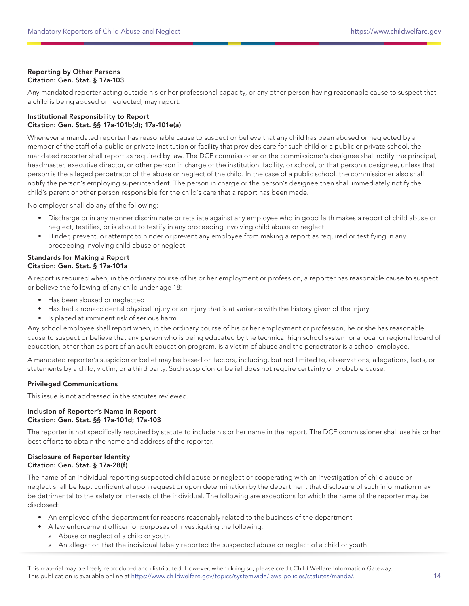## Reporting by Other Persons Citation: Gen. Stat. § 17a-103

Any mandated reporter acting outside his or her professional capacity, or any other person having reasonable cause to suspect that a child is being abused or neglected, may report.

## Institutional Responsibility to Report Citation: Gen. Stat. §§ 17a-101b(d); 17a-101e(a)

Whenever a mandated reporter has reasonable cause to suspect or believe that any child has been abused or neglected by a member of the staff of a public or private institution or facility that provides care for such child or a public or private school, the mandated reporter shall report as required by law. The DCF commissioner or the commissioner's designee shall notify the principal, headmaster, executive director, or other person in charge of the institution, facility, or school, or that person's designee, unless that person is the alleged perpetrator of the abuse or neglect of the child. In the case of a public school, the commissioner also shall notify the person's employing superintendent. The person in charge or the person's designee then shall immediately notify the child's parent or other person responsible for the child's care that a report has been made.

No employer shall do any of the following:

- Discharge or in any manner discriminate or retaliate against any employee who in good faith makes a report of child abuse or neglect, testifies, or is about to testify in any proceeding involving child abuse or neglect
- Hinder, prevent, or attempt to hinder or prevent any employee from making a report as required or testifying in any proceeding involving child abuse or neglect

## Standards for Making a Report Citation: Gen. Stat. § 17a-101a

A report is required when, in the ordinary course of his or her employment or profession, a reporter has reasonable cause to suspect or believe the following of any child under age 18:

- Has been abused or neglected
- Has had a nonaccidental physical injury or an injury that is at variance with the history given of the injury
- Is placed at imminent risk of serious harm

Any school employee shall report when, in the ordinary course of his or her employment or profession, he or she has reasonable cause to suspect or believe that any person who is being educated by the technical high school system or a local or regional board of education, other than as part of an adult education program, is a victim of abuse and the perpetrator is a school employee.

A mandated reporter's suspicion or belief may be based on factors, including, but not limited to, observations, allegations, facts, or statements by a child, victim, or a third party. Such suspicion or belief does not require certainty or probable cause.

## Privileged Communications

This issue is not addressed in the statutes reviewed.

#### Inclusion of Reporter's Name in Report Citation: Gen. Stat. §§ 17a-101d; 17a-103

The reporter is not specifically required by statute to include his or her name in the report. The DCF commissioner shall use his or her best efforts to obtain the name and address of the reporter.

#### Disclosure of Reporter Identity Citation: Gen. Stat. § 17a-28(f)

The name of an individual reporting suspected child abuse or neglect or cooperating with an investigation of child abuse or neglect shall be kept confidential upon request or upon determination by the department that disclosure of such information may be detrimental to the safety or interests of the individual. The following are exceptions for which the name of the reporter may be disclosed:

- An employee of the department for reasons reasonably related to the business of the department
- A law enforcement officer for purposes of investigating the following:
	- » Abuse or neglect of a child or youth
	- » An allegation that the individual falsely reported the suspected abuse or neglect of a child or youth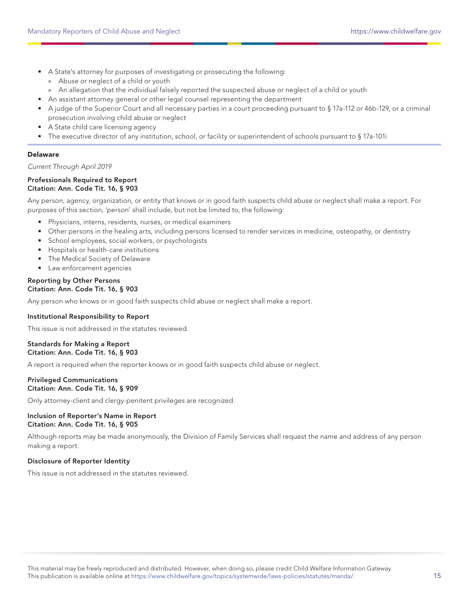- A State's attorney for purposes of investigating or prosecuting the following:
	- » Abuse or neglect of a child or youth
	- » An allegation that the individual falsely reported the suspected abuse or neglect of a child or youth
- An assistant attorney general or other legal counsel representing the department
- A judge of the Superior Court and all necessary parties in a court proceeding pursuant to § 17a-112 or 46b-129, or a criminal prosecution involving child abuse or neglect
- A State child care licensing agency
- The executive director of any institution, school, or facility or superintendent of schools pursuant to § 17a-101i

## Delaware

Current Through April 2019

#### Professionals Required to Report Citation: Ann. Code Tit. 16, § 903

Any person, agency, organization, or entity that knows or in good faith suspects child abuse or neglect shall make a report. For purposes of this section, 'person' shall include, but not be limited to, the following:

- Physicians, interns, residents, nurses, or medical examiners
- Other persons in the healing arts, including persons licensed to render services in medicine, osteopathy, or dentistry
- School employees, social workers, or psychologists
- Hospitals or health-care institutions
- The Medical Society of Delaware
- Law enforcement agencies

#### Reporting by Other Persons Citation: Ann. Code Tit. 16, § 903

Any person who knows or in good faith suspects child abuse or neglect shall make a report.

## Institutional Responsibility to Report

This issue is not addressed in the statutes reviewed.

## Standards for Making a Report Citation: Ann. Code Tit. 16, § 903

A report is required when the reporter knows or in good faith suspects child abuse or neglect.

#### Privileged Communications Citation: Ann. Code Tit. 16, § 909

Only attorney-client and clergy-penitent privileges are recognized.

## Inclusion of Reporter's Name in Report Citation: Ann. Code Tit. 16, § 905

Although reports may be made anonymously, the Division of Family Services shall request the name and address of any person making a report.

## Disclosure of Reporter Identity

This issue is not addressed in the statutes reviewed.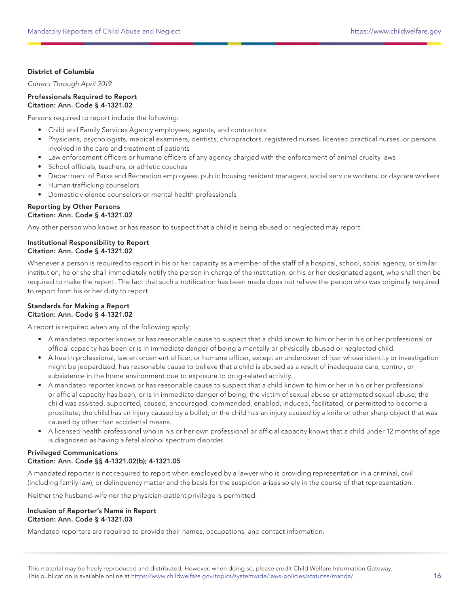## District of Columbia

Current Through April 2019

#### Professionals Required to Report Citation: Ann. Code § 4-1321.02

Persons required to report include the following:

- Child and Family Services Agency employees, agents, and contractors
- Physicians, psychologists, medical examiners, dentists, chiropractors, registered nurses, licensed practical nurses, or persons involved in the care and treatment of patients
- Law enforcement officers or humane officers of any agency charged with the enforcement of animal cruelty laws
- School officials, teachers, or athletic coaches
- Department of Parks and Recreation employees, public housing resident managers, social service workers, or daycare workers
- Human trafficking counselors
- Domestic violence counselors or mental health professionals

#### Reporting by Other Persons Citation: Ann. Code § 4-1321.02

Any other person who knows or has reason to suspect that a child is being abused or neglected may report.

## Institutional Responsibility to Report Citation: Ann. Code § 4-1321.02

Whenever a person is required to report in his or her capacity as a member of the staff of a hospital, school, social agency, or similar institution, he or she shall immediately notify the person in charge of the institution, or his or her designated agent, who shall then be required to make the report. The fact that such a notification has been made does not relieve the person who was originally required to report from his or her duty to report.

#### Standards for Making a Report Citation: Ann. Code § 4-1321.02

A report is required when any of the following apply:

- A mandated reporter knows or has reasonable cause to suspect that a child known to him or her in his or her professional or official capacity has been or is in immediate danger of being a mentally or physically abused or neglected child.
- A health professional, law enforcement officer, or humane officer, except an undercover officer whose identity or investigation might be jeopardized, has reasonable cause to believe that a child is abused as a result of inadequate care, control, or subsistence in the home environment due to exposure to drug-related activity.
- A mandated reporter knows or has reasonable cause to suspect that a child known to him or her in his or her professional or official capacity has been, or is in immediate danger of being, the victim of sexual abuse or attempted sexual abuse; the child was assisted, supported, caused, encouraged, commanded, enabled, induced, facilitated, or permitted to become a prostitute; the child has an injury caused by a bullet; or the child has an injury caused by a knife or other sharp object that was caused by other than accidental means.
- A licensed health professional who in his or her own professional or official capacity knows that a child under 12 months of age is diagnosed as having a fetal alcohol spectrum disorder.

## Privileged Communications Citation: Ann. Code §§ 4-1321.02(b); 4-1321.05

A mandated reporter is not required to report when employed by a lawyer who is providing representation in a criminal, civil (including family law), or delinquency matter and the basis for the suspicion arises solely in the course of that representation.

Neither the husband-wife nor the physician-patient privilege is permitted.

## Inclusion of Reporter's Name in Report Citation: Ann. Code § 4-1321.03

Mandated reporters are required to provide their names, occupations, and contact information.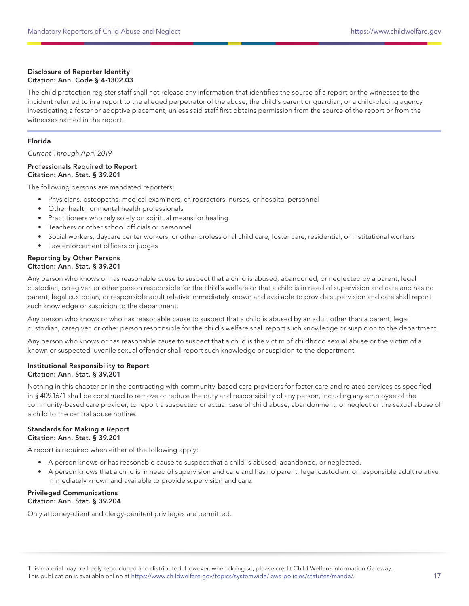## Disclosure of Reporter Identity Citation: Ann. Code § 4-1302.03

The child protection register staff shall not release any information that identifies the source of a report or the witnesses to the incident referred to in a report to the alleged perpetrator of the abuse, the child's parent or guardian, or a child-placing agency investigating a foster or adoptive placement, unless said staff first obtains permission from the source of the report or from the witnesses named in the report.

## Florida

Current Through April 2019

## Professionals Required to Report Citation: Ann. Stat. § 39.201

The following persons are mandated reporters:

- Physicians, osteopaths, medical examiners, chiropractors, nurses, or hospital personnel
- Other health or mental health professionals
- Practitioners who rely solely on spiritual means for healing
- Teachers or other school officials or personnel
- Social workers, daycare center workers, or other professional child care, foster care, residential, or institutional workers
- Law enforcement officers or judges

## Reporting by Other Persons Citation: Ann. Stat. § 39.201

Any person who knows or has reasonable cause to suspect that a child is abused, abandoned, or neglected by a parent, legal custodian, caregiver, or other person responsible for the child's welfare or that a child is in need of supervision and care and has no parent, legal custodian, or responsible adult relative immediately known and available to provide supervision and care shall report such knowledge or suspicion to the department.

Any person who knows or who has reasonable cause to suspect that a child is abused by an adult other than a parent, legal custodian, caregiver, or other person responsible for the child's welfare shall report such knowledge or suspicion to the department.

Any person who knows or has reasonable cause to suspect that a child is the victim of childhood sexual abuse or the victim of a known or suspected juvenile sexual offender shall report such knowledge or suspicion to the department.

## Institutional Responsibility to Report Citation: Ann. Stat. § 39.201

Nothing in this chapter or in the contracting with community-based care providers for foster care and related services as specified in § 409.1671 shall be construed to remove or reduce the duty and responsibility of any person, including any employee of the community-based care provider, to report a suspected or actual case of child abuse, abandonment, or neglect or the sexual abuse of a child to the central abuse hotline.

## Standards for Making a Report Citation: Ann. Stat. § 39.201

A report is required when either of the following apply:

- A person knows or has reasonable cause to suspect that a child is abused, abandoned, or neglected.
- A person knows that a child is in need of supervision and care and has no parent, legal custodian, or responsible adult relative immediately known and available to provide supervision and care.

## Privileged Communications Citation: Ann. Stat. § 39.204

Only attorney-client and clergy-penitent privileges are permitted.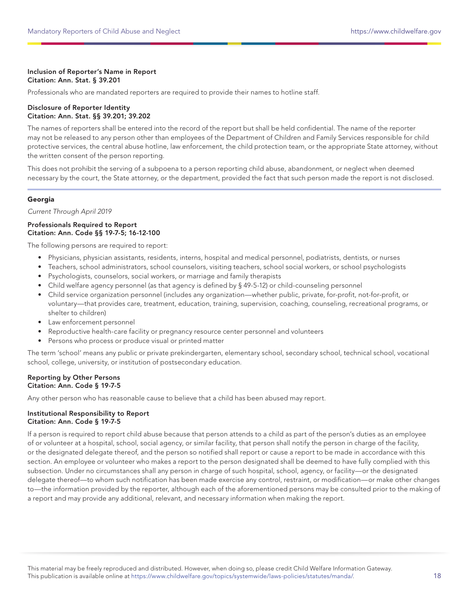## Inclusion of Reporter's Name in Report Citation: Ann. Stat. § 39.201

Professionals who are mandated reporters are required to provide their names to hotline staff.

### Disclosure of Reporter Identity Citation: Ann. Stat. §§ 39.201; 39.202

The names of reporters shall be entered into the record of the report but shall be held confidential. The name of the reporter may not be released to any person other than employees of the Department of Children and Family Services responsible for child protective services, the central abuse hotline, law enforcement, the child protection team, or the appropriate State attorney, without the written consent of the person reporting.

This does not prohibit the serving of a subpoena to a person reporting child abuse, abandonment, or neglect when deemed necessary by the court, the State attorney, or the department, provided the fact that such person made the report is not disclosed.

## Georgia

Current Through April 2019

#### Professionals Required to Report Citation: Ann. Code §§ 19-7-5; 16-12-100

The following persons are required to report:

- Physicians, physician assistants, residents, interns, hospital and medical personnel, podiatrists, dentists, or nurses
- Teachers, school administrators, school counselors, visiting teachers, school social workers, or school psychologists
- Psychologists, counselors, social workers, or marriage and family therapists
- Child welfare agency personnel (as that agency is defined by § 49-5-12) or child-counseling personnel
- Child service organization personnel (includes any organization—whether public, private, for-profit, not-for-profit, or voluntary—that provides care, treatment, education, training, supervision, coaching, counseling, recreational programs, or shelter to children)
- Law enforcement personnel
- Reproductive health-care facility or pregnancy resource center personnel and volunteers
- Persons who process or produce visual or printed matter

The term 'school' means any public or private prekindergarten, elementary school, secondary school, technical school, vocational school, college, university, or institution of postsecondary education.

#### Reporting by Other Persons Citation: Ann. Code § 19-7-5

Any other person who has reasonable cause to believe that a child has been abused may report.

## Institutional Responsibility to Report Citation: Ann. Code § 19-7-5

If a person is required to report child abuse because that person attends to a child as part of the person's duties as an employee of or volunteer at a hospital, school, social agency, or similar facility, that person shall notify the person in charge of the facility, or the designated delegate thereof, and the person so notified shall report or cause a report to be made in accordance with this section. An employee or volunteer who makes a report to the person designated shall be deemed to have fully complied with this subsection. Under no circumstances shall any person in charge of such hospital, school, agency, or facility—or the designated delegate thereof—to whom such notification has been made exercise any control, restraint, or modification—or make other changes to—the information provided by the reporter, although each of the aforementioned persons may be consulted prior to the making of a report and may provide any additional, relevant, and necessary information when making the report.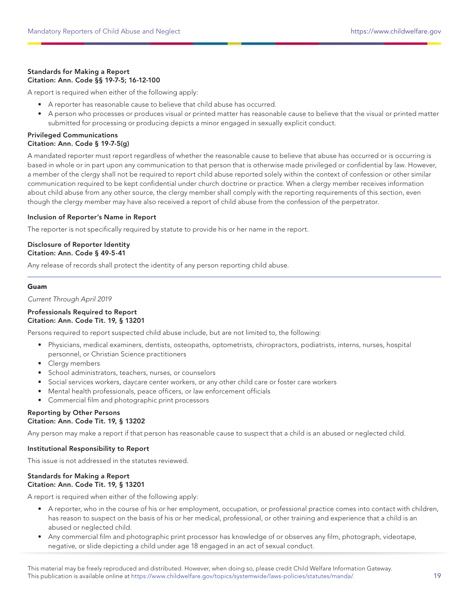## Standards for Making a Report Citation: Ann. Code §§ 19-7-5; 16-12-100

A report is required when either of the following apply:

- A reporter has reasonable cause to believe that child abuse has occurred.
- A person who processes or produces visual or printed matter has reasonable cause to believe that the visual or printed matter submitted for processing or producing depicts a minor engaged in sexually explicit conduct.

## Privileged Communications Citation: Ann. Code § 19-7-5(g)

A mandated reporter must report regardless of whether the reasonable cause to believe that abuse has occurred or is occurring is based in whole or in part upon any communication to that person that is otherwise made privileged or confidential by law. However, a member of the clergy shall not be required to report child abuse reported solely within the context of confession or other similar communication required to be kept confidential under church doctrine or practice. When a clergy member receives information about child abuse from any other source, the clergy member shall comply with the reporting requirements of this section, even though the clergy member may have also received a report of child abuse from the confession of the perpetrator.

## Inclusion of Reporter's Name in Report

The reporter is not specifically required by statute to provide his or her name in the report.

## Disclosure of Reporter Identity Citation: Ann. Code § 49-5-41

Any release of records shall protect the identity of any person reporting child abuse.

## Guam

Current Through April 2019

#### Professionals Required to Report Citation: Ann. Code Tit. 19, § 13201

Persons required to report suspected child abuse include, but are not limited to, the following:

- Physicians, medical examiners, dentists, osteopaths, optometrists, chiropractors, podiatrists, interns, nurses, hospital personnel, or Christian Science practitioners
- Clergy members
- School administrators, teachers, nurses, or counselors
- Social services workers, daycare center workers, or any other child care or foster care workers
- Mental health professionals, peace officers, or law enforcement officials
- Commercial film and photographic print processors

## Reporting by Other Persons Citation: Ann. Code Tit. 19, § 13202

Any person may make a report if that person has reasonable cause to suspect that a child is an abused or neglected child.

## Institutional Responsibility to Report

This issue is not addressed in the statutes reviewed.

## Standards for Making a Report Citation: Ann. Code Tit. 19, § 13201

A report is required when either of the following apply:

- A reporter, who in the course of his or her employment, occupation, or professional practice comes into contact with children, has reason to suspect on the basis of his or her medical, professional, or other training and experience that a child is an abused or neglected child.
- Any commercial film and photographic print processor has knowledge of or observes any film, photograph, videotape, negative, or slide depicting a child under age 18 engaged in an act of sexual conduct.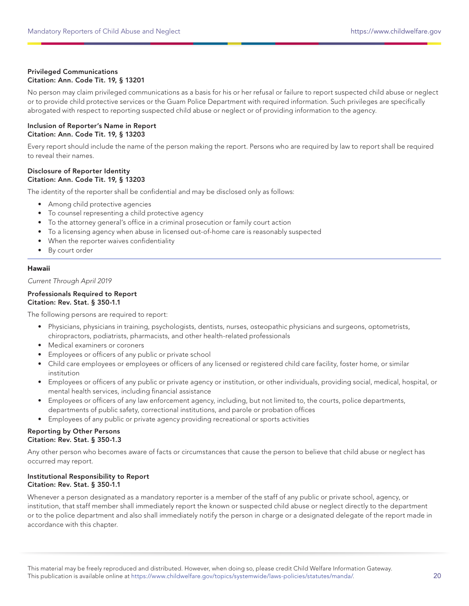## Privileged Communications Citation: Ann. Code Tit. 19, § 13201

No person may claim privileged communications as a basis for his or her refusal or failure to report suspected child abuse or neglect or to provide child protective services or the Guam Police Department with required information. Such privileges are specifically abrogated with respect to reporting suspected child abuse or neglect or of providing information to the agency.

#### Inclusion of Reporter's Name in Report Citation: Ann. Code Tit. 19, § 13203

Every report should include the name of the person making the report. Persons who are required by law to report shall be required to reveal their names.

## Disclosure of Reporter Identity Citation: Ann. Code Tit. 19, § 13203

The identity of the reporter shall be confidential and may be disclosed only as follows:

- Among child protective agencies
- To counsel representing a child protective agency
- To the attorney general's office in a criminal prosecution or family court action
- To a licensing agency when abuse in licensed out-of-home care is reasonably suspected
- When the reporter waives confidentiality
- By court order

## Hawaii

Current Through April 2019

## Professionals Required to Report Citation: Rev. Stat. § 350-1.1

The following persons are required to report:

- Physicians, physicians in training, psychologists, dentists, nurses, osteopathic physicians and surgeons, optometrists, chiropractors, podiatrists, pharmacists, and other health-related professionals
- Medical examiners or coroners
- Employees or officers of any public or private school
- Child care employees or employees or officers of any licensed or registered child care facility, foster home, or similar institution
- Employees or officers of any public or private agency or institution, or other individuals, providing social, medical, hospital, or mental health services, including financial assistance
- Employees or officers of any law enforcement agency, including, but not limited to, the courts, police departments, departments of public safety, correctional institutions, and parole or probation offices
- Employees of any public or private agency providing recreational or sports activities

#### Reporting by Other Persons Citation: Rev. Stat. § 350-1.3

Any other person who becomes aware of facts or circumstances that cause the person to believe that child abuse or neglect has occurred may report.

## Institutional Responsibility to Report Citation: Rev. Stat. § 350-1.1

Whenever a person designated as a mandatory reporter is a member of the staff of any public or private school, agency, or institution, that staff member shall immediately report the known or suspected child abuse or neglect directly to the department or to the police department and also shall immediately notify the person in charge or a designated delegate of the report made in accordance with this chapter.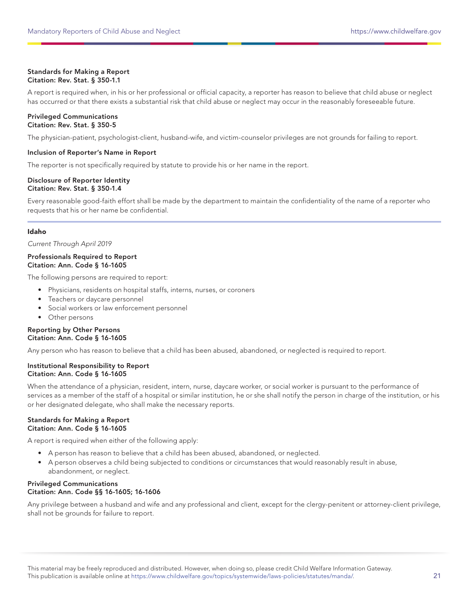## Standards for Making a Report Citation: Rev. Stat. § 350-1.1

A report is required when, in his or her professional or official capacity, a reporter has reason to believe that child abuse or neglect has occurred or that there exists a substantial risk that child abuse or neglect may occur in the reasonably foreseeable future.

#### Privileged Communications Citation: Rev. Stat. § 350-5

The physician-patient, psychologist-client, husband-wife, and victim-counselor privileges are not grounds for failing to report.

## Inclusion of Reporter's Name in Report

The reporter is not specifically required by statute to provide his or her name in the report.

## Disclosure of Reporter Identity Citation: Rev. Stat. § 350-1.4

Every reasonable good-faith effort shall be made by the department to maintain the confidentiality of the name of a reporter who requests that his or her name be confidential.

## Idaho

Current Through April 2019

#### Professionals Required to Report Citation: Ann. Code § 16-1605

The following persons are required to report:

- Physicians, residents on hospital staffs, interns, nurses, or coroners
- Teachers or daycare personnel
- Social workers or law enforcement personnel
- Other persons

#### Reporting by Other Persons Citation: Ann. Code § 16-1605

Any person who has reason to believe that a child has been abused, abandoned, or neglected is required to report.

## Institutional Responsibility to Report Citation: Ann. Code § 16-1605

When the attendance of a physician, resident, intern, nurse, daycare worker, or social worker is pursuant to the performance of services as a member of the staff of a hospital or similar institution, he or she shall notify the person in charge of the institution, or his or her designated delegate, who shall make the necessary reports.

## Standards for Making a Report Citation: Ann. Code § 16-1605

A report is required when either of the following apply:

- A person has reason to believe that a child has been abused, abandoned, or neglected.
- A person observes a child being subjected to conditions or circumstances that would reasonably result in abuse, abandonment, or neglect.

## Privileged Communications Citation: Ann. Code §§ 16-1605; 16-1606

Any privilege between a husband and wife and any professional and client, except for the clergy-penitent or attorney-client privilege, shall not be grounds for failure to report.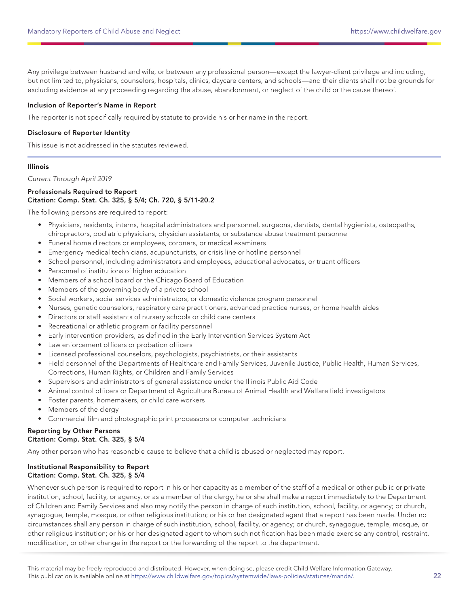Any privilege between husband and wife, or between any professional person—except the lawyer-client privilege and including, but not limited to, physicians, counselors, hospitals, clinics, daycare centers, and schools—and their clients shall not be grounds for excluding evidence at any proceeding regarding the abuse, abandonment, or neglect of the child or the cause thereof.

#### Inclusion of Reporter's Name in Report

The reporter is not specifically required by statute to provide his or her name in the report.

#### Disclosure of Reporter Identity

This issue is not addressed in the statutes reviewed.

#### Illinois

Current Through April 2019

## Professionals Required to Report Citation: Comp. Stat. Ch. 325, § 5/4; Ch. 720, § 5/11-20.2

The following persons are required to report:

- Physicians, residents, interns, hospital administrators and personnel, surgeons, dentists, dental hygienists, osteopaths, chiropractors, podiatric physicians, physician assistants, or substance abuse treatment personnel
- Funeral home directors or employees, coroners, or medical examiners
- Emergency medical technicians, acupuncturists, or crisis line or hotline personnel
- School personnel, including administrators and employees, educational advocates, or truant officers
- Personnel of institutions of higher education
- Members of a school board or the Chicago Board of Education
- Members of the governing body of a private school
- Social workers, social services administrators, or domestic violence program personnel
- Nurses, genetic counselors, respiratory care practitioners, advanced practice nurses, or home health aides
- Directors or staff assistants of nursery schools or child care centers
- Recreational or athletic program or facility personnel
- Early intervention providers, as defined in the Early Intervention Services System Act
- Law enforcement officers or probation officers
- Licensed professional counselors, psychologists, psychiatrists, or their assistants
- Field personnel of the Departments of Healthcare and Family Services, Juvenile Justice, Public Health, Human Services, Corrections, Human Rights, or Children and Family Services
- Supervisors and administrators of general assistance under the Illinois Public Aid Code
- Animal control officers or Department of Agriculture Bureau of Animal Health and Welfare field investigators
- Foster parents, homemakers, or child care workers
- Members of the clergy
- Commercial film and photographic print processors or computer technicians

## Reporting by Other Persons Citation: Comp. Stat. Ch. 325, § 5/4

Any other person who has reasonable cause to believe that a child is abused or neglected may report.

#### Institutional Responsibility to Report Citation: Comp. Stat. Ch. 325, § 5/4

Whenever such person is required to report in his or her capacity as a member of the staff of a medical or other public or private institution, school, facility, or agency, or as a member of the clergy, he or she shall make a report immediately to the Department of Children and Family Services and also may notify the person in charge of such institution, school, facility, or agency; or church, synagogue, temple, mosque, or other religious institution; or his or her designated agent that a report has been made. Under no circumstances shall any person in charge of such institution, school, facility, or agency; or church, synagogue, temple, mosque, or other religious institution; or his or her designated agent to whom such notification has been made exercise any control, restraint, modification, or other change in the report or the forwarding of the report to the department.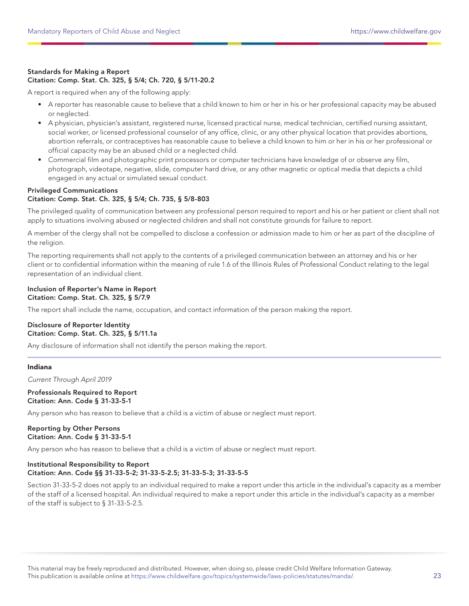## Standards for Making a Report Citation: Comp. Stat. Ch. 325, § 5/4; Ch. 720, § 5/11-20.2

A report is required when any of the following apply:

- A reporter has reasonable cause to believe that a child known to him or her in his or her professional capacity may be abused or neglected.
- A physician, physician's assistant, registered nurse, licensed practical nurse, medical technician, certified nursing assistant, social worker, or licensed professional counselor of any office, clinic, or any other physical location that provides abortions, abortion referrals, or contraceptives has reasonable cause to believe a child known to him or her in his or her professional or official capacity may be an abused child or a neglected child.
- Commercial film and photographic print processors or computer technicians have knowledge of or observe any film, photograph, videotape, negative, slide, computer hard drive, or any other magnetic or optical media that depicts a child engaged in any actual or simulated sexual conduct.

## Privileged Communications

## Citation: Comp. Stat. Ch. 325, § 5/4; Ch. 735, § 5/8-803

The privileged quality of communication between any professional person required to report and his or her patient or client shall not apply to situations involving abused or neglected children and shall not constitute grounds for failure to report.

A member of the clergy shall not be compelled to disclose a confession or admission made to him or her as part of the discipline of the religion.

The reporting requirements shall not apply to the contents of a privileged communication between an attorney and his or her client or to confidential information within the meaning of rule 1.6 of the Illinois Rules of Professional Conduct relating to the legal representation of an individual client.

#### Inclusion of Reporter's Name in Report Citation: Comp. Stat. Ch. 325, § 5/7.9

The report shall include the name, occupation, and contact information of the person making the report.

## Disclosure of Reporter Identity Citation: Comp. Stat. Ch. 325, § 5/11.1a

Any disclosure of information shall not identify the person making the report.

#### Indiana

Current Through April 2019

#### Professionals Required to Report Citation: Ann. Code § 31-33-5-1

Any person who has reason to believe that a child is a victim of abuse or neglect must report.

## Reporting by Other Persons Citation: Ann. Code § 31-33-5-1

Any person who has reason to believe that a child is a victim of abuse or neglect must report.

## Institutional Responsibility to Report Citation: Ann. Code §§ 31-33-5-2; 31-33-5-2.5; 31-33-5-3; 31-33-5-5

Section 31-33-5-2 does not apply to an individual required to make a report under this article in the individual's capacity as a member of the staff of a licensed hospital. An individual required to make a report under this article in the individual's capacity as a member of the staff is subject to § 31-33-5-2.5.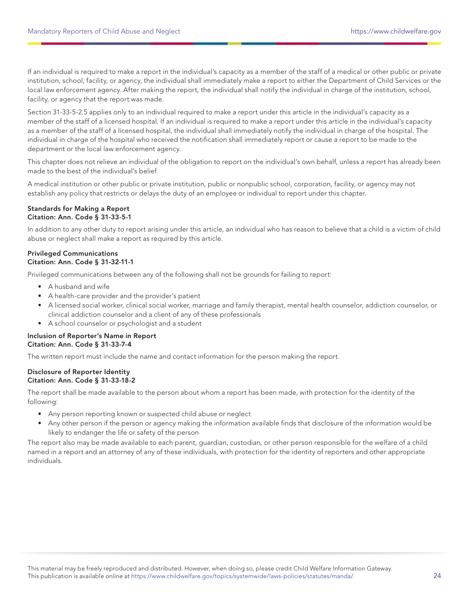If an individual is required to make a report in the individual's capacity as a member of the staff of a medical or other public or private institution, school, facility, or agency, the individual shall immediately make a report to either the Department of Child Services or the local law enforcement agency. After making the report, the individual shall notify the individual in charge of the institution, school, facility, or agency that the report was made.

Section 31-33-5-2.5 applies only to an individual required to make a report under this article in the individual's capacity as a member of the staff of a licensed hospital. If an individual is required to make a report under this article in the individual's capacity as a member of the staff of a licensed hospital, the individual shall immediately notify the individual in charge of the hospital. The individual in charge of the hospital who received the notification shall immediately report or cause a report to be made to the department or the local law enforcement agency.

This chapter does not relieve an individual of the obligation to report on the individual's own behalf, unless a report has already been made to the best of the individual's belief.

A medical institution or other public or private institution, public or nonpublic school, corporation, facility, or agency may not establish any policy that restricts or delays the duty of an employee or individual to report under this chapter.

#### Standards for Making a Report Citation: Ann. Code § 31-33-5-1

In addition to any other duty to report arising under this article, an individual who has reason to believe that a child is a victim of child abuse or neglect shall make a report as required by this article.

## Privileged Communications Citation: Ann. Code § 31-32-11-1

Privileged communications between any of the following shall not be grounds for failing to report:

- A husband and wife
- A health-care provider and the provider's patient
- A licensed social worker, clinical social worker, marriage and family therapist, mental health counselor, addiction counselor, or clinical addiction counselor and a client of any of these professionals
- A school counselor or psychologist and a student

## Inclusion of Reporter's Name in Report Citation: Ann. Code § 31-33-7-4

The written report must include the name and contact information for the person making the report.

#### Disclosure of Reporter Identity Citation: Ann. Code § 31-33-18-2

The report shall be made available to the person about whom a report has been made, with protection for the identity of the following:

- Any person reporting known or suspected child abuse or neglect
- Any other person if the person or agency making the information available finds that disclosure of the information would be likely to endanger the life or safety of the person

The report also may be made available to each parent, guardian, custodian, or other person responsible for the welfare of a child named in a report and an attorney of any of these individuals, with protection for the identity of reporters and other appropriate individuals.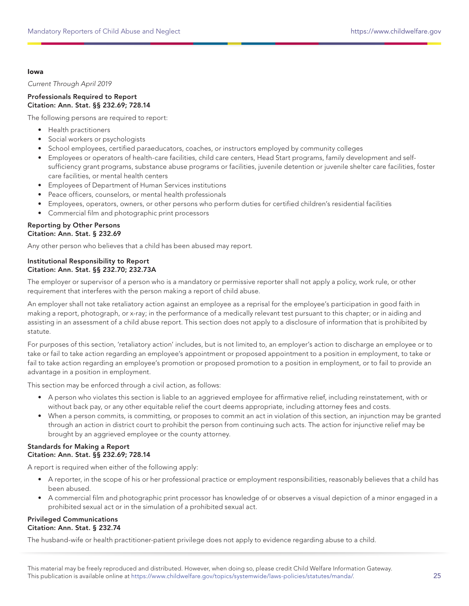### Iowa

Current Through April 2019

## Professionals Required to Report Citation: Ann. Stat. §§ 232.69; 728.14

The following persons are required to report:

- Health practitioners
- Social workers or psychologists
- School employees, certified paraeducators, coaches, or instructors employed by community colleges
- Employees or operators of health-care facilities, child care centers, Head Start programs, family development and selfsufficiency grant programs, substance abuse programs or facilities, juvenile detention or juvenile shelter care facilities, foster care facilities, or mental health centers
- Employees of Department of Human Services institutions
- Peace officers, counselors, or mental health professionals
- Employees, operators, owners, or other persons who perform duties for certified children's residential facilities
- Commercial film and photographic print processors

## Reporting by Other Persons Citation: Ann. Stat. § 232.69

Any other person who believes that a child has been abused may report.

## Institutional Responsibility to Report Citation: Ann. Stat. §§ 232.70; 232.73A

The employer or supervisor of a person who is a mandatory or permissive reporter shall not apply a policy, work rule, or other requirement that interferes with the person making a report of child abuse.

An employer shall not take retaliatory action against an employee as a reprisal for the employee's participation in good faith in making a report, photograph, or x-ray; in the performance of a medically relevant test pursuant to this chapter; or in aiding and assisting in an assessment of a child abuse report. This section does not apply to a disclosure of information that is prohibited by statute.

For purposes of this section, 'retaliatory action' includes, but is not limited to, an employer's action to discharge an employee or to take or fail to take action regarding an employee's appointment or proposed appointment to a position in employment, to take or fail to take action regarding an employee's promotion or proposed promotion to a position in employment, or to fail to provide an advantage in a position in employment.

This section may be enforced through a civil action, as follows:

- A person who violates this section is liable to an aggrieved employee for affirmative relief, including reinstatement, with or without back pay, or any other equitable relief the court deems appropriate, including attorney fees and costs.
- When a person commits, is committing, or proposes to commit an act in violation of this section, an injunction may be granted through an action in district court to prohibit the person from continuing such acts. The action for injunctive relief may be brought by an aggrieved employee or the county attorney.

## Standards for Making a Report Citation: Ann. Stat. §§ 232.69; 728.14

A report is required when either of the following apply:

- A reporter, in the scope of his or her professional practice or employment responsibilities, reasonably believes that a child has been abused.
- A commercial film and photographic print processor has knowledge of or observes a visual depiction of a minor engaged in a prohibited sexual act or in the simulation of a prohibited sexual act.

## Privileged Communications Citation: Ann. Stat. § 232.74

The husband-wife or health practitioner-patient privilege does not apply to evidence regarding abuse to a child.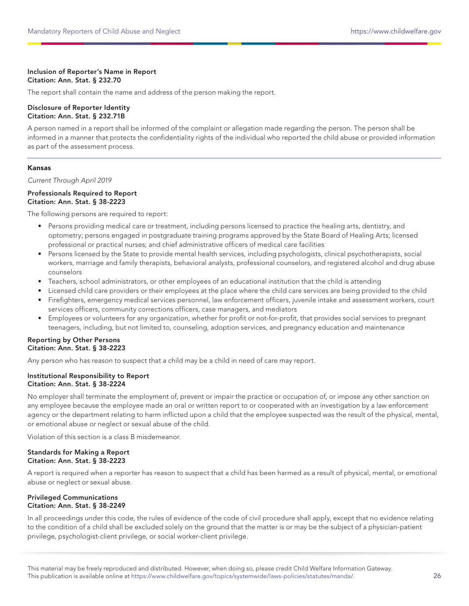## Inclusion of Reporter's Name in Report Citation: Ann. Stat. § 232.70

The report shall contain the name and address of the person making the report.

#### Disclosure of Reporter Identity Citation: Ann. Stat. § 232.71B

A person named in a report shall be informed of the complaint or allegation made regarding the person. The person shall be informed in a manner that protects the confidentiality rights of the individual who reported the child abuse or provided information as part of the assessment process.

## Kansas

Current Through April 2019

## Professionals Required to Report Citation: Ann. Stat. § 38-2223

The following persons are required to report:

- Persons providing medical care or treatment, including persons licensed to practice the healing arts, dentistry, and optometry; persons engaged in postgraduate training programs approved by the State Board of Healing Arts; licensed professional or practical nurses; and chief administrative officers of medical care facilities
- Persons licensed by the State to provide mental health services, including psychologists, clinical psychotherapists, social workers, marriage and family therapists, behavioral analysts, professional counselors, and registered alcohol and drug abuse counselors
- Teachers, school administrators, or other employees of an educational institution that the child is attending
- Licensed child care providers or their employees at the place where the child care services are being provided to the child
- Firefighters, emergency medical services personnel, law enforcement officers, juvenile intake and assessment workers, court services officers, community corrections officers, case managers, and mediators
- Employees or volunteers for any organization, whether for profit or not-for-profit, that provides social services to pregnant teenagers, including, but not limited to, counseling, adoption services, and pregnancy education and maintenance

## Reporting by Other Persons Citation: Ann. Stat. § 38-2223

Any person who has reason to suspect that a child may be a child in need of care may report.

#### Institutional Responsibility to Report Citation: Ann. Stat. § 38-2224

No employer shall terminate the employment of, prevent or impair the practice or occupation of, or impose any other sanction on any employee because the employee made an oral or written report to or cooperated with an investigation by a law enforcement agency or the department relating to harm inflicted upon a child that the employee suspected was the result of the physical, mental, or emotional abuse or neglect or sexual abuse of the child.

Violation of this section is a class B misdemeanor.

## Standards for Making a Report Citation: Ann. Stat. § 38-2223

A report is required when a reporter has reason to suspect that a child has been harmed as a result of physical, mental, or emotional abuse or neglect or sexual abuse.

## Privileged Communications Citation: Ann. Stat. § 38-2249

In all proceedings under this code, the rules of evidence of the code of civil procedure shall apply, except that no evidence relating to the condition of a child shall be excluded solely on the ground that the matter is or may be the subject of a physician-patient privilege, psychologist-client privilege, or social worker-client privilege.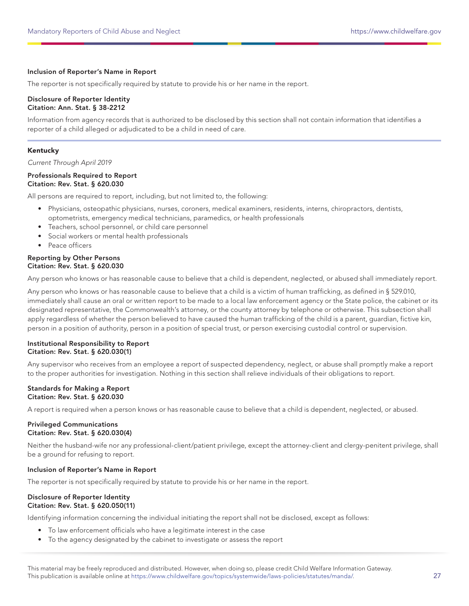## Inclusion of Reporter's Name in Report

The reporter is not specifically required by statute to provide his or her name in the report.

#### Disclosure of Reporter Identity Citation: Ann. Stat. § 38-2212

Information from agency records that is authorized to be disclosed by this section shall not contain information that identifies a reporter of a child alleged or adjudicated to be a child in need of care.

## Kentucky

Current Through April 2019

#### Professionals Required to Report Citation: Rev. Stat. § 620.030

All persons are required to report, including, but not limited to, the following:

- Physicians, osteopathic physicians, nurses, coroners, medical examiners, residents, interns, chiropractors, dentists, optometrists, emergency medical technicians, paramedics, or health professionals
- Teachers, school personnel, or child care personnel
- Social workers or mental health professionals
- Peace officers

## Reporting by Other Persons Citation: Rev. Stat. § 620.030

Any person who knows or has reasonable cause to believe that a child is dependent, neglected, or abused shall immediately report.

Any person who knows or has reasonable cause to believe that a child is a victim of human trafficking, as defined in § 529.010, immediately shall cause an oral or written report to be made to a local law enforcement agency or the State police, the cabinet or its designated representative, the Commonwealth's attorney, or the county attorney by telephone or otherwise. This subsection shall apply regardless of whether the person believed to have caused the human trafficking of the child is a parent, guardian, fictive kin, person in a position of authority, person in a position of special trust, or person exercising custodial control or supervision.

#### Institutional Responsibility to Report Citation: Rev. Stat. § 620.030(1)

Any supervisor who receives from an employee a report of suspected dependency, neglect, or abuse shall promptly make a report to the proper authorities for investigation. Nothing in this section shall relieve individuals of their obligations to report.

#### Standards for Making a Report Citation: Rev. Stat. § 620.030

A report is required when a person knows or has reasonable cause to believe that a child is dependent, neglected, or abused.

#### Privileged Communications Citation: Rev. Stat. § 620.030(4)

Neither the husband-wife nor any professional-client/patient privilege, except the attorney-client and clergy-penitent privilege, shall be a ground for refusing to report.

## Inclusion of Reporter's Name in Report

The reporter is not specifically required by statute to provide his or her name in the report.

## Disclosure of Reporter Identity Citation: Rev. Stat. § 620.050(11)

Identifying information concerning the individual initiating the report shall not be disclosed, except as follows:

- To law enforcement officials who have a legitimate interest in the case
- To the agency designated by the cabinet to investigate or assess the report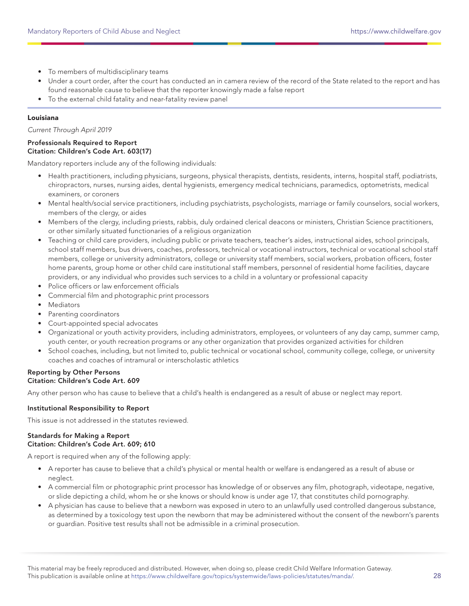- To members of multidisciplinary teams
- Under a court order, after the court has conducted an in camera review of the record of the State related to the report and has found reasonable cause to believe that the reporter knowingly made a false report
- To the external child fatality and near-fatality review panel

## Louisiana

Current Through April 2019

#### Professionals Required to Report Citation: Children's Code Art. 603(17)

Mandatory reporters include any of the following individuals:

- Health practitioners, including physicians, surgeons, physical therapists, dentists, residents, interns, hospital staff, podiatrists, chiropractors, nurses, nursing aides, dental hygienists, emergency medical technicians, paramedics, optometrists, medical examiners, or coroners
- Mental health/social service practitioners, including psychiatrists, psychologists, marriage or family counselors, social workers, members of the clergy, or aides
- Members of the clergy, including priests, rabbis, duly ordained clerical deacons or ministers, Christian Science practitioners, or other similarly situated functionaries of a religious organization
- Teaching or child care providers, including public or private teachers, teacher's aides, instructional aides, school principals, school staff members, bus drivers, coaches, professors, technical or vocational instructors, technical or vocational school staff members, college or university administrators, college or university staff members, social workers, probation officers, foster home parents, group home or other child care institutional staff members, personnel of residential home facilities, daycare providers, or any individual who provides such services to a child in a voluntary or professional capacity
- Police officers or law enforcement officials
- Commercial film and photographic print processors
- Mediators
- Parenting coordinators
- Court-appointed special advocates
- Organizational or youth activity providers, including administrators, employees, or volunteers of any day camp, summer camp, youth center, or youth recreation programs or any other organization that provides organized activities for children
- School coaches, including, but not limited to, public technical or vocational school, community college, college, or university coaches and coaches of intramural or interscholastic athletics

## Reporting by Other Persons Citation: Children's Code Art. 609

Any other person who has cause to believe that a child's health is endangered as a result of abuse or neglect may report.

## Institutional Responsibility to Report

This issue is not addressed in the statutes reviewed.

## Standards for Making a Report Citation: Children's Code Art. 609; 610

A report is required when any of the following apply:

- A reporter has cause to believe that a child's physical or mental health or welfare is endangered as a result of abuse or neglect.
- A commercial film or photographic print processor has knowledge of or observes any film, photograph, videotape, negative, or slide depicting a child, whom he or she knows or should know is under age 17, that constitutes child pornography.
- A physician has cause to believe that a newborn was exposed in utero to an unlawfully used controlled dangerous substance, as determined by a toxicology test upon the newborn that may be administered without the consent of the newborn's parents or guardian. Positive test results shall not be admissible in a criminal prosecution.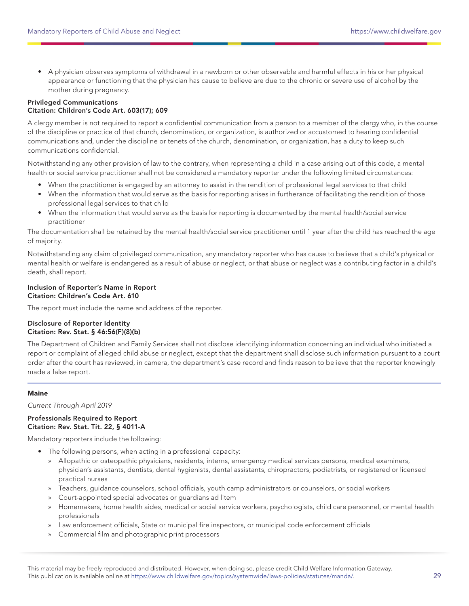• A physician observes symptoms of withdrawal in a newborn or other observable and harmful effects in his or her physical appearance or functioning that the physician has cause to believe are due to the chronic or severe use of alcohol by the mother during pregnancy.

## Privileged Communications Citation: Children's Code Art. 603(17); 609

A clergy member is not required to report a confidential communication from a person to a member of the clergy who, in the course of the discipline or practice of that church, denomination, or organization, is authorized or accustomed to hearing confidential communications and, under the discipline or tenets of the church, denomination, or organization, has a duty to keep such communications confidential.

Notwithstanding any other provision of law to the contrary, when representing a child in a case arising out of this code, a mental health or social service practitioner shall not be considered a mandatory reporter under the following limited circumstances:

- When the practitioner is engaged by an attorney to assist in the rendition of professional legal services to that child
- When the information that would serve as the basis for reporting arises in furtherance of facilitating the rendition of those professional legal services to that child
- When the information that would serve as the basis for reporting is documented by the mental health/social service practitioner

The documentation shall be retained by the mental health/social service practitioner until 1 year after the child has reached the age of majority.

Notwithstanding any claim of privileged communication, any mandatory reporter who has cause to believe that a child's physical or mental health or welfare is endangered as a result of abuse or neglect, or that abuse or neglect was a contributing factor in a child's death, shall report.

## Inclusion of Reporter's Name in Report Citation: Children's Code Art. 610

The report must include the name and address of the reporter.

## Disclosure of Reporter Identity Citation: Rev. Stat. § 46:56(F)(8)(b)

The Department of Children and Family Services shall not disclose identifying information concerning an individual who initiated a report or complaint of alleged child abuse or neglect, except that the department shall disclose such information pursuant to a court order after the court has reviewed, in camera, the department's case record and finds reason to believe that the reporter knowingly made a false report.

## Maine

Current Through April 2019

## Professionals Required to Report Citation: Rev. Stat. Tit. 22, § 4011-A

Mandatory reporters include the following:

- The following persons, when acting in a professional capacity:
	- » Allopathic or osteopathic physicians, residents, interns, emergency medical services persons, medical examiners, physician's assistants, dentists, dental hygienists, dental assistants, chiropractors, podiatrists, or registered or licensed practical nurses
	- » Teachers, guidance counselors, school officials, youth camp administrators or counselors, or social workers
	- » Court-appointed special advocates or guardians ad litem
	- » Homemakers, home health aides, medical or social service workers, psychologists, child care personnel, or mental health professionals
	- » Law enforcement officials, State or municipal fire inspectors, or municipal code enforcement officials
	- » Commercial film and photographic print processors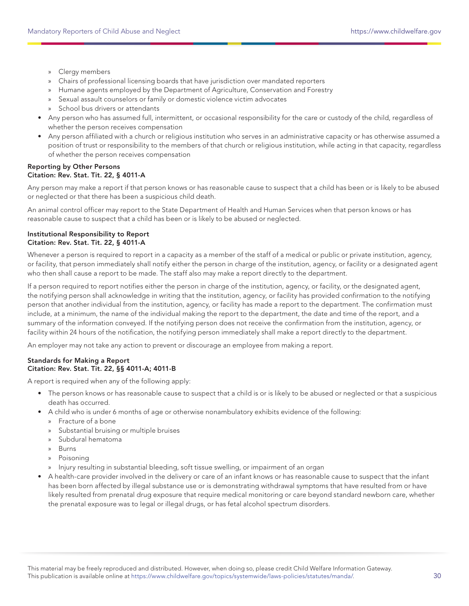- » Clergy members
- » Chairs of professional licensing boards that have jurisdiction over mandated reporters
- » Humane agents employed by the Department of Agriculture, Conservation and Forestry
- » Sexual assault counselors or family or domestic violence victim advocates
- » School bus drivers or attendants
- Any person who has assumed full, intermittent, or occasional responsibility for the care or custody of the child, regardless of whether the person receives compensation
- Any person affiliated with a church or religious institution who serves in an administrative capacity or has otherwise assumed a position of trust or responsibility to the members of that church or religious institution, while acting in that capacity, regardless of whether the person receives compensation

## Reporting by Other Persons Citation: Rev. Stat. Tit. 22, § 4011-A

Any person may make a report if that person knows or has reasonable cause to suspect that a child has been or is likely to be abused or neglected or that there has been a suspicious child death.

An animal control officer may report to the State Department of Health and Human Services when that person knows or has reasonable cause to suspect that a child has been or is likely to be abused or neglected.

## Institutional Responsibility to Report Citation: Rev. Stat. Tit. 22, § 4011-A

Whenever a person is required to report in a capacity as a member of the staff of a medical or public or private institution, agency, or facility, that person immediately shall notify either the person in charge of the institution, agency, or facility or a designated agent who then shall cause a report to be made. The staff also may make a report directly to the department.

If a person required to report notifies either the person in charge of the institution, agency, or facility, or the designated agent, the notifying person shall acknowledge in writing that the institution, agency, or facility has provided confirmation to the notifying person that another individual from the institution, agency, or facility has made a report to the department. The confirmation must include, at a minimum, the name of the individual making the report to the department, the date and time of the report, and a summary of the information conveyed. If the notifying person does not receive the confirmation from the institution, agency, or facility within 24 hours of the notification, the notifying person immediately shall make a report directly to the department.

An employer may not take any action to prevent or discourage an employee from making a report.

## Standards for Making a Report Citation: Rev. Stat. Tit. 22, §§ 4011-A; 4011-B

A report is required when any of the following apply:

- The person knows or has reasonable cause to suspect that a child is or is likely to be abused or neglected or that a suspicious death has occurred.
- A child who is under 6 months of age or otherwise nonambulatory exhibits evidence of the following:
	- » Fracture of a bone
	- » Substantial bruising or multiple bruises
	- » Subdural hematoma
	- » Burns
	- » Poisoning
	- » Injury resulting in substantial bleeding, soft tissue swelling, or impairment of an organ
- A health-care provider involved in the delivery or care of an infant knows or has reasonable cause to suspect that the infant has been born affected by illegal substance use or is demonstrating withdrawal symptoms that have resulted from or have likely resulted from prenatal drug exposure that require medical monitoring or care beyond standard newborn care, whether the prenatal exposure was to legal or illegal drugs, or has fetal alcohol spectrum disorders.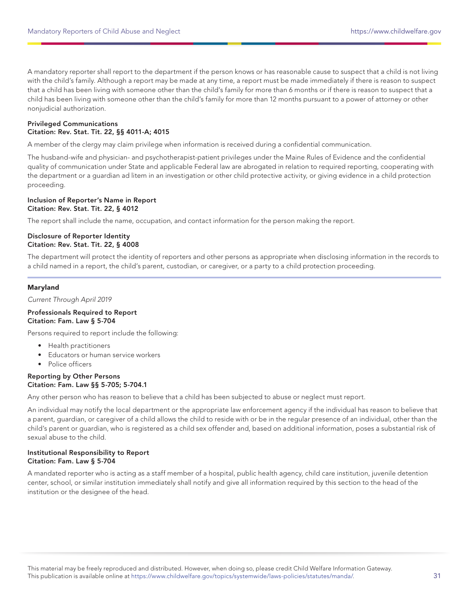A mandatory reporter shall report to the department if the person knows or has reasonable cause to suspect that a child is not living with the child's family. Although a report may be made at any time, a report must be made immediately if there is reason to suspect that a child has been living with someone other than the child's family for more than 6 months or if there is reason to suspect that a child has been living with someone other than the child's family for more than 12 months pursuant to a power of attorney or other nonjudicial authorization.

## Privileged Communications Citation: Rev. Stat. Tit. 22, §§ 4011-A; 4015

A member of the clergy may claim privilege when information is received during a confidential communication.

The husband-wife and physician- and psychotherapist-patient privileges under the Maine Rules of Evidence and the confidential quality of communication under State and applicable Federal law are abrogated in relation to required reporting, cooperating with the department or a guardian ad litem in an investigation or other child protective activity, or giving evidence in a child protection proceeding.

#### Inclusion of Reporter's Name in Report Citation: Rev. Stat. Tit. 22, § 4012

The report shall include the name, occupation, and contact information for the person making the report.

#### Disclosure of Reporter Identity Citation: Rev. Stat. Tit. 22, § 4008

The department will protect the identity of reporters and other persons as appropriate when disclosing information in the records to a child named in a report, the child's parent, custodian, or caregiver, or a party to a child protection proceeding.

## Maryland

Current Through April 2019

#### Professionals Required to Report Citation: Fam. Law § 5-704

Persons required to report include the following:

- Health practitioners
- Educators or human service workers
- Police officers

## Reporting by Other Persons Citation: Fam. Law §§ 5-705; 5-704.1

Any other person who has reason to believe that a child has been subjected to abuse or neglect must report.

An individual may notify the local department or the appropriate law enforcement agency if the individual has reason to believe that a parent, guardian, or caregiver of a child allows the child to reside with or be in the regular presence of an individual, other than the child's parent or guardian, who is registered as a child sex offender and, based on additional information, poses a substantial risk of sexual abuse to the child.

## Institutional Responsibility to Report Citation: Fam. Law § 5-704

A mandated reporter who is acting as a staff member of a hospital, public health agency, child care institution, juvenile detention center, school, or similar institution immediately shall notify and give all information required by this section to the head of the institution or the designee of the head.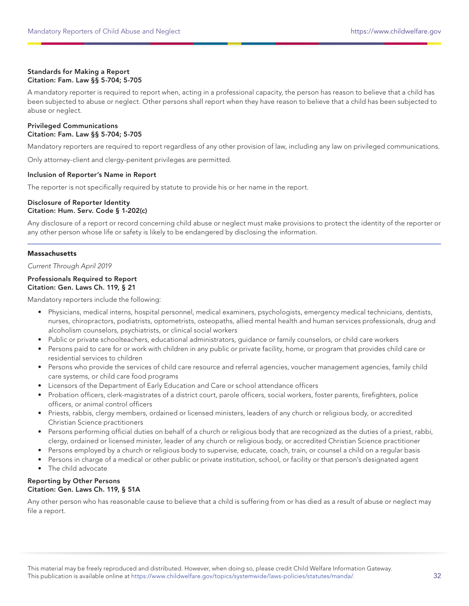## Standards for Making a Report Citation: Fam. Law §§ 5-704; 5-705

A mandatory reporter is required to report when, acting in a professional capacity, the person has reason to believe that a child has been subjected to abuse or neglect. Other persons shall report when they have reason to believe that a child has been subjected to abuse or neglect.

## Privileged Communications Citation: Fam. Law §§ 5-704; 5-705

Mandatory reporters are required to report regardless of any other provision of law, including any law on privileged communications.

Only attorney-client and clergy-penitent privileges are permitted.

## Inclusion of Reporter's Name in Report

The reporter is not specifically required by statute to provide his or her name in the report.

## Disclosure of Reporter Identity Citation: Hum. Serv. Code § 1-202(c)

Any disclosure of a report or record concerning child abuse or neglect must make provisions to protect the identity of the reporter or any other person whose life or safety is likely to be endangered by disclosing the information.

## **Massachusetts**

Current Through April 2019

## Professionals Required to Report Citation: Gen. Laws Ch. 119, § 21

Mandatory reporters include the following:

- Physicians, medical interns, hospital personnel, medical examiners, psychologists, emergency medical technicians, dentists, nurses, chiropractors, podiatrists, optometrists, osteopaths, allied mental health and human services professionals, drug and alcoholism counselors, psychiatrists, or clinical social workers
- Public or private schoolteachers, educational administrators, guidance or family counselors, or child care workers
- Persons paid to care for or work with children in any public or private facility, home, or program that provides child care or residential services to children
- Persons who provide the services of child care resource and referral agencies, voucher management agencies, family child care systems, or child care food programs
- Licensors of the Department of Early Education and Care or school attendance officers
- Probation officers, clerk-magistrates of a district court, parole officers, social workers, foster parents, firefighters, police officers, or animal control officers
- Priests, rabbis, clergy members, ordained or licensed ministers, leaders of any church or religious body, or accredited Christian Science practitioners
- Persons performing official duties on behalf of a church or religious body that are recognized as the duties of a priest, rabbi, clergy, ordained or licensed minister, leader of any church or religious body, or accredited Christian Science practitioner
- Persons employed by a church or religious body to supervise, educate, coach, train, or counsel a child on a regular basis
- Persons in charge of a medical or other public or private institution, school, or facility or that person's designated agent
- The child advocate

## Reporting by Other Persons Citation: Gen. Laws Ch. 119, § 51A

Any other person who has reasonable cause to believe that a child is suffering from or has died as a result of abuse or neglect may file a report.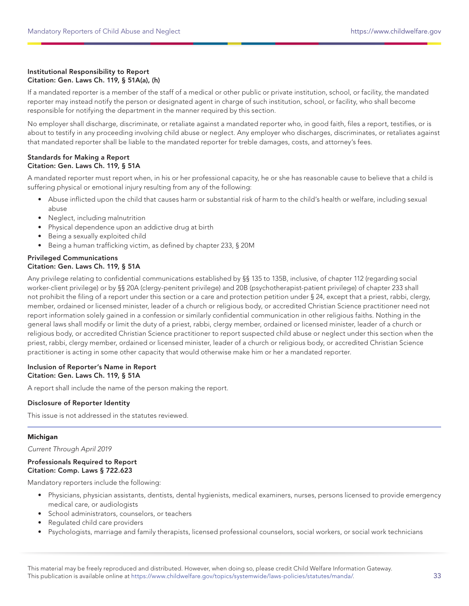## Institutional Responsibility to Report Citation: Gen. Laws Ch. 119, § 51A(a), (h)

If a mandated reporter is a member of the staff of a medical or other public or private institution, school, or facility, the mandated reporter may instead notify the person or designated agent in charge of such institution, school, or facility, who shall become responsible for notifying the department in the manner required by this section.

No employer shall discharge, discriminate, or retaliate against a mandated reporter who, in good faith, files a report, testifies, or is about to testify in any proceeding involving child abuse or neglect. Any employer who discharges, discriminates, or retaliates against that mandated reporter shall be liable to the mandated reporter for treble damages, costs, and attorney's fees.

## Standards for Making a Report Citation: Gen. Laws Ch. 119, § 51A

A mandated reporter must report when, in his or her professional capacity, he or she has reasonable cause to believe that a child is suffering physical or emotional injury resulting from any of the following:

- Abuse inflicted upon the child that causes harm or substantial risk of harm to the child's health or welfare, including sexual abuse
- Neglect, including malnutrition
- Physical dependence upon an addictive drug at birth
- Being a sexually exploited child
- Being a human trafficking victim, as defined by chapter 233, § 20M

## Privileged Communications Citation: Gen. Laws Ch. 119, § 51A

Any privilege relating to confidential communications established by §§ 135 to 135B, inclusive, of chapter 112 (regarding social worker-client privilege) or by §§ 20A (clergy-penitent privilege) and 20B (psychotherapist-patient privilege) of chapter 233 shall not prohibit the filing of a report under this section or a care and protection petition under § 24, except that a priest, rabbi, clergy, member, ordained or licensed minister, leader of a church or religious body, or accredited Christian Science practitioner need not report information solely gained in a confession or similarly confidential communication in other religious faiths. Nothing in the general laws shall modify or limit the duty of a priest, rabbi, clergy member, ordained or licensed minister, leader of a church or religious body, or accredited Christian Science practitioner to report suspected child abuse or neglect under this section when the priest, rabbi, clergy member, ordained or licensed minister, leader of a church or religious body, or accredited Christian Science practitioner is acting in some other capacity that would otherwise make him or her a mandated reporter.

## Inclusion of Reporter's Name in Report Citation: Gen. Laws Ch. 119, § 51A

A report shall include the name of the person making the report.

## Disclosure of Reporter Identity

This issue is not addressed in the statutes reviewed.

## Michigan

Current Through April 2019

## Professionals Required to Report Citation: Comp. Laws § 722.623

Mandatory reporters include the following:

- Physicians, physician assistants, dentists, dental hygienists, medical examiners, nurses, persons licensed to provide emergency medical care, or audiologists
- School administrators, counselors, or teachers
- Regulated child care providers
- Psychologists, marriage and family therapists, licensed professional counselors, social workers, or social work technicians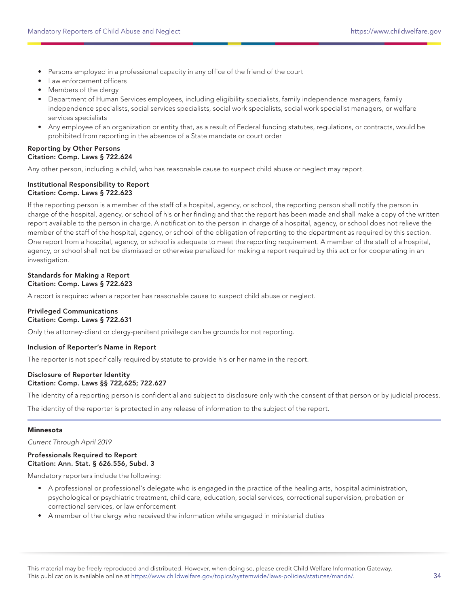- Persons employed in a professional capacity in any office of the friend of the court
- Law enforcement officers
- Members of the clergy
- Department of Human Services employees, including eligibility specialists, family independence managers, family independence specialists, social services specialists, social work specialists, social work specialist managers, or welfare services specialists
- Any employee of an organization or entity that, as a result of Federal funding statutes, regulations, or contracts, would be prohibited from reporting in the absence of a State mandate or court order

## Reporting by Other Persons Citation: Comp. Laws § 722.624

Any other person, including a child, who has reasonable cause to suspect child abuse or neglect may report.

## Institutional Responsibility to Report Citation: Comp. Laws § 722.623

If the reporting person is a member of the staff of a hospital, agency, or school, the reporting person shall notify the person in charge of the hospital, agency, or school of his or her finding and that the report has been made and shall make a copy of the written report available to the person in charge. A notification to the person in charge of a hospital, agency, or school does not relieve the member of the staff of the hospital, agency, or school of the obligation of reporting to the department as required by this section. One report from a hospital, agency, or school is adequate to meet the reporting requirement. A member of the staff of a hospital, agency, or school shall not be dismissed or otherwise penalized for making a report required by this act or for cooperating in an investigation.

## Standards for Making a Report Citation: Comp. Laws § 722.623

A report is required when a reporter has reasonable cause to suspect child abuse or neglect.

#### Privileged Communications Citation: Comp. Laws § 722.631

Only the attorney-client or clergy-penitent privilege can be grounds for not reporting.

## Inclusion of Reporter's Name in Report

The reporter is not specifically required by statute to provide his or her name in the report.

## Disclosure of Reporter Identity Citation: Comp. Laws §§ 722,625; 722.627

The identity of a reporting person is confidential and subject to disclosure only with the consent of that person or by judicial process.

The identity of the reporter is protected in any release of information to the subject of the report.

## Minnesota

Current Through April 2019

### Professionals Required to Report Citation: Ann. Stat. § 626.556, Subd. 3

Mandatory reporters include the following:

- A professional or professional's delegate who is engaged in the practice of the healing arts, hospital administration, psychological or psychiatric treatment, child care, education, social services, correctional supervision, probation or correctional services, or law enforcement
- A member of the clergy who received the information while engaged in ministerial duties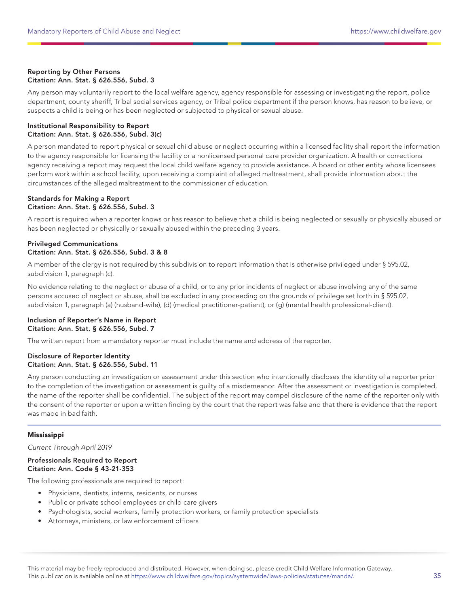## Reporting by Other Persons Citation: Ann. Stat. § 626.556, Subd. 3

Any person may voluntarily report to the local welfare agency, agency responsible for assessing or investigating the report, police department, county sheriff, Tribal social services agency, or Tribal police department if the person knows, has reason to believe, or suspects a child is being or has been neglected or subjected to physical or sexual abuse.

#### Institutional Responsibility to Report Citation: Ann. Stat. § 626.556, Subd. 3(c)

A person mandated to report physical or sexual child abuse or neglect occurring within a licensed facility shall report the information to the agency responsible for licensing the facility or a nonlicensed personal care provider organization. A health or corrections agency receiving a report may request the local child welfare agency to provide assistance. A board or other entity whose licensees perform work within a school facility, upon receiving a complaint of alleged maltreatment, shall provide information about the circumstances of the alleged maltreatment to the commissioner of education.

## Standards for Making a Report Citation: Ann. Stat. § 626.556, Subd. 3

A report is required when a reporter knows or has reason to believe that a child is being neglected or sexually or physically abused or has been neglected or physically or sexually abused within the preceding 3 years.

## Privileged Communications Citation: Ann. Stat. § 626.556, Subd. 3 & 8

A member of the clergy is not required by this subdivision to report information that is otherwise privileged under § 595.02, subdivision 1, paragraph (c).

No evidence relating to the neglect or abuse of a child, or to any prior incidents of neglect or abuse involving any of the same persons accused of neglect or abuse, shall be excluded in any proceeding on the grounds of privilege set forth in § 595.02, subdivision 1, paragraph (a) (husband-wife), (d) (medical practitioner-patient), or (g) (mental health professional-client).

## Inclusion of Reporter's Name in Report Citation: Ann. Stat. § 626.556, Subd. 7

The written report from a mandatory reporter must include the name and address of the reporter.

## Disclosure of Reporter Identity Citation: Ann. Stat. § 626.556, Subd. 11

Any person conducting an investigation or assessment under this section who intentionally discloses the identity of a reporter prior to the completion of the investigation or assessment is guilty of a misdemeanor. After the assessment or investigation is completed, the name of the reporter shall be confidential. The subject of the report may compel disclosure of the name of the reporter only with the consent of the reporter or upon a written finding by the court that the report was false and that there is evidence that the report was made in bad faith.

## Mississippi

Current Through April 2019

## Professionals Required to Report Citation: Ann. Code § 43-21-353

The following professionals are required to report:

- Physicians, dentists, interns, residents, or nurses
- Public or private school employees or child care givers
- Psychologists, social workers, family protection workers, or family protection specialists
- Attorneys, ministers, or law enforcement officers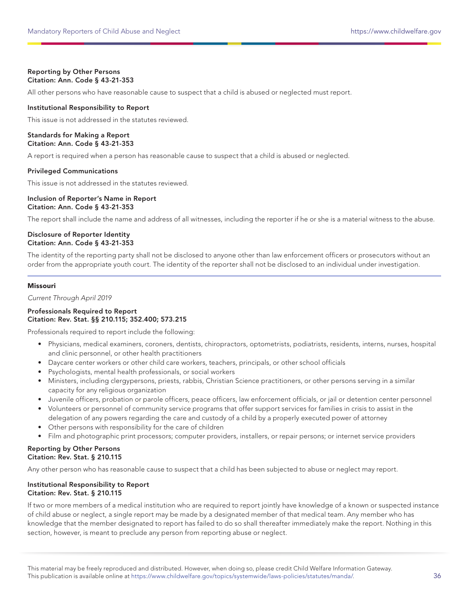## Reporting by Other Persons Citation: Ann. Code § 43-21-353

All other persons who have reasonable cause to suspect that a child is abused or neglected must report.

## Institutional Responsibility to Report

This issue is not addressed in the statutes reviewed.

## Standards for Making a Report Citation: Ann. Code § 43-21-353

A report is required when a person has reasonable cause to suspect that a child is abused or neglected.

## Privileged Communications

This issue is not addressed in the statutes reviewed.

#### Inclusion of Reporter's Name in Report Citation: Ann. Code § 43-21-353

The report shall include the name and address of all witnesses, including the reporter if he or she is a material witness to the abuse.

## Disclosure of Reporter Identity Citation: Ann. Code § 43-21-353

The identity of the reporting party shall not be disclosed to anyone other than law enforcement officers or prosecutors without an order from the appropriate youth court. The identity of the reporter shall not be disclosed to an individual under investigation.

## Missouri

Current Through April 2019

## Professionals Required to Report Citation: Rev. Stat. §§ 210.115; 352.400; 573.215

Professionals required to report include the following:

- Physicians, medical examiners, coroners, dentists, chiropractors, optometrists, podiatrists, residents, interns, nurses, hospital and clinic personnel, or other health practitioners
- Daycare center workers or other child care workers, teachers, principals, or other school officials
- Psychologists, mental health professionals, or social workers
- Ministers, including clergypersons, priests, rabbis, Christian Science practitioners, or other persons serving in a similar capacity for any religious organization
- Juvenile officers, probation or parole officers, peace officers, law enforcement officials, or jail or detention center personnel • Volunteers or personnel of community service programs that offer support services for families in crisis to assist in the
- delegation of any powers regarding the care and custody of a child by a properly executed power of attorney • Other persons with responsibility for the care of children
- Film and photographic print processors; computer providers, installers, or repair persons; or internet service providers

## Reporting by Other Persons Citation: Rev. Stat. § 210.115

Any other person who has reasonable cause to suspect that a child has been subjected to abuse or neglect may report.

## Institutional Responsibility to Report Citation: Rev. Stat. § 210.115

If two or more members of a medical institution who are required to report jointly have knowledge of a known or suspected instance of child abuse or neglect, a single report may be made by a designated member of that medical team. Any member who has knowledge that the member designated to report has failed to do so shall thereafter immediately make the report. Nothing in this section, however, is meant to preclude any person from reporting abuse or neglect.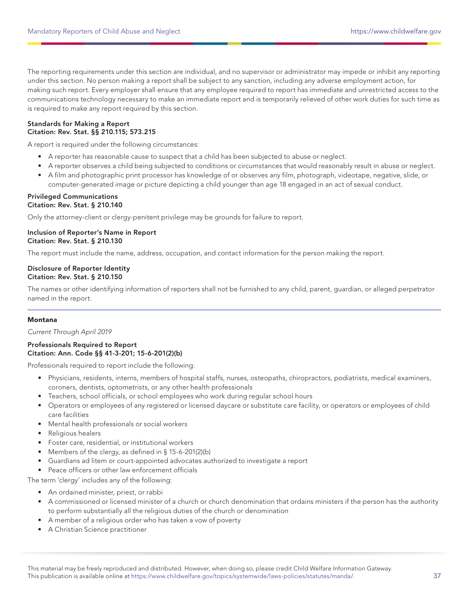The reporting requirements under this section are individual, and no supervisor or administrator may impede or inhibit any reporting under this section. No person making a report shall be subject to any sanction, including any adverse employment action, for making such report. Every employer shall ensure that any employee required to report has immediate and unrestricted access to the communications technology necessary to make an immediate report and is temporarily relieved of other work duties for such time as is required to make any report required by this section.

### Standards for Making a Report Citation: Rev. Stat. §§ 210.115; 573.215

A report is required under the following circumstances:

- A reporter has reasonable cause to suspect that a child has been subjected to abuse or neglect.
- A reporter observes a child being subjected to conditions or circumstances that would reasonably result in abuse or neglect.
- A film and photographic print processor has knowledge of or observes any film, photograph, videotape, negative, slide, or computer-generated image or picture depicting a child younger than age 18 engaged in an act of sexual conduct.

#### Privileged Communications Citation: Rev. Stat. § 210.140

Only the attorney-client or clergy-penitent privilege may be grounds for failure to report.

## Inclusion of Reporter's Name in Report Citation: Rev. Stat. § 210.130

The report must include the name, address, occupation, and contact information for the person making the report.

#### Disclosure of Reporter Identity Citation: Rev. Stat. § 210.150

The names or other identifying information of reporters shall not be furnished to any child, parent, guardian, or alleged perpetrator named in the report.

## Montana

Current Through April 2019

## Professionals Required to Report Citation: Ann. Code §§ 41-3-201; 15-6-201(2)(b)

Professionals required to report include the following:

- Physicians, residents, interns, members of hospital staffs, nurses, osteopaths, chiropractors, podiatrists, medical examiners, coroners, dentists, optometrists, or any other health professionals
- Teachers, school officials, or school employees who work during regular school hours
- Operators or employees of any registered or licensed daycare or substitute care facility, or operators or employees of child care facilities
- Mental health professionals or social workers
- Religious healers
- Foster care, residential, or institutional workers
- Members of the clergy, as defined in § 15-6-201(2)(b)
- Guardians ad litem or court-appointed advocates authorized to investigate a report
- Peace officers or other law enforcement officials

The term 'clergy' includes any of the following:

- An ordained minister, priest, or rabbi
- A commissioned or licensed minister of a church or church denomination that ordains ministers if the person has the authority to perform substantially all the religious duties of the church or denomination
- A member of a religious order who has taken a vow of poverty
- A Christian Science practitioner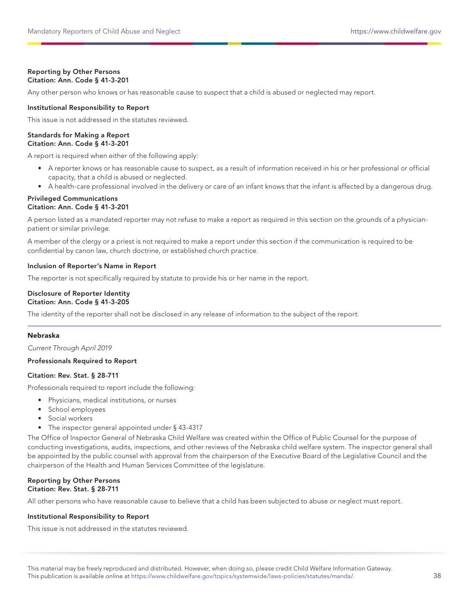## Reporting by Other Persons Citation: Ann. Code § 41-3-201

Any other person who knows or has reasonable cause to suspect that a child is abused or neglected may report.

## Institutional Responsibility to Report

This issue is not addressed in the statutes reviewed.

#### Standards for Making a Report Citation: Ann. Code § 41-3-201

A report is required when either of the following apply:

- A reporter knows or has reasonable cause to suspect, as a result of information received in his or her professional or official capacity, that a child is abused or neglected.
- A health-care professional involved in the delivery or care of an infant knows that the infant is affected by a dangerous drug.

#### Privileged Communications Citation: Ann. Code § 41-3-201

A person listed as a mandated reporter may not refuse to make a report as required in this section on the grounds of a physicianpatient or similar privilege.

A member of the clergy or a priest is not required to make a report under this section if the communication is required to be confidential by canon law, church doctrine, or established church practice.

## Inclusion of Reporter's Name in Report

The reporter is not specifically required by statute to provide his or her name in the report.

## Disclosure of Reporter Identity Citation: Ann. Code § 41-3-205

The identity of the reporter shall not be disclosed in any release of information to the subject of the report.

## Nebraska

Current Through April 2019

## Professionals Required to Report

#### Citation: Rev. Stat. § 28-711

Professionals required to report include the following:

- Physicians, medical institutions, or nurses
- School employees
- Social workers
- The inspector general appointed under § 43-4317

The Office of Inspector General of Nebraska Child Welfare was created within the Office of Public Counsel for the purpose of conducting investigations, audits, inspections, and other reviews of the Nebraska child welfare system. The inspector general shall be appointed by the public counsel with approval from the chairperson of the Executive Board of the Legislative Council and the chairperson of the Health and Human Services Committee of the legislature.

#### Reporting by Other Persons Citation: Rev. Stat. § 28-711

All other persons who have reasonable cause to believe that a child has been subjected to abuse or neglect must report.

## Institutional Responsibility to Report

This issue is not addressed in the statutes reviewed.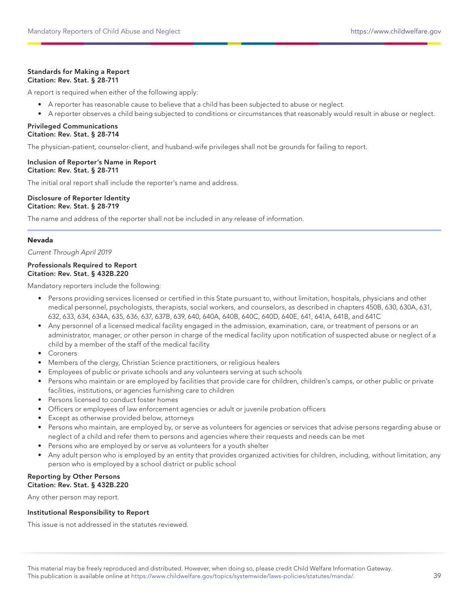## Standards for Making a Report Citation: Rev. Stat. § 28-711

A report is required when either of the following apply:

- A reporter has reasonable cause to believe that a child has been subjected to abuse or neglect.
- A reporter observes a child being subjected to conditions or circumstances that reasonably would result in abuse or neglect.

## Privileged Communications Citation: Rev. Stat. § 28-714

The physician-patient, counselor-client, and husband-wife privileges shall not be grounds for failing to report.

#### Inclusion of Reporter's Name in Report Citation: Rev. Stat. § 28-711

The initial oral report shall include the reporter's name and address.

#### Disclosure of Reporter Identity Citation: Rev. Stat. § 28-719

The name and address of the reporter shall not be included in any release of information.

## Nevada

Current Through April 2019

## Professionals Required to Report Citation: Rev. Stat. § 432B.220

Mandatory reporters include the following:

- Persons providing services licensed or certified in this State pursuant to, without limitation, hospitals, physicians and other medical personnel, psychologists, therapists, social workers, and counselors, as described in chapters 450B, 630, 630A, 631, 632, 633, 634, 634A, 635, 636, 637, 637B, 639, 640, 640A, 640B, 640C, 640D, 640E, 641, 641A, 641B, and 641C
- Any personnel of a licensed medical facility engaged in the admission, examination, care, or treatment of persons or an administrator, manager, or other person in charge of the medical facility upon notification of suspected abuse or neglect of a child by a member of the staff of the medical facility
- Coroners
- Members of the clergy, Christian Science practitioners, or religious healers
- Employees of public or private schools and any volunteers serving at such schools
- Persons who maintain or are employed by facilities that provide care for children, children's camps, or other public or private facilities, institutions, or agencies furnishing care to children
- Persons licensed to conduct foster homes
- Officers or employees of law enforcement agencies or adult or juvenile probation officers
- Except as otherwise provided below, attorneys
- Persons who maintain, are employed by, or serve as volunteers for agencies or services that advise persons regarding abuse or neglect of a child and refer them to persons and agencies where their requests and needs can be met
- Persons who are employed by or serve as volunteers for a youth shelter
- Any adult person who is employed by an entity that provides organized activities for children, including, without limitation, any person who is employed by a school district or public school

#### Reporting by Other Persons Citation: Rev. Stat. § 432B.220

Any other person may report.

#### Institutional Responsibility to Report

This issue is not addressed in the statutes reviewed.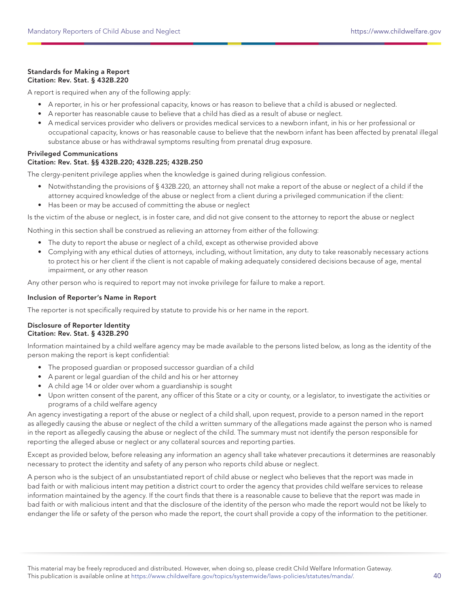## Standards for Making a Report Citation: Rev. Stat. § 432B.220

A report is required when any of the following apply:

- A reporter, in his or her professional capacity, knows or has reason to believe that a child is abused or neglected.
- A reporter has reasonable cause to believe that a child has died as a result of abuse or neglect.
- A medical services provider who delivers or provides medical services to a newborn infant, in his or her professional or occupational capacity, knows or has reasonable cause to believe that the newborn infant has been affected by prenatal illegal substance abuse or has withdrawal symptoms resulting from prenatal drug exposure.

## Privileged Communications

## Citation: Rev. Stat. §§ 432B.220; 432B.225; 432B.250

The clergy-penitent privilege applies when the knowledge is gained during religious confession.

- Notwithstanding the provisions of § 432B.220, an attorney shall not make a report of the abuse or neglect of a child if the attorney acquired knowledge of the abuse or neglect from a client during a privileged communication if the client:
- Has been or may be accused of committing the abuse or neglect

Is the victim of the abuse or neglect, is in foster care, and did not give consent to the attorney to report the abuse or neglect

Nothing in this section shall be construed as relieving an attorney from either of the following:

- The duty to report the abuse or neglect of a child, except as otherwise provided above
- Complying with any ethical duties of attorneys, including, without limitation, any duty to take reasonably necessary actions to protect his or her client if the client is not capable of making adequately considered decisions because of age, mental impairment, or any other reason

Any other person who is required to report may not invoke privilege for failure to make a report.

## Inclusion of Reporter's Name in Report

The reporter is not specifically required by statute to provide his or her name in the report.

## Disclosure of Reporter Identity Citation: Rev. Stat. § 432B.290

Information maintained by a child welfare agency may be made available to the persons listed below, as long as the identity of the person making the report is kept confidential:

- The proposed guardian or proposed successor guardian of a child
- A parent or legal guardian of the child and his or her attorney
- A child age 14 or older over whom a guardianship is sought
- Upon written consent of the parent, any officer of this State or a city or county, or a legislator, to investigate the activities or programs of a child welfare agency

An agency investigating a report of the abuse or neglect of a child shall, upon request, provide to a person named in the report as allegedly causing the abuse or neglect of the child a written summary of the allegations made against the person who is named in the report as allegedly causing the abuse or neglect of the child. The summary must not identify the person responsible for reporting the alleged abuse or neglect or any collateral sources and reporting parties.

Except as provided below, before releasing any information an agency shall take whatever precautions it determines are reasonably necessary to protect the identity and safety of any person who reports child abuse or neglect.

A person who is the subject of an unsubstantiated report of child abuse or neglect who believes that the report was made in bad faith or with malicious intent may petition a district court to order the agency that provides child welfare services to release information maintained by the agency. If the court finds that there is a reasonable cause to believe that the report was made in bad faith or with malicious intent and that the disclosure of the identity of the person who made the report would not be likely to endanger the life or safety of the person who made the report, the court shall provide a copy of the information to the petitioner.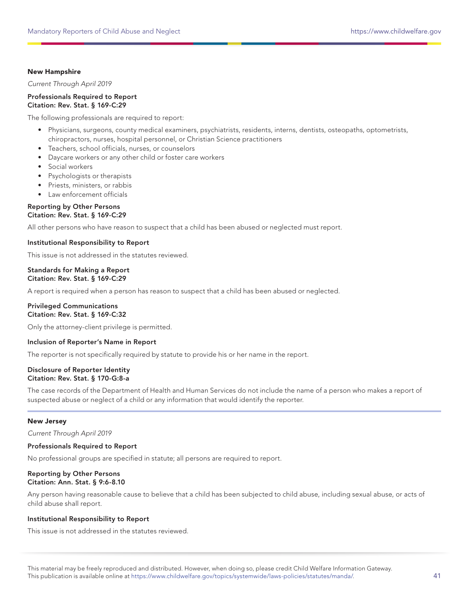## New Hampshire

Current Through April 2019

Professionals Required to Report Citation: Rev. Stat. § 169-C:29

The following professionals are required to report:

- Physicians, surgeons, county medical examiners, psychiatrists, residents, interns, dentists, osteopaths, optometrists, chiropractors, nurses, hospital personnel, or Christian Science practitioners
- Teachers, school officials, nurses, or counselors
- Daycare workers or any other child or foster care workers
- Social workers
- Psychologists or therapists
- Priests, ministers, or rabbis
- Law enforcement officials

#### Reporting by Other Persons Citation: Rev. Stat. § 169-C:29

All other persons who have reason to suspect that a child has been abused or neglected must report.

## Institutional Responsibility to Report

This issue is not addressed in the statutes reviewed.

#### Standards for Making a Report Citation: Rev. Stat. § 169-C:29

A report is required when a person has reason to suspect that a child has been abused or neglected.

## Privileged Communications Citation: Rev. Stat. § 169-C:32

Only the attorney-client privilege is permitted.

#### Inclusion of Reporter's Name in Report

The reporter is not specifically required by statute to provide his or her name in the report.

#### Disclosure of Reporter Identity Citation: Rev. Stat. § 170-G:8-a

The case records of the Department of Health and Human Services do not include the name of a person who makes a report of suspected abuse or neglect of a child or any information that would identify the reporter.

#### New Jersey

Current Through April 2019

#### Professionals Required to Report

No professional groups are specified in statute; all persons are required to report.

#### Reporting by Other Persons Citation: Ann. Stat. § 9:6-8.10

Any person having reasonable cause to believe that a child has been subjected to child abuse, including sexual abuse, or acts of child abuse shall report.

#### Institutional Responsibility to Report

This issue is not addressed in the statutes reviewed.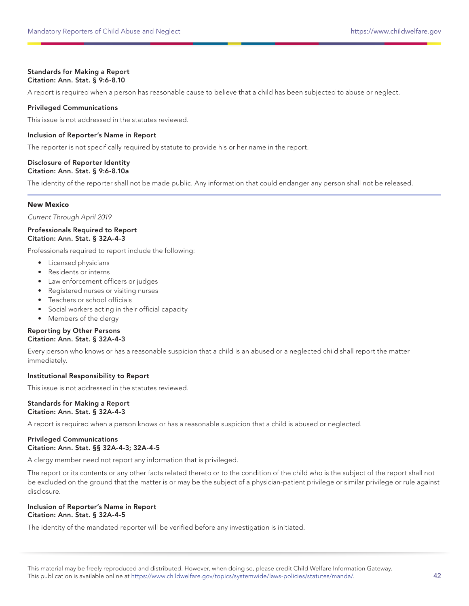#### Standards for Making a Report Citation: Ann. Stat. § 9:6-8.10

A report is required when a person has reasonable cause to believe that a child has been subjected to abuse or neglect.

## Privileged Communications

This issue is not addressed in the statutes reviewed.

## Inclusion of Reporter's Name in Report

The reporter is not specifically required by statute to provide his or her name in the report.

#### Disclosure of Reporter Identity Citation: Ann. Stat. § 9:6-8.10a

The identity of the reporter shall not be made public. Any information that could endanger any person shall not be released.

## New Mexico

Current Through April 2019

## Professionals Required to Report Citation: Ann. Stat. § 32A-4-3

Professionals required to report include the following:

- Licensed physicians
- Residents or interns
- Law enforcement officers or judges
- Registered nurses or visiting nurses
- Teachers or school officials
- Social workers acting in their official capacity
- Members of the clergy

## Reporting by Other Persons Citation: Ann. Stat. § 32A-4-3

Every person who knows or has a reasonable suspicion that a child is an abused or a neglected child shall report the matter immediately.

## Institutional Responsibility to Report

This issue is not addressed in the statutes reviewed.

#### Standards for Making a Report Citation: Ann. Stat. § 32A-4-3

A report is required when a person knows or has a reasonable suspicion that a child is abused or neglected.

## Privileged Communications Citation: Ann. Stat. §§ 32A-4-3; 32A-4-5

A clergy member need not report any information that is privileged.

The report or its contents or any other facts related thereto or to the condition of the child who is the subject of the report shall not be excluded on the ground that the matter is or may be the subject of a physician-patient privilege or similar privilege or rule against disclosure.

## Inclusion of Reporter's Name in Report Citation: Ann. Stat. § 32A-4-5

The identity of the mandated reporter will be verified before any investigation is initiated.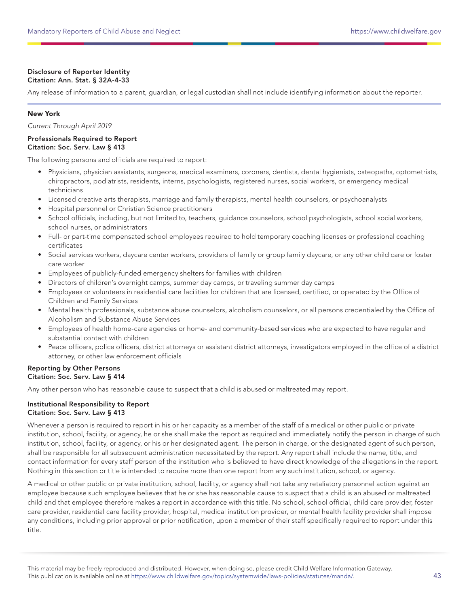## Disclosure of Reporter Identity Citation: Ann. Stat. § 32A-4-33

Any release of information to a parent, guardian, or legal custodian shall not include identifying information about the reporter.

## New York

Current Through April 2019

## Professionals Required to Report Citation: Soc. Serv. Law § 413

The following persons and officials are required to report:

- Physicians, physician assistants, surgeons, medical examiners, coroners, dentists, dental hygienists, osteopaths, optometrists, chiropractors, podiatrists, residents, interns, psychologists, registered nurses, social workers, or emergency medical technicians
- Licensed creative arts therapists, marriage and family therapists, mental health counselors, or psychoanalysts
- Hospital personnel or Christian Science practitioners
- School officials, including, but not limited to, teachers, guidance counselors, school psychologists, school social workers, school nurses, or administrators
- Full- or part-time compensated school employees required to hold temporary coaching licenses or professional coaching certificates
- Social services workers, daycare center workers, providers of family or group family daycare, or any other child care or foster care worker
- Employees of publicly-funded emergency shelters for families with children
- Directors of children's overnight camps, summer day camps, or traveling summer day camps
- Employees or volunteers in residential care facilities for children that are licensed, certified, or operated by the Office of Children and Family Services
- Mental health professionals, substance abuse counselors, alcoholism counselors, or all persons credentialed by the Office of Alcoholism and Substance Abuse Services
- Employees of health home-care agencies or home- and community-based services who are expected to have regular and substantial contact with children
- Peace officers, police officers, district attorneys or assistant district attorneys, investigators employed in the office of a district attorney, or other law enforcement officials

## Reporting by Other Persons Citation: Soc. Serv. Law § 414

Any other person who has reasonable cause to suspect that a child is abused or maltreated may report.

## Institutional Responsibility to Report Citation: Soc. Serv. Law § 413

Whenever a person is required to report in his or her capacity as a member of the staff of a medical or other public or private institution, school, facility, or agency, he or she shall make the report as required and immediately notify the person in charge of such institution, school, facility, or agency, or his or her designated agent. The person in charge, or the designated agent of such person, shall be responsible for all subsequent administration necessitated by the report. Any report shall include the name, title, and contact information for every staff person of the institution who is believed to have direct knowledge of the allegations in the report. Nothing in this section or title is intended to require more than one report from any such institution, school, or agency.

A medical or other public or private institution, school, facility, or agency shall not take any retaliatory personnel action against an employee because such employee believes that he or she has reasonable cause to suspect that a child is an abused or maltreated child and that employee therefore makes a report in accordance with this title. No school, school official, child care provider, foster care provider, residential care facility provider, hospital, medical institution provider, or mental health facility provider shall impose any conditions, including prior approval or prior notification, upon a member of their staff specifically required to report under this title.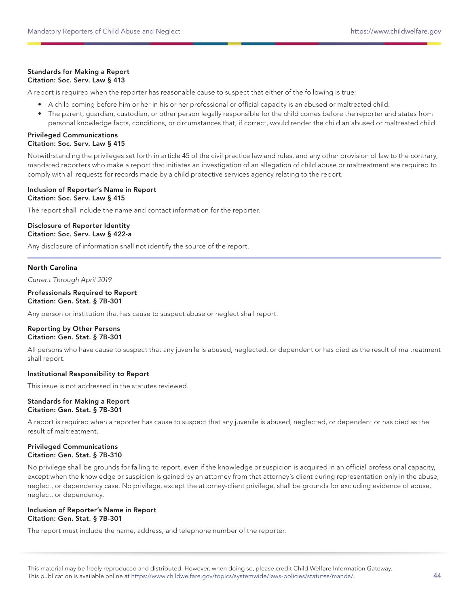## Standards for Making a Report Citation: Soc. Serv. Law § 413

A report is required when the reporter has reasonable cause to suspect that either of the following is true:

- A child coming before him or her in his or her professional or official capacity is an abused or maltreated child.
- The parent, guardian, custodian, or other person legally responsible for the child comes before the reporter and states from personal knowledge facts, conditions, or circumstances that, if correct, would render the child an abused or maltreated child.

#### Privileged Communications Citation: Soc. Serv. Law § 415

Notwithstanding the privileges set forth in article 45 of the civil practice law and rules, and any other provision of law to the contrary, mandated reporters who make a report that initiates an investigation of an allegation of child abuse or maltreatment are required to comply with all requests for records made by a child protective services agency relating to the report.

## Inclusion of Reporter's Name in Report Citation: Soc. Serv. Law § 415

The report shall include the name and contact information for the reporter.

## Disclosure of Reporter Identity Citation: Soc. Serv. Law § 422-a

Any disclosure of information shall not identify the source of the report.

## North Carolina

Current Through April 2019

#### Professionals Required to Report Citation: Gen. Stat. § 7B-301

Any person or institution that has cause to suspect abuse or neglect shall report.

## Reporting by Other Persons Citation: Gen. Stat. § 7B-301

All persons who have cause to suspect that any juvenile is abused, neglected, or dependent or has died as the result of maltreatment shall report.

## Institutional Responsibility to Report

This issue is not addressed in the statutes reviewed.

#### Standards for Making a Report Citation: Gen. Stat. § 7B-301

A report is required when a reporter has cause to suspect that any juvenile is abused, neglected, or dependent or has died as the result of maltreatment.

#### Privileged Communications Citation: Gen. Stat. § 7B-310

No privilege shall be grounds for failing to report, even if the knowledge or suspicion is acquired in an official professional capacity, except when the knowledge or suspicion is gained by an attorney from that attorney's client during representation only in the abuse, neglect, or dependency case. No privilege, except the attorney-client privilege, shall be grounds for excluding evidence of abuse, neglect, or dependency.

## Inclusion of Reporter's Name in Report Citation: Gen. Stat. § 7B-301

The report must include the name, address, and telephone number of the reporter.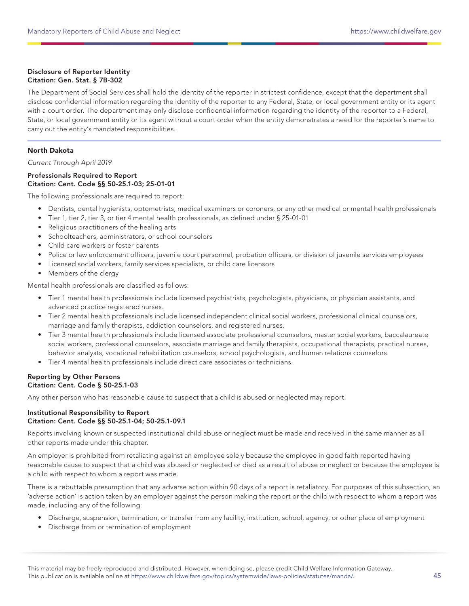## Disclosure of Reporter Identity Citation: Gen. Stat. § 7B-302

The Department of Social Services shall hold the identity of the reporter in strictest confidence, except that the department shall disclose confidential information regarding the identity of the reporter to any Federal, State, or local government entity or its agent with a court order. The department may only disclose confidential information regarding the identity of the reporter to a Federal, State, or local government entity or its agent without a court order when the entity demonstrates a need for the reporter's name to carry out the entity's mandated responsibilities.

## North Dakota

Current Through April 2019

## Professionals Required to Report Citation: Cent. Code §§ 50-25.1-03; 25-01-01

The following professionals are required to report:

- Dentists, dental hygienists, optometrists, medical examiners or coroners, or any other medical or mental health professionals
- Tier 1, tier 2, tier 3, or tier 4 mental health professionals, as defined under § 25-01-01
- Religious practitioners of the healing arts
- Schoolteachers, administrators, or school counselors
- Child care workers or foster parents
- Police or law enforcement officers, juvenile court personnel, probation officers, or division of juvenile services employees
- Licensed social workers, family services specialists, or child care licensors
- Members of the clergy

Mental health professionals are classified as follows:

- Tier 1 mental health professionals include licensed psychiatrists, psychologists, physicians, or physician assistants, and advanced practice registered nurses.
- Tier 2 mental health professionals include licensed independent clinical social workers, professional clinical counselors, marriage and family therapists, addiction counselors, and registered nurses.
- Tier 3 mental health professionals include licensed associate professional counselors, master social workers, baccalaureate social workers, professional counselors, associate marriage and family therapists, occupational therapists, practical nurses, behavior analysts, vocational rehabilitation counselors, school psychologists, and human relations counselors.
- Tier 4 mental health professionals include direct care associates or technicians.

## Reporting by Other Persons Citation: Cent. Code § 50-25.1-03

Any other person who has reasonable cause to suspect that a child is abused or neglected may report.

## Institutional Responsibility to Report Citation: Cent. Code §§ 50-25.1-04; 50-25.1-09.1

Reports involving known or suspected institutional child abuse or neglect must be made and received in the same manner as all other reports made under this chapter.

An employer is prohibited from retaliating against an employee solely because the employee in good faith reported having reasonable cause to suspect that a child was abused or neglected or died as a result of abuse or neglect or because the employee is a child with respect to whom a report was made.

There is a rebuttable presumption that any adverse action within 90 days of a report is retaliatory. For purposes of this subsection, an 'adverse action' is action taken by an employer against the person making the report or the child with respect to whom a report was made, including any of the following:

- Discharge, suspension, termination, or transfer from any facility, institution, school, agency, or other place of employment
- Discharge from or termination of employment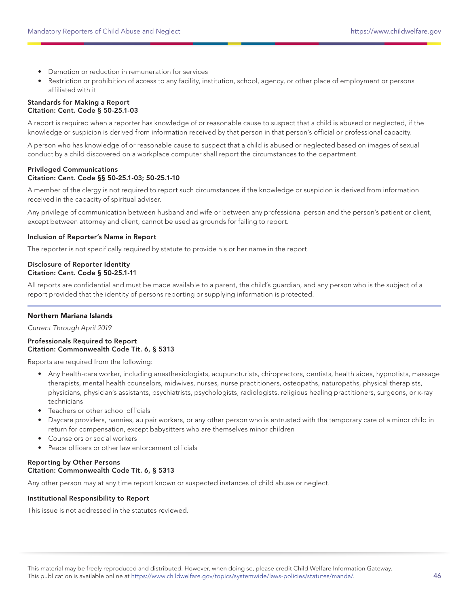- Demotion or reduction in remuneration for services
- Restriction or prohibition of access to any facility, institution, school, agency, or other place of employment or persons affiliated with it

#### Standards for Making a Report Citation: Cent. Code § 50-25.1-03

A report is required when a reporter has knowledge of or reasonable cause to suspect that a child is abused or neglected, if the knowledge or suspicion is derived from information received by that person in that person's official or professional capacity.

A person who has knowledge of or reasonable cause to suspect that a child is abused or neglected based on images of sexual conduct by a child discovered on a workplace computer shall report the circumstances to the department.

## Privileged Communications Citation: Cent. Code §§ 50-25.1-03; 50-25.1-10

A member of the clergy is not required to report such circumstances if the knowledge or suspicion is derived from information received in the capacity of spiritual adviser.

Any privilege of communication between husband and wife or between any professional person and the person's patient or client, except between attorney and client, cannot be used as grounds for failing to report.

## Inclusion of Reporter's Name in Report

The reporter is not specifically required by statute to provide his or her name in the report.

## Disclosure of Reporter Identity Citation: Cent. Code § 50-25.1-11

All reports are confidential and must be made available to a parent, the child's guardian, and any person who is the subject of a report provided that the identity of persons reporting or supplying information is protected.

## Northern Mariana Islands

Current Through April 2019

Professionals Required to Report Citation: Commonwealth Code Tit. 6, § 5313

Reports are required from the following:

- Any health-care worker, including anesthesiologists, acupuncturists, chiropractors, dentists, health aides, hypnotists, massage therapists, mental health counselors, midwives, nurses, nurse practitioners, osteopaths, naturopaths, physical therapists, physicians, physician's assistants, psychiatrists, psychologists, radiologists, religious healing practitioners, surgeons, or x-ray technicians
- Teachers or other school officials
- Daycare providers, nannies, au pair workers, or any other person who is entrusted with the temporary care of a minor child in return for compensation, except babysitters who are themselves minor children
- Counselors or social workers
- Peace officers or other law enforcement officials

## Reporting by Other Persons Citation: Commonwealth Code Tit. 6, § 5313

Any other person may at any time report known or suspected instances of child abuse or neglect.

#### Institutional Responsibility to Report

This issue is not addressed in the statutes reviewed.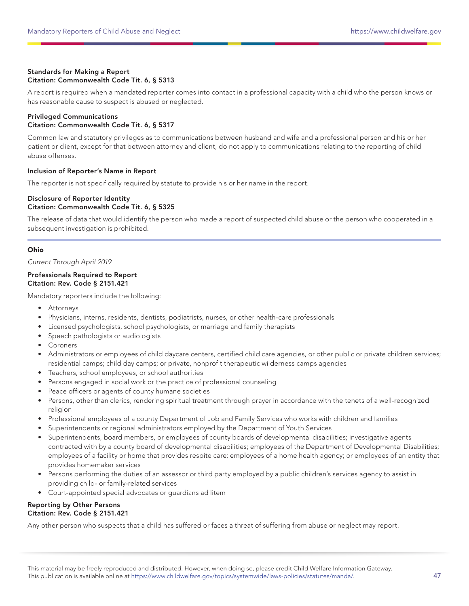## Standards for Making a Report Citation: Commonwealth Code Tit. 6, § 5313

A report is required when a mandated reporter comes into contact in a professional capacity with a child who the person knows or has reasonable cause to suspect is abused or neglected.

### Privileged Communications Citation: Commonwealth Code Tit. 6, § 5317

Common law and statutory privileges as to communications between husband and wife and a professional person and his or her patient or client, except for that between attorney and client, do not apply to communications relating to the reporting of child abuse offenses.

## Inclusion of Reporter's Name in Report

The reporter is not specifically required by statute to provide his or her name in the report.

#### Disclosure of Reporter Identity Citation: Commonwealth Code Tit. 6, § 5325

The release of data that would identify the person who made a report of suspected child abuse or the person who cooperated in a subsequent investigation is prohibited.

## Ohio

Current Through April 2019

#### Professionals Required to Report Citation: Rev. Code § 2151.421

Mandatory reporters include the following:

- Attorneys
- Physicians, interns, residents, dentists, podiatrists, nurses, or other health-care professionals
- Licensed psychologists, school psychologists, or marriage and family therapists
- Speech pathologists or audiologists
- Coroners
- Administrators or employees of child daycare centers, certified child care agencies, or other public or private children services; residential camps; child day camps; or private, nonprofit therapeutic wilderness camps agencies
- Teachers, school employees, or school authorities
- Persons engaged in social work or the practice of professional counseling
- Peace officers or agents of county humane societies
- Persons, other than clerics, rendering spiritual treatment through prayer in accordance with the tenets of a well-recognized religion
- Professional employees of a county Department of Job and Family Services who works with children and families
- Superintendents or regional administrators employed by the Department of Youth Services
- Superintendents, board members, or employees of county boards of developmental disabilities; investigative agents contracted with by a county board of developmental disabilities; employees of the Department of Developmental Disabilities; employees of a facility or home that provides respite care; employees of a home health agency; or employees of an entity that provides homemaker services
- Persons performing the duties of an assessor or third party employed by a public children's services agency to assist in providing child- or family-related services
- Court-appointed special advocates or guardians ad litem

#### Reporting by Other Persons Citation: Rev. Code § 2151.421

Any other person who suspects that a child has suffered or faces a threat of suffering from abuse or neglect may report.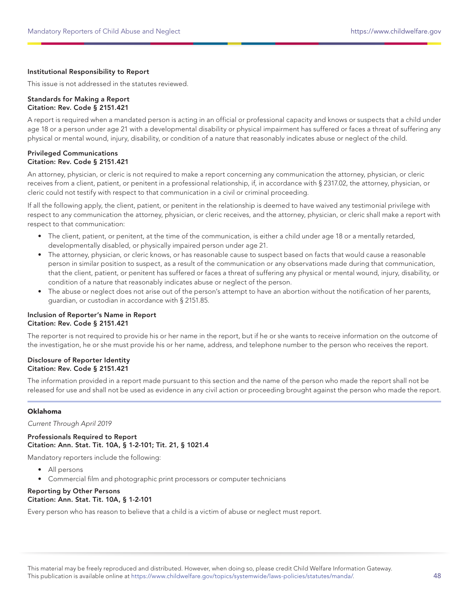## Institutional Responsibility to Report

This issue is not addressed in the statutes reviewed.

#### Standards for Making a Report Citation: Rev. Code § 2151.421

A report is required when a mandated person is acting in an official or professional capacity and knows or suspects that a child under age 18 or a person under age 21 with a developmental disability or physical impairment has suffered or faces a threat of suffering any physical or mental wound, injury, disability, or condition of a nature that reasonably indicates abuse or neglect of the child.

#### Privileged Communications Citation: Rev. Code § 2151.421

An attorney, physician, or cleric is not required to make a report concerning any communication the attorney, physician, or cleric receives from a client, patient, or penitent in a professional relationship, if, in accordance with § 2317.02, the attorney, physician, or cleric could not testify with respect to that communication in a civil or criminal proceeding.

If all the following apply, the client, patient, or penitent in the relationship is deemed to have waived any testimonial privilege with respect to any communication the attorney, physician, or cleric receives, and the attorney, physician, or cleric shall make a report with respect to that communication:

- The client, patient, or penitent, at the time of the communication, is either a child under age 18 or a mentally retarded, developmentally disabled, or physically impaired person under age 21.
- The attorney, physician, or cleric knows, or has reasonable cause to suspect based on facts that would cause a reasonable person in similar position to suspect, as a result of the communication or any observations made during that communication, that the client, patient, or penitent has suffered or faces a threat of suffering any physical or mental wound, injury, disability, or condition of a nature that reasonably indicates abuse or neglect of the person.
- The abuse or neglect does not arise out of the person's attempt to have an abortion without the notification of her parents, guardian, or custodian in accordance with § 2151.85.

## Inclusion of Reporter's Name in Report Citation: Rev. Code § 2151.421

The reporter is not required to provide his or her name in the report, but if he or she wants to receive information on the outcome of the investigation, he or she must provide his or her name, address, and telephone number to the person who receives the report.

## Disclosure of Reporter Identity Citation: Rev. Code § 2151.421

The information provided in a report made pursuant to this section and the name of the person who made the report shall not be released for use and shall not be used as evidence in any civil action or proceeding brought against the person who made the report.

## Oklahoma

Current Through April 2019

Professionals Required to Report Citation: Ann. Stat. Tit. 10A, § 1-2-101; Tit. 21, § 1021.4

Mandatory reporters include the following:

- All persons
- Commercial film and photographic print processors or computer technicians

## Reporting by Other Persons Citation: Ann. Stat. Tit. 10A, § 1-2-101

Every person who has reason to believe that a child is a victim of abuse or neglect must report.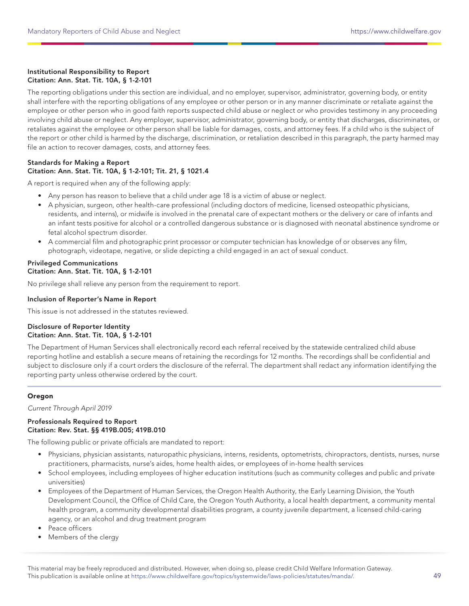## Institutional Responsibility to Report Citation: Ann. Stat. Tit. 10A, § 1-2-101

The reporting obligations under this section are individual, and no employer, supervisor, administrator, governing body, or entity shall interfere with the reporting obligations of any employee or other person or in any manner discriminate or retaliate against the employee or other person who in good faith reports suspected child abuse or neglect or who provides testimony in any proceeding involving child abuse or neglect. Any employer, supervisor, administrator, governing body, or entity that discharges, discriminates, or retaliates against the employee or other person shall be liable for damages, costs, and attorney fees. If a child who is the subject of the report or other child is harmed by the discharge, discrimination, or retaliation described in this paragraph, the party harmed may file an action to recover damages, costs, and attorney fees.

## Standards for Making a Report Citation: Ann. Stat. Tit. 10A, § 1-2-101; Tit. 21, § 1021.4

A report is required when any of the following apply:

- Any person has reason to believe that a child under age 18 is a victim of abuse or neglect.
- A physician, surgeon, other health-care professional (including doctors of medicine, licensed osteopathic physicians, residents, and interns), or midwife is involved in the prenatal care of expectant mothers or the delivery or care of infants and an infant tests positive for alcohol or a controlled dangerous substance or is diagnosed with neonatal abstinence syndrome or fetal alcohol spectrum disorder.
- A commercial film and photographic print processor or computer technician has knowledge of or observes any film, photograph, videotape, negative, or slide depicting a child engaged in an act of sexual conduct.

## Privileged Communications Citation: Ann. Stat. Tit. 10A, § 1-2-101

No privilege shall relieve any person from the requirement to report.

## Inclusion of Reporter's Name in Report

This issue is not addressed in the statutes reviewed.

## Disclosure of Reporter Identity Citation: Ann. Stat. Tit. 10A, § 1-2-101

The Department of Human Services shall electronically record each referral received by the statewide centralized child abuse reporting hotline and establish a secure means of retaining the recordings for 12 months. The recordings shall be confidential and subject to disclosure only if a court orders the disclosure of the referral. The department shall redact any information identifying the reporting party unless otherwise ordered by the court.

## Oregon

Current Through April 2019

## Professionals Required to Report Citation: Rev. Stat. §§ 419B.005; 419B.010

The following public or private officials are mandated to report:

- Physicians, physician assistants, naturopathic physicians, interns, residents, optometrists, chiropractors, dentists, nurses, nurse practitioners, pharmacists, nurse's aides, home health aides, or employees of in-home health services
- School employees, including employees of higher education institutions (such as community colleges and public and private universities)
- Employees of the Department of Human Services, the Oregon Health Authority, the Early Learning Division, the Youth Development Council, the Office of Child Care, the Oregon Youth Authority, a local health department, a community mental health program, a community developmental disabilities program, a county juvenile department, a licensed child-caring agency, or an alcohol and drug treatment program
- Peace officers
- Members of the clergy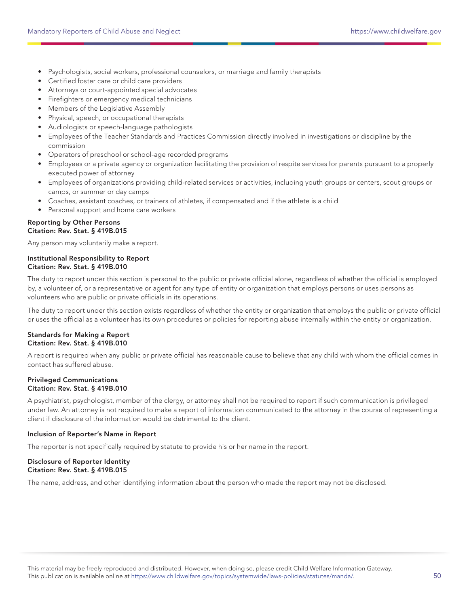- Psychologists, social workers, professional counselors, or marriage and family therapists
- Certified foster care or child care providers
- Attorneys or court-appointed special advocates
- Firefighters or emergency medical technicians
- Members of the Legislative Assembly
- Physical, speech, or occupational therapists
- Audiologists or speech-language pathologists
- Employees of the Teacher Standards and Practices Commission directly involved in investigations or discipline by the commission
- Operators of preschool or school-age recorded programs
- Employees or a private agency or organization facilitating the provision of respite services for parents pursuant to a properly executed power of attorney
- Employees of organizations providing child-related services or activities, including youth groups or centers, scout groups or camps, or summer or day camps
- Coaches, assistant coaches, or trainers of athletes, if compensated and if the athlete is a child
- Personal support and home care workers

#### Reporting by Other Persons Citation: Rev. Stat. § 419B.015

Any person may voluntarily make a report.

## Institutional Responsibility to Report Citation: Rev. Stat. § 419B.010

The duty to report under this section is personal to the public or private official alone, regardless of whether the official is employed by, a volunteer of, or a representative or agent for any type of entity or organization that employs persons or uses persons as volunteers who are public or private officials in its operations.

The duty to report under this section exists regardless of whether the entity or organization that employs the public or private official or uses the official as a volunteer has its own procedures or policies for reporting abuse internally within the entity or organization.

#### Standards for Making a Report Citation: Rev. Stat. § 419B.010

A report is required when any public or private official has reasonable cause to believe that any child with whom the official comes in contact has suffered abuse.

## Privileged Communications Citation: Rev. Stat. § 419B.010

A psychiatrist, psychologist, member of the clergy, or attorney shall not be required to report if such communication is privileged under law. An attorney is not required to make a report of information communicated to the attorney in the course of representing a client if disclosure of the information would be detrimental to the client.

## Inclusion of Reporter's Name in Report

The reporter is not specifically required by statute to provide his or her name in the report.

## Disclosure of Reporter Identity Citation: Rev. Stat. § 419B.015

The name, address, and other identifying information about the person who made the report may not be disclosed.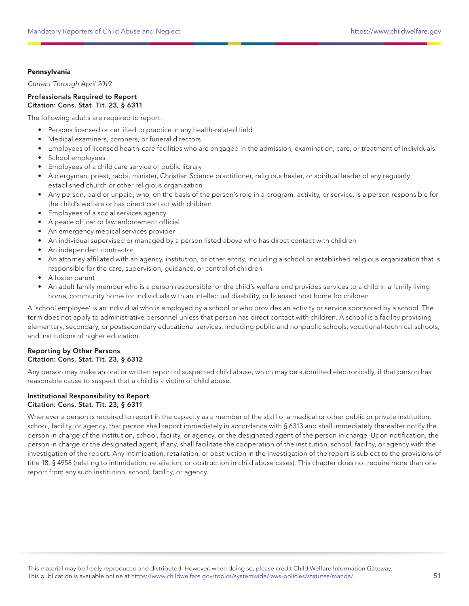## Pennsylvania

Current Through April 2019

#### Professionals Required to Report Citation: Cons. Stat. Tit. 23, § 6311

The following adults are required to report:

- Persons licensed or certified to practice in any health-related field
- Medical examiners, coroners, or funeral directors
- Employees of licensed health-care facilities who are engaged in the admission, examination, care, or treatment of individuals
- School employees
- Employees of a child care service or public library
- A clergyman, priest, rabbi, minister, Christian Science practitioner, religious healer, or spiritual leader of any regularly established church or other religious organization
- Any person, paid or unpaid, who, on the basis of the person's role in a program, activity, or service, is a person responsible for the child's welfare or has direct contact with children
- Employees of a social services agency
- A peace officer or law enforcement official
- An emergency medical services provider
- An individual supervised or managed by a person listed above who has direct contact with children
- An independent contractor
- An attorney affiliated with an agency, institution, or other entity, including a school or established religious organization that is responsible for the care, supervision, guidance, or control of children
- A foster parent
- An adult family member who is a person responsible for the child's welfare and provides services to a child in a family living home, community home for individuals with an intellectual disability, or licensed host home for children

A 'school employee' is an individual who is employed by a school or who provides an activity or service sponsored by a school. The term does not apply to administrative personnel unless that person has direct contact with children. A school is a facility providing elementary, secondary, or postsecondary educational services, including public and nonpublic schools, vocational-technical schools, and institutions of higher education.

## Reporting by Other Persons Citation: Cons. Stat. Tit. 23, § 6312

Any person may make an oral or written report of suspected child abuse, which may be submitted electronically, if that person has reasonable cause to suspect that a child is a victim of child abuse.

## Institutional Responsibility to Report Citation: Cons. Stat. Tit. 23, § 6311

Whenever a person is required to report in the capacity as a member of the staff of a medical or other public or private institution, school, facility, or agency, that person shall report immediately in accordance with § 6313 and shall immediately thereafter notify the person in charge of the institution, school, facility, or agency, or the designated agent of the person in charge. Upon notification, the person in charge or the designated agent, if any, shall facilitate the cooperation of the institution, school, facility, or agency with the investigation of the report. Any intimidation, retaliation, or obstruction in the investigation of the report is subject to the provisions of title 18, § 4958 (relating to intimidation, retaliation, or obstruction in child abuse cases). This chapter does not require more than one report from any such institution, school, facility, or agency.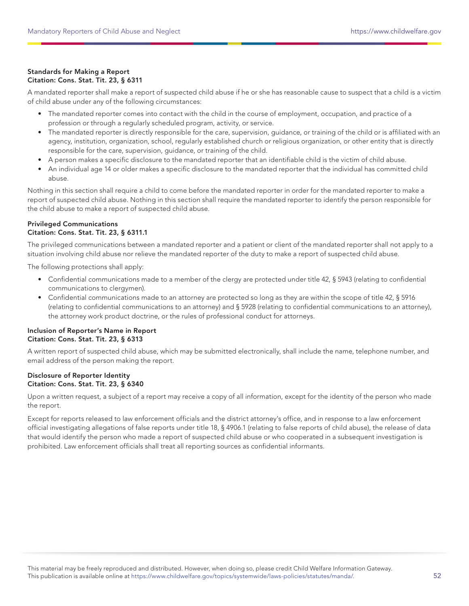## Standards for Making a Report Citation: Cons. Stat. Tit. 23, § 6311

A mandated reporter shall make a report of suspected child abuse if he or she has reasonable cause to suspect that a child is a victim of child abuse under any of the following circumstances:

- The mandated reporter comes into contact with the child in the course of employment, occupation, and practice of a profession or through a regularly scheduled program, activity, or service.
- The mandated reporter is directly responsible for the care, supervision, guidance, or training of the child or is affiliated with an agency, institution, organization, school, regularly established church or religious organization, or other entity that is directly responsible for the care, supervision, guidance, or training of the child.
- A person makes a specific disclosure to the mandated reporter that an identifiable child is the victim of child abuse.
- An individual age 14 or older makes a specific disclosure to the mandated reporter that the individual has committed child abuse.

Nothing in this section shall require a child to come before the mandated reporter in order for the mandated reporter to make a report of suspected child abuse. Nothing in this section shall require the mandated reporter to identify the person responsible for the child abuse to make a report of suspected child abuse.

## Privileged Communications Citation: Cons. Stat. Tit. 23, § 6311.1

The privileged communications between a mandated reporter and a patient or client of the mandated reporter shall not apply to a situation involving child abuse nor relieve the mandated reporter of the duty to make a report of suspected child abuse.

The following protections shall apply:

- Confidential communications made to a member of the clergy are protected under title 42, § 5943 (relating to confidential communications to clergymen).
- Confidential communications made to an attorney are protected so long as they are within the scope of title 42, § 5916 (relating to confidential communications to an attorney) and § 5928 (relating to confidential communications to an attorney), the attorney work product doctrine, or the rules of professional conduct for attorneys.

## Inclusion of Reporter's Name in Report Citation: Cons. Stat. Tit. 23, § 6313

A written report of suspected child abuse, which may be submitted electronically, shall include the name, telephone number, and email address of the person making the report.

## Disclosure of Reporter Identity Citation: Cons. Stat. Tit. 23, § 6340

Upon a written request, a subject of a report may receive a copy of all information, except for the identity of the person who made the report.

Except for reports released to law enforcement officials and the district attorney's office, and in response to a law enforcement official investigating allegations of false reports under title 18, § 4906.1 (relating to false reports of child abuse), the release of data that would identify the person who made a report of suspected child abuse or who cooperated in a subsequent investigation is prohibited. Law enforcement officials shall treat all reporting sources as confidential informants.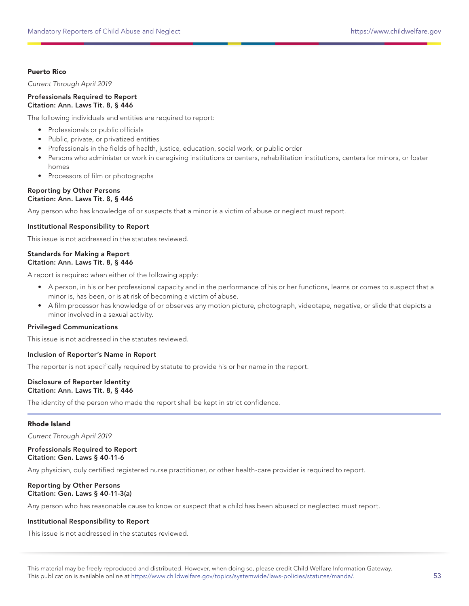## Puerto Rico

Current Through April 2019

#### Professionals Required to Report Citation: Ann. Laws Tit. 8, § 446

The following individuals and entities are required to report:

- Professionals or public officials
- Public, private, or privatized entities
- Professionals in the fields of health, justice, education, social work, or public order
- Persons who administer or work in caregiving institutions or centers, rehabilitation institutions, centers for minors, or foster homes
- Processors of film or photographs

#### Reporting by Other Persons Citation: Ann. Laws Tit. 8, § 446

Any person who has knowledge of or suspects that a minor is a victim of abuse or neglect must report.

## Institutional Responsibility to Report

This issue is not addressed in the statutes reviewed.

## Standards for Making a Report Citation: Ann. Laws Tit. 8, § 446

A report is required when either of the following apply:

- A person, in his or her professional capacity and in the performance of his or her functions, learns or comes to suspect that a minor is, has been, or is at risk of becoming a victim of abuse.
- A film processor has knowledge of or observes any motion picture, photograph, videotape, negative, or slide that depicts a minor involved in a sexual activity.

#### Privileged Communications

This issue is not addressed in the statutes reviewed.

#### Inclusion of Reporter's Name in Report

The reporter is not specifically required by statute to provide his or her name in the report.

#### Disclosure of Reporter Identity Citation: Ann. Laws Tit. 8, § 446

The identity of the person who made the report shall be kept in strict confidence.

## Rhode Island

Current Through April 2019

#### Professionals Required to Report Citation: Gen. Laws § 40-11-6

Any physician, duly certified registered nurse practitioner, or other health-care provider is required to report.

## Reporting by Other Persons Citation: Gen. Laws § 40-11-3(a)

Any person who has reasonable cause to know or suspect that a child has been abused or neglected must report.

#### Institutional Responsibility to Report

This issue is not addressed in the statutes reviewed.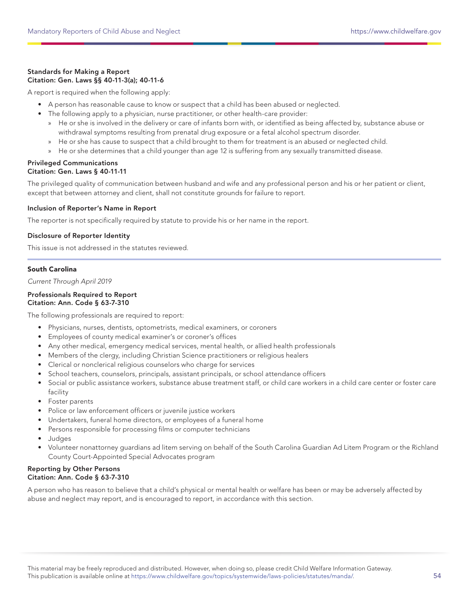## Standards for Making a Report Citation: Gen. Laws §§ 40-11-3(a); 40-11-6

A report is required when the following apply:

- A person has reasonable cause to know or suspect that a child has been abused or neglected.
- The following apply to a physician, nurse practitioner, or other health-care provider:
	- » He or she is involved in the delivery or care of infants born with, or identified as being affected by, substance abuse or withdrawal symptoms resulting from prenatal drug exposure or a fetal alcohol spectrum disorder.
	- » He or she has cause to suspect that a child brought to them for treatment is an abused or neglected child.
	- » He or she determines that a child younger than age 12 is suffering from any sexually transmitted disease.

## Privileged Communications Citation: Gen. Laws § 40-11-11

The privileged quality of communication between husband and wife and any professional person and his or her patient or client, except that between attorney and client, shall not constitute grounds for failure to report.

## Inclusion of Reporter's Name in Report

The reporter is not specifically required by statute to provide his or her name in the report.

## Disclosure of Reporter Identity

This issue is not addressed in the statutes reviewed.

## South Carolina

Current Through April 2019

#### Professionals Required to Report Citation: Ann. Code § 63-7-310

The following professionals are required to report:

- Physicians, nurses, dentists, optometrists, medical examiners, or coroners
- Employees of county medical examiner's or coroner's offices
- Any other medical, emergency medical services, mental health, or allied health professionals
- Members of the clergy, including Christian Science practitioners or religious healers
- Clerical or nonclerical religious counselors who charge for services
- School teachers, counselors, principals, assistant principals, or school attendance officers
- Social or public assistance workers, substance abuse treatment staff, or child care workers in a child care center or foster care facility
- Foster parents
- Police or law enforcement officers or juvenile justice workers
- Undertakers, funeral home directors, or employees of a funeral home
- Persons responsible for processing films or computer technicians
- Judges
- Volunteer nonattorney guardians ad litem serving on behalf of the South Carolina Guardian Ad Litem Program or the Richland County Court-Appointed Special Advocates program

#### Reporting by Other Persons Citation: Ann. Code § 63-7-310

A person who has reason to believe that a child's physical or mental health or welfare has been or may be adversely affected by abuse and neglect may report, and is encouraged to report, in accordance with this section.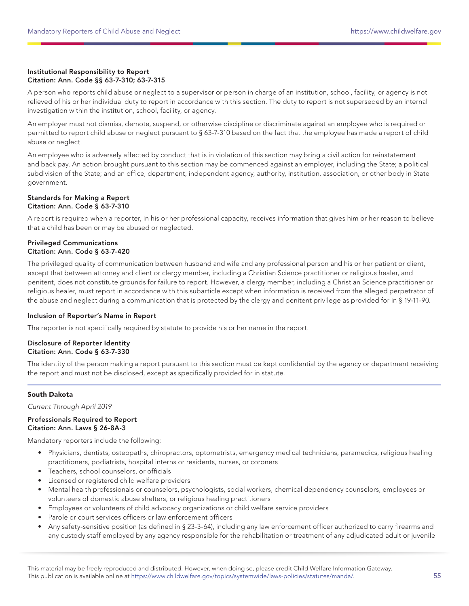## Institutional Responsibility to Report Citation: Ann. Code §§ 63-7-310; 63-7-315

A person who reports child abuse or neglect to a supervisor or person in charge of an institution, school, facility, or agency is not relieved of his or her individual duty to report in accordance with this section. The duty to report is not superseded by an internal investigation within the institution, school, facility, or agency.

An employer must not dismiss, demote, suspend, or otherwise discipline or discriminate against an employee who is required or permitted to report child abuse or neglect pursuant to § 63-7-310 based on the fact that the employee has made a report of child abuse or neglect.

An employee who is adversely affected by conduct that is in violation of this section may bring a civil action for reinstatement and back pay. An action brought pursuant to this section may be commenced against an employer, including the State; a political subdivision of the State; and an office, department, independent agency, authority, institution, association, or other body in State government.

#### Standards for Making a Report Citation: Ann. Code § 63-7-310

A report is required when a reporter, in his or her professional capacity, receives information that gives him or her reason to believe that a child has been or may be abused or neglected.

## Privileged Communications Citation: Ann. Code § 63-7-420

The privileged quality of communication between husband and wife and any professional person and his or her patient or client, except that between attorney and client or clergy member, including a Christian Science practitioner or religious healer, and penitent, does not constitute grounds for failure to report. However, a clergy member, including a Christian Science practitioner or religious healer, must report in accordance with this subarticle except when information is received from the alleged perpetrator of the abuse and neglect during a communication that is protected by the clergy and penitent privilege as provided for in § 19-11-90.

## Inclusion of Reporter's Name in Report

The reporter is not specifically required by statute to provide his or her name in the report.

## Disclosure of Reporter Identity Citation: Ann. Code § 63-7-330

The identity of the person making a report pursuant to this section must be kept confidential by the agency or department receiving the report and must not be disclosed, except as specifically provided for in statute.

## South Dakota

Current Through April 2019

#### Professionals Required to Report Citation: Ann. Laws § 26-8A-3

Mandatory reporters include the following:

- Physicians, dentists, osteopaths, chiropractors, optometrists, emergency medical technicians, paramedics, religious healing practitioners, podiatrists, hospital interns or residents, nurses, or coroners
- Teachers, school counselors, or officials
- Licensed or registered child welfare providers
- Mental health professionals or counselors, psychologists, social workers, chemical dependency counselors, employees or volunteers of domestic abuse shelters, or religious healing practitioners
- Employees or volunteers of child advocacy organizations or child welfare service providers
- Parole or court services officers or law enforcement officers
- Any safety-sensitive position (as defined in § 23-3-64), including any law enforcement officer authorized to carry firearms and any custody staff employed by any agency responsible for the rehabilitation or treatment of any adjudicated adult or juvenile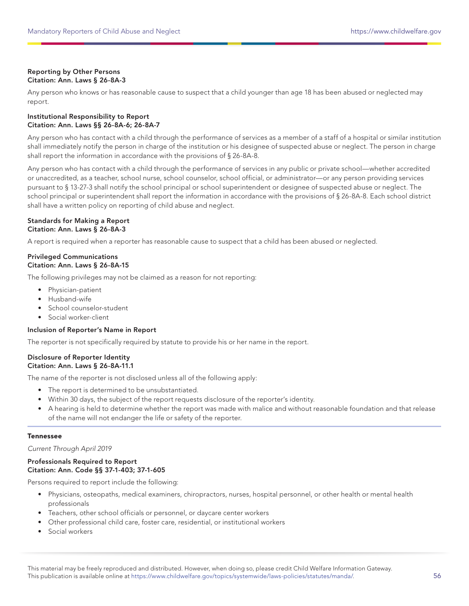## Reporting by Other Persons Citation: Ann. Laws § 26-8A-3

Any person who knows or has reasonable cause to suspect that a child younger than age 18 has been abused or neglected may report.

### Institutional Responsibility to Report Citation: Ann. Laws §§ 26-8A-6; 26-8A-7

Any person who has contact with a child through the performance of services as a member of a staff of a hospital or similar institution shall immediately notify the person in charge of the institution or his designee of suspected abuse or neglect. The person in charge shall report the information in accordance with the provisions of § 26-8A-8.

Any person who has contact with a child through the performance of services in any public or private school—whether accredited or unaccredited, as a teacher, school nurse, school counselor, school official, or administrator—or any person providing services pursuant to § 13-27-3 shall notify the school principal or school superintendent or designee of suspected abuse or neglect. The school principal or superintendent shall report the information in accordance with the provisions of § 26-8A-8. Each school district shall have a written policy on reporting of child abuse and neglect.

## Standards for Making a Report Citation: Ann. Laws § 26-8A-3

A report is required when a reporter has reasonable cause to suspect that a child has been abused or neglected.

## Privileged Communications Citation: Ann. Laws § 26-8A-15

The following privileges may not be claimed as a reason for not reporting:

- Physician-patient
- Husband-wife
- School counselor-student
- Social worker-client

## Inclusion of Reporter's Name in Report

The reporter is not specifically required by statute to provide his or her name in the report.

#### Disclosure of Reporter Identity Citation: Ann. Laws § 26-8A-11.1

The name of the reporter is not disclosed unless all of the following apply:

- The report is determined to be unsubstantiated.
- Within 30 days, the subject of the report requests disclosure of the reporter's identity.
- A hearing is held to determine whether the report was made with malice and without reasonable foundation and that release of the name will not endanger the life or safety of the reporter.

## Tennessee

Current Through April 2019

## Professionals Required to Report Citation: Ann. Code §§ 37-1-403; 37-1-605

Persons required to report include the following:

- Physicians, osteopaths, medical examiners, chiropractors, nurses, hospital personnel, or other health or mental health professionals
- Teachers, other school officials or personnel, or daycare center workers
- Other professional child care, foster care, residential, or institutional workers
- Social workers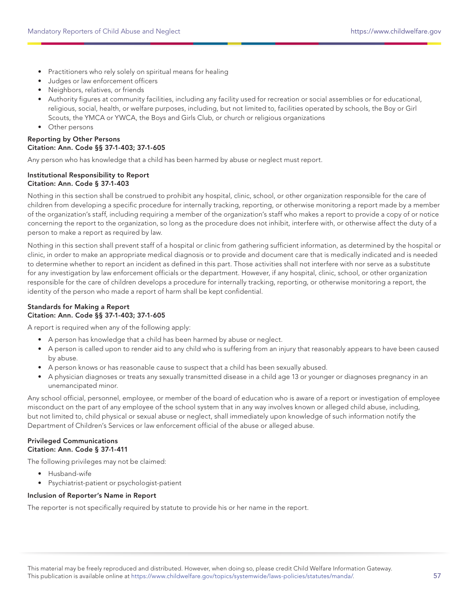- Practitioners who rely solely on spiritual means for healing
- Judges or law enforcement officers
- Neighbors, relatives, or friends
- Authority figures at community facilities, including any facility used for recreation or social assemblies or for educational, religious, social, health, or welfare purposes, including, but not limited to, facilities operated by schools, the Boy or Girl Scouts, the YMCA or YWCA, the Boys and Girls Club, or church or religious organizations
- Other persons

## Reporting by Other Persons Citation: Ann. Code §§ 37-1-403; 37-1-605

Any person who has knowledge that a child has been harmed by abuse or neglect must report.

## Institutional Responsibility to Report Citation: Ann. Code § 37-1-403

Nothing in this section shall be construed to prohibit any hospital, clinic, school, or other organization responsible for the care of children from developing a specific procedure for internally tracking, reporting, or otherwise monitoring a report made by a member of the organization's staff, including requiring a member of the organization's staff who makes a report to provide a copy of or notice concerning the report to the organization, so long as the procedure does not inhibit, interfere with, or otherwise affect the duty of a person to make a report as required by law.

Nothing in this section shall prevent staff of a hospital or clinic from gathering sufficient information, as determined by the hospital or clinic, in order to make an appropriate medical diagnosis or to provide and document care that is medically indicated and is needed to determine whether to report an incident as defined in this part. Those activities shall not interfere with nor serve as a substitute for any investigation by law enforcement officials or the department. However, if any hospital, clinic, school, or other organization responsible for the care of children develops a procedure for internally tracking, reporting, or otherwise monitoring a report, the identity of the person who made a report of harm shall be kept confidential.

## Standards for Making a Report Citation: Ann. Code §§ 37-1-403; 37-1-605

A report is required when any of the following apply:

- A person has knowledge that a child has been harmed by abuse or neglect.
- A person is called upon to render aid to any child who is suffering from an injury that reasonably appears to have been caused by abuse.
- A person knows or has reasonable cause to suspect that a child has been sexually abused.
- A physician diagnoses or treats any sexually transmitted disease in a child age 13 or younger or diagnoses pregnancy in an unemancipated minor.

Any school official, personnel, employee, or member of the board of education who is aware of a report or investigation of employee misconduct on the part of any employee of the school system that in any way involves known or alleged child abuse, including, but not limited to, child physical or sexual abuse or neglect, shall immediately upon knowledge of such information notify the Department of Children's Services or law enforcement official of the abuse or alleged abuse.

## Privileged Communications Citation: Ann. Code § 37-1-411

The following privileges may not be claimed:

- Husband-wife
- Psychiatrist-patient or psychologist-patient

## Inclusion of Reporter's Name in Report

The reporter is not specifically required by statute to provide his or her name in the report.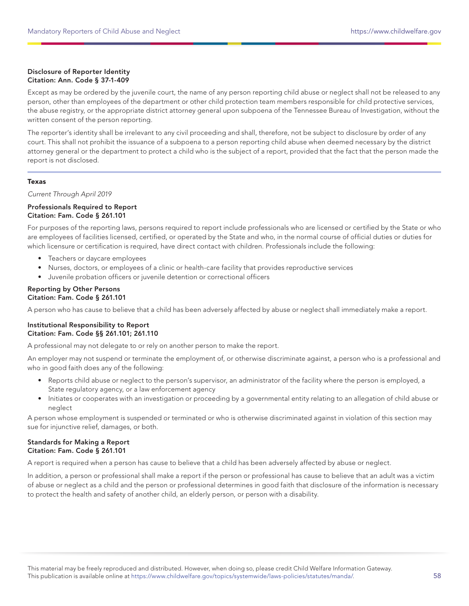## Disclosure of Reporter Identity Citation: Ann. Code § 37-1-409

Except as may be ordered by the juvenile court, the name of any person reporting child abuse or neglect shall not be released to any person, other than employees of the department or other child protection team members responsible for child protective services, the abuse registry, or the appropriate district attorney general upon subpoena of the Tennessee Bureau of Investigation, without the written consent of the person reporting.

The reporter's identity shall be irrelevant to any civil proceeding and shall, therefore, not be subject to disclosure by order of any court. This shall not prohibit the issuance of a subpoena to a person reporting child abuse when deemed necessary by the district attorney general or the department to protect a child who is the subject of a report, provided that the fact that the person made the report is not disclosed.

## Texas

Current Through April 2019

## Professionals Required to Report Citation: Fam. Code § 261.101

For purposes of the reporting laws, persons required to report include professionals who are licensed or certified by the State or who are employees of facilities licensed, certified, or operated by the State and who, in the normal course of official duties or duties for which licensure or certification is required, have direct contact with children. Professionals include the following:

- Teachers or daycare employees
- Nurses, doctors, or employees of a clinic or health-care facility that provides reproductive services
- Juvenile probation officers or juvenile detention or correctional officers

#### Reporting by Other Persons Citation: Fam. Code § 261.101

A person who has cause to believe that a child has been adversely affected by abuse or neglect shall immediately make a report.

#### Institutional Responsibility to Report Citation: Fam. Code §§ 261.101; 261.110

A professional may not delegate to or rely on another person to make the report.

An employer may not suspend or terminate the employment of, or otherwise discriminate against, a person who is a professional and who in good faith does any of the following:

- Reports child abuse or neglect to the person's supervisor, an administrator of the facility where the person is employed, a State regulatory agency, or a law enforcement agency
- Initiates or cooperates with an investigation or proceeding by a governmental entity relating to an allegation of child abuse or neglect

A person whose employment is suspended or terminated or who is otherwise discriminated against in violation of this section may sue for injunctive relief, damages, or both.

## Standards for Making a Report Citation: Fam. Code § 261.101

A report is required when a person has cause to believe that a child has been adversely affected by abuse or neglect.

In addition, a person or professional shall make a report if the person or professional has cause to believe that an adult was a victim of abuse or neglect as a child and the person or professional determines in good faith that disclosure of the information is necessary to protect the health and safety of another child, an elderly person, or person with a disability.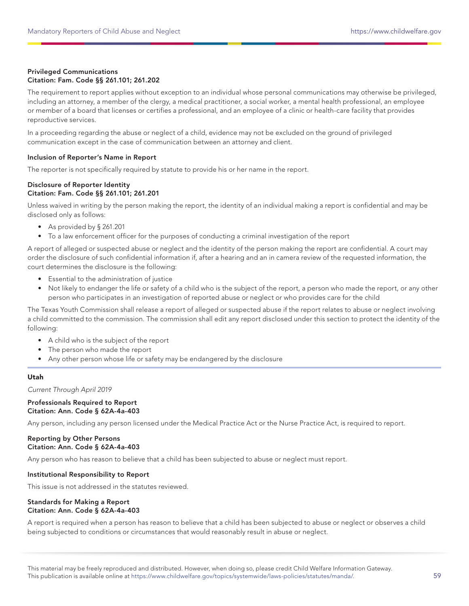## Privileged Communications Citation: Fam. Code §§ 261.101; 261.202

The requirement to report applies without exception to an individual whose personal communications may otherwise be privileged, including an attorney, a member of the clergy, a medical practitioner, a social worker, a mental health professional, an employee or member of a board that licenses or certifies a professional, and an employee of a clinic or health-care facility that provides reproductive services.

In a proceeding regarding the abuse or neglect of a child, evidence may not be excluded on the ground of privileged communication except in the case of communication between an attorney and client.

## Inclusion of Reporter's Name in Report

The reporter is not specifically required by statute to provide his or her name in the report.

#### Disclosure of Reporter Identity Citation: Fam. Code §§ 261.101; 261.201

Unless waived in writing by the person making the report, the identity of an individual making a report is confidential and may be disclosed only as follows:

- As provided by § 261.201
- To a law enforcement officer for the purposes of conducting a criminal investigation of the report

A report of alleged or suspected abuse or neglect and the identity of the person making the report are confidential. A court may order the disclosure of such confidential information if, after a hearing and an in camera review of the requested information, the court determines the disclosure is the following:

- Essential to the administration of justice
- Not likely to endanger the life or safety of a child who is the subject of the report, a person who made the report, or any other person who participates in an investigation of reported abuse or neglect or who provides care for the child

The Texas Youth Commission shall release a report of alleged or suspected abuse if the report relates to abuse or neglect involving a child committed to the commission. The commission shall edit any report disclosed under this section to protect the identity of the following:

- A child who is the subject of the report
- The person who made the report
- Any other person whose life or safety may be endangered by the disclosure

## Utah

Current Through April 2019

#### Professionals Required to Report Citation: Ann. Code § 62A-4a-403

Any person, including any person licensed under the Medical Practice Act or the Nurse Practice Act, is required to report.

## Reporting by Other Persons Citation: Ann. Code § 62A-4a-403

Any person who has reason to believe that a child has been subjected to abuse or neglect must report.

#### Institutional Responsibility to Report

This issue is not addressed in the statutes reviewed.

#### Standards for Making a Report Citation: Ann. Code § 62A-4a-403

A report is required when a person has reason to believe that a child has been subjected to abuse or neglect or observes a child being subjected to conditions or circumstances that would reasonably result in abuse or neglect.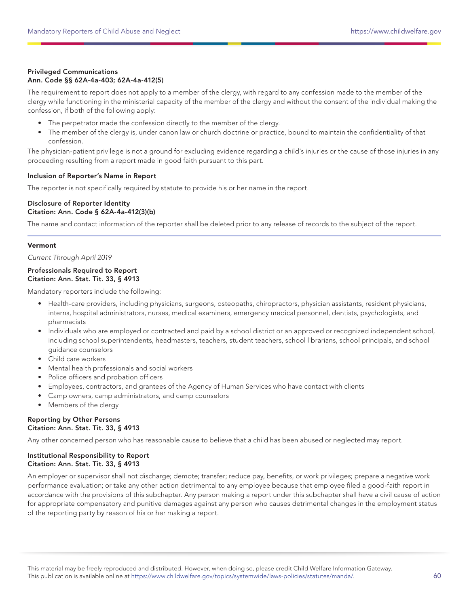## Privileged Communications Ann. Code §§ 62A-4a-403; 62A-4a-412(5)

The requirement to report does not apply to a member of the clergy, with regard to any confession made to the member of the clergy while functioning in the ministerial capacity of the member of the clergy and without the consent of the individual making the confession, if both of the following apply:

- The perpetrator made the confession directly to the member of the clergy.
- The member of the clergy is, under canon law or church doctrine or practice, bound to maintain the confidentiality of that confession.

The physician-patient privilege is not a ground for excluding evidence regarding a child's injuries or the cause of those injuries in any proceeding resulting from a report made in good faith pursuant to this part.

## Inclusion of Reporter's Name in Report

The reporter is not specifically required by statute to provide his or her name in the report.

#### Disclosure of Reporter Identity Citation: Ann. Code § 62A-4a-412(3)(b)

The name and contact information of the reporter shall be deleted prior to any release of records to the subject of the report.

## Vermont

Current Through April 2019

#### Professionals Required to Report Citation: Ann. Stat. Tit. 33, § 4913

Mandatory reporters include the following:

- Health-care providers, including physicians, surgeons, osteopaths, chiropractors, physician assistants, resident physicians, interns, hospital administrators, nurses, medical examiners, emergency medical personnel, dentists, psychologists, and pharmacists
- Individuals who are employed or contracted and paid by a school district or an approved or recognized independent school, including school superintendents, headmasters, teachers, student teachers, school librarians, school principals, and school guidance counselors
- Child care workers
- Mental health professionals and social workers
- Police officers and probation officers
- Employees, contractors, and grantees of the Agency of Human Services who have contact with clients
- Camp owners, camp administrators, and camp counselors
- Members of the clergy

#### Reporting by Other Persons Citation: Ann. Stat. Tit. 33, § 4913

Any other concerned person who has reasonable cause to believe that a child has been abused or neglected may report.

## Institutional Responsibility to Report Citation: Ann. Stat. Tit. 33, § 4913

An employer or supervisor shall not discharge; demote; transfer; reduce pay, benefits, or work privileges; prepare a negative work performance evaluation; or take any other action detrimental to any employee because that employee filed a good-faith report in accordance with the provisions of this subchapter. Any person making a report under this subchapter shall have a civil cause of action for appropriate compensatory and punitive damages against any person who causes detrimental changes in the employment status of the reporting party by reason of his or her making a report.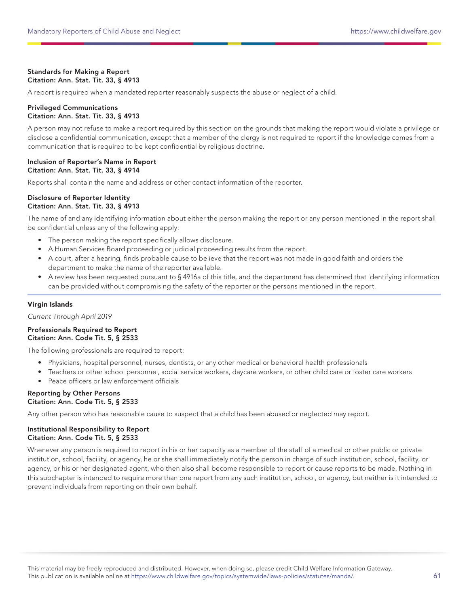## Standards for Making a Report Citation: Ann. Stat. Tit. 33, § 4913

A report is required when a mandated reporter reasonably suspects the abuse or neglect of a child.

## Privileged Communications Citation: Ann. Stat. Tit. 33, § 4913

A person may not refuse to make a report required by this section on the grounds that making the report would violate a privilege or disclose a confidential communication, except that a member of the clergy is not required to report if the knowledge comes from a communication that is required to be kept confidential by religious doctrine.

## Inclusion of Reporter's Name in Report Citation: Ann. Stat. Tit. 33, § 4914

Reports shall contain the name and address or other contact information of the reporter.

#### Disclosure of Reporter Identity Citation: Ann. Stat. Tit. 33, § 4913

The name of and any identifying information about either the person making the report or any person mentioned in the report shall be confidential unless any of the following apply:

- The person making the report specifically allows disclosure.
- A Human Services Board proceeding or judicial proceeding results from the report.
- A court, after a hearing, finds probable cause to believe that the report was not made in good faith and orders the department to make the name of the reporter available.
- A review has been requested pursuant to § 4916a of this title, and the department has determined that identifying information can be provided without compromising the safety of the reporter or the persons mentioned in the report.

## Virgin Islands

Current Through April 2019

#### Professionals Required to Report Citation: Ann. Code Tit. 5, § 2533

The following professionals are required to report:

- Physicians, hospital personnel, nurses, dentists, or any other medical or behavioral health professionals
- Teachers or other school personnel, social service workers, daycare workers, or other child care or foster care workers
- Peace officers or law enforcement officials

#### Reporting by Other Persons Citation: Ann. Code Tit. 5, § 2533

Any other person who has reasonable cause to suspect that a child has been abused or neglected may report.

## Institutional Responsibility to Report Citation: Ann. Code Tit. 5, § 2533

Whenever any person is required to report in his or her capacity as a member of the staff of a medical or other public or private institution, school, facility, or agency, he or she shall immediately notify the person in charge of such institution, school, facility, or agency, or his or her designated agent, who then also shall become responsible to report or cause reports to be made. Nothing in this subchapter is intended to require more than one report from any such institution, school, or agency, but neither is it intended to prevent individuals from reporting on their own behalf.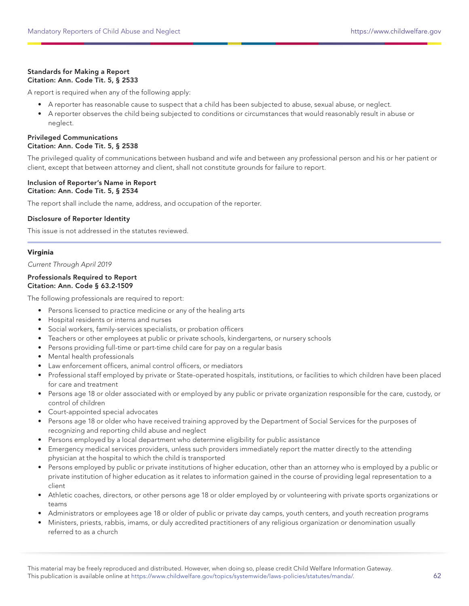## Standards for Making a Report Citation: Ann. Code Tit. 5, § 2533

A report is required when any of the following apply:

- A reporter has reasonable cause to suspect that a child has been subjected to abuse, sexual abuse, or neglect.
- A reporter observes the child being subjected to conditions or circumstances that would reasonably result in abuse or neglect.

## Privileged Communications Citation: Ann. Code Tit. 5, § 2538

The privileged quality of communications between husband and wife and between any professional person and his or her patient or client, except that between attorney and client, shall not constitute grounds for failure to report.

## Inclusion of Reporter's Name in Report Citation: Ann. Code Tit. 5, § 2534

The report shall include the name, address, and occupation of the reporter.

## Disclosure of Reporter Identity

This issue is not addressed in the statutes reviewed.

## Virginia

Current Through April 2019

#### Professionals Required to Report Citation: Ann. Code § 63.2-1509

The following professionals are required to report:

- Persons licensed to practice medicine or any of the healing arts
- Hospital residents or interns and nurses
- Social workers, family-services specialists, or probation officers
- Teachers or other employees at public or private schools, kindergartens, or nursery schools
- Persons providing full-time or part-time child care for pay on a regular basis
- Mental health professionals
- Law enforcement officers, animal control officers, or mediators
- Professional staff employed by private or State-operated hospitals, institutions, or facilities to which children have been placed for care and treatment
- Persons age 18 or older associated with or employed by any public or private organization responsible for the care, custody, or control of children
- Court-appointed special advocates
- Persons age 18 or older who have received training approved by the Department of Social Services for the purposes of recognizing and reporting child abuse and neglect
- Persons employed by a local department who determine eligibility for public assistance
- Emergency medical services providers, unless such providers immediately report the matter directly to the attending physician at the hospital to which the child is transported
- Persons employed by public or private institutions of higher education, other than an attorney who is employed by a public or private institution of higher education as it relates to information gained in the course of providing legal representation to a client
- Athletic coaches, directors, or other persons age 18 or older employed by or volunteering with private sports organizations or teams
- Administrators or employees age 18 or older of public or private day camps, youth centers, and youth recreation programs
- Ministers, priests, rabbis, imams, or duly accredited practitioners of any religious organization or denomination usually referred to as a church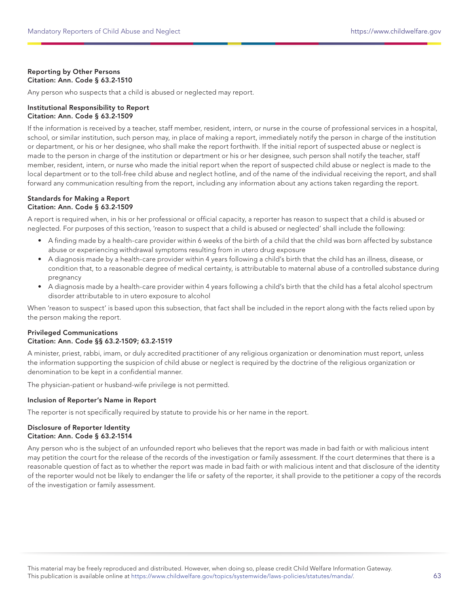## Reporting by Other Persons Citation: Ann. Code § 63.2-1510

Any person who suspects that a child is abused or neglected may report.

### Institutional Responsibility to Report Citation: Ann. Code § 63.2-1509

If the information is received by a teacher, staff member, resident, intern, or nurse in the course of professional services in a hospital, school, or similar institution, such person may, in place of making a report, immediately notify the person in charge of the institution or department, or his or her designee, who shall make the report forthwith. If the initial report of suspected abuse or neglect is made to the person in charge of the institution or department or his or her designee, such person shall notify the teacher, staff member, resident, intern, or nurse who made the initial report when the report of suspected child abuse or neglect is made to the local department or to the toll-free child abuse and neglect hotline, and of the name of the individual receiving the report, and shall forward any communication resulting from the report, including any information about any actions taken regarding the report.

#### Standards for Making a Report Citation: Ann. Code § 63.2-1509

A report is required when, in his or her professional or official capacity, a reporter has reason to suspect that a child is abused or neglected. For purposes of this section, 'reason to suspect that a child is abused or neglected' shall include the following:

- A finding made by a health-care provider within 6 weeks of the birth of a child that the child was born affected by substance abuse or experiencing withdrawal symptoms resulting from in utero drug exposure
- A diagnosis made by a health-care provider within 4 years following a child's birth that the child has an illness, disease, or condition that, to a reasonable degree of medical certainty, is attributable to maternal abuse of a controlled substance during pregnancy
- A diagnosis made by a health-care provider within 4 years following a child's birth that the child has a fetal alcohol spectrum disorder attributable to in utero exposure to alcohol

When 'reason to suspect' is based upon this subsection, that fact shall be included in the report along with the facts relied upon by the person making the report.

## Privileged Communications Citation: Ann. Code §§ 63.2-1509; 63.2-1519

A minister, priest, rabbi, imam, or duly accredited practitioner of any religious organization or denomination must report, unless the information supporting the suspicion of child abuse or neglect is required by the doctrine of the religious organization or denomination to be kept in a confidential manner.

The physician-patient or husband-wife privilege is not permitted.

## Inclusion of Reporter's Name in Report

The reporter is not specifically required by statute to provide his or her name in the report.

## Disclosure of Reporter Identity Citation: Ann. Code § 63.2-1514

Any person who is the subject of an unfounded report who believes that the report was made in bad faith or with malicious intent may petition the court for the release of the records of the investigation or family assessment. If the court determines that there is a reasonable question of fact as to whether the report was made in bad faith or with malicious intent and that disclosure of the identity of the reporter would not be likely to endanger the life or safety of the reporter, it shall provide to the petitioner a copy of the records of the investigation or family assessment.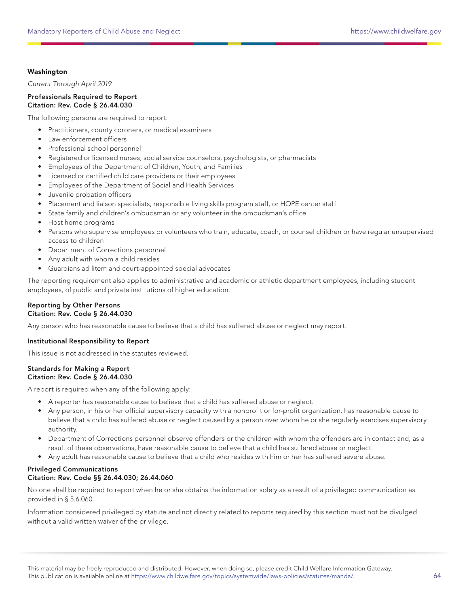## Washington

Current Through April 2019

## Professionals Required to Report Citation: Rev. Code § 26.44.030

The following persons are required to report:

- Practitioners, county coroners, or medical examiners
- Law enforcement officers
- Professional school personnel
- Registered or licensed nurses, social service counselors, psychologists, or pharmacists
- Employees of the Department of Children, Youth, and Families
- Licensed or certified child care providers or their employees
- Employees of the Department of Social and Health Services
- Juvenile probation officers
- Placement and liaison specialists, responsible living skills program staff, or HOPE center staff
- State family and children's ombudsman or any volunteer in the ombudsman's office
- Host home programs
- Persons who supervise employees or volunteers who train, educate, coach, or counsel children or have regular unsupervised access to children
- Department of Corrections personnel
- Any adult with whom a child resides
- Guardians ad litem and court-appointed special advocates

The reporting requirement also applies to administrative and academic or athletic department employees, including student employees, of public and private institutions of higher education.

#### Reporting by Other Persons Citation: Rev. Code § 26.44.030

Any person who has reasonable cause to believe that a child has suffered abuse or neglect may report.

## Institutional Responsibility to Report

This issue is not addressed in the statutes reviewed.

#### Standards for Making a Report Citation: Rev. Code § 26.44.030

A report is required when any of the following apply:

- A reporter has reasonable cause to believe that a child has suffered abuse or neglect.
- Any person, in his or her official supervisory capacity with a nonprofit or for-profit organization, has reasonable cause to believe that a child has suffered abuse or neglect caused by a person over whom he or she regularly exercises supervisory authority.
- Department of Corrections personnel observe offenders or the children with whom the offenders are in contact and, as a result of these observations, have reasonable cause to believe that a child has suffered abuse or neglect.
- Any adult has reasonable cause to believe that a child who resides with him or her has suffered severe abuse.

## Privileged Communications Citation: Rev. Code §§ 26.44.030; 26.44.060

No one shall be required to report when he or she obtains the information solely as a result of a privileged communication as provided in § 5.6.060.

Information considered privileged by statute and not directly related to reports required by this section must not be divulged without a valid written waiver of the privilege.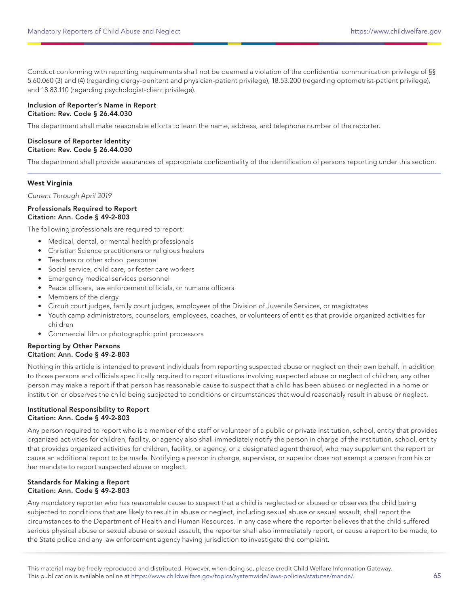Conduct conforming with reporting requirements shall not be deemed a violation of the confidential communication privilege of §§ 5.60.060 (3) and (4) (regarding clergy-penitent and physician-patient privilege), 18.53.200 (regarding optometrist-patient privilege), and 18.83.110 (regarding psychologist-client privilege).

## Inclusion of Reporter's Name in Report Citation: Rev. Code § 26.44.030

The department shall make reasonable efforts to learn the name, address, and telephone number of the reporter.

## Disclosure of Reporter Identity Citation: Rev. Code § 26.44.030

The department shall provide assurances of appropriate confidentiality of the identification of persons reporting under this section.

## West Virginia

Current Through April 2019

#### Professionals Required to Report Citation: Ann. Code § 49-2-803

The following professionals are required to report:

- Medical, dental, or mental health professionals
- Christian Science practitioners or religious healers
- Teachers or other school personnel
- Social service, child care, or foster care workers
- Emergency medical services personnel
- Peace officers, law enforcement officials, or humane officers
- Members of the clergy
- Circuit court judges, family court judges, employees of the Division of Juvenile Services, or magistrates
- Youth camp administrators, counselors, employees, coaches, or volunteers of entities that provide organized activities for children
- Commercial film or photographic print processors

## Reporting by Other Persons Citation: Ann. Code § 49-2-803

Nothing in this article is intended to prevent individuals from reporting suspected abuse or neglect on their own behalf. In addition to those persons and officials specifically required to report situations involving suspected abuse or neglect of children, any other person may make a report if that person has reasonable cause to suspect that a child has been abused or neglected in a home or institution or observes the child being subjected to conditions or circumstances that would reasonably result in abuse or neglect.

## Institutional Responsibility to Report Citation: Ann. Code § 49-2-803

Any person required to report who is a member of the staff or volunteer of a public or private institution, school, entity that provides organized activities for children, facility, or agency also shall immediately notify the person in charge of the institution, school, entity that provides organized activities for children, facility, or agency, or a designated agent thereof, who may supplement the report or cause an additional report to be made. Notifying a person in charge, supervisor, or superior does not exempt a person from his or her mandate to report suspected abuse or neglect.

#### Standards for Making a Report Citation: Ann. Code § 49-2-803

Any mandatory reporter who has reasonable cause to suspect that a child is neglected or abused or observes the child being subjected to conditions that are likely to result in abuse or neglect, including sexual abuse or sexual assault, shall report the circumstances to the Department of Health and Human Resources. In any case where the reporter believes that the child suffered serious physical abuse or sexual abuse or sexual assault, the reporter shall also immediately report, or cause a report to be made, to the State police and any law enforcement agency having jurisdiction to investigate the complaint.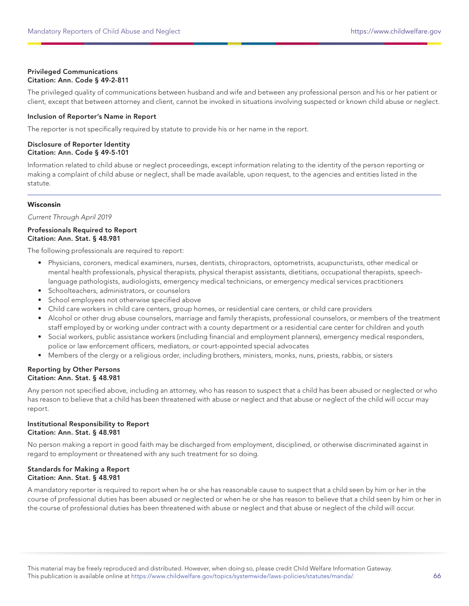## Privileged Communications Citation: Ann. Code § 49-2-811

The privileged quality of communications between husband and wife and between any professional person and his or her patient or client, except that between attorney and client, cannot be invoked in situations involving suspected or known child abuse or neglect.

## Inclusion of Reporter's Name in Report

The reporter is not specifically required by statute to provide his or her name in the report.

## Disclosure of Reporter Identity Citation: Ann. Code § 49-5-101

Information related to child abuse or neglect proceedings, except information relating to the identity of the person reporting or making a complaint of child abuse or neglect, shall be made available, upon request, to the agencies and entities listed in the statute.

## Wisconsin

Current Through April 2019

## Professionals Required to Report Citation: Ann. Stat. § 48.981

The following professionals are required to report:

- Physicians, coroners, medical examiners, nurses, dentists, chiropractors, optometrists, acupuncturists, other medical or mental health professionals, physical therapists, physical therapist assistants, dietitians, occupational therapists, speechlanguage pathologists, audiologists, emergency medical technicians, or emergency medical services practitioners
- Schoolteachers, administrators, or counselors
- School employees not otherwise specified above
- Child care workers in child care centers, group homes, or residential care centers, or child care providers
- Alcohol or other drug abuse counselors, marriage and family therapists, professional counselors, or members of the treatment staff employed by or working under contract with a county department or a residential care center for children and youth
- Social workers, public assistance workers (including financial and employment planners), emergency medical responders, police or law enforcement officers, mediators, or court-appointed special advocates
- Members of the clergy or a religious order, including brothers, ministers, monks, nuns, priests, rabbis, or sisters

## Reporting by Other Persons Citation: Ann. Stat. § 48.981

Any person not specified above, including an attorney, who has reason to suspect that a child has been abused or neglected or who has reason to believe that a child has been threatened with abuse or neglect and that abuse or neglect of the child will occur may report.

## Institutional Responsibility to Report Citation: Ann. Stat. § 48.981

No person making a report in good faith may be discharged from employment, disciplined, or otherwise discriminated against in regard to employment or threatened with any such treatment for so doing.

#### Standards for Making a Report Citation: Ann. Stat. § 48.981

A mandatory reporter is required to report when he or she has reasonable cause to suspect that a child seen by him or her in the course of professional duties has been abused or neglected or when he or she has reason to believe that a child seen by him or her in the course of professional duties has been threatened with abuse or neglect and that abuse or neglect of the child will occur.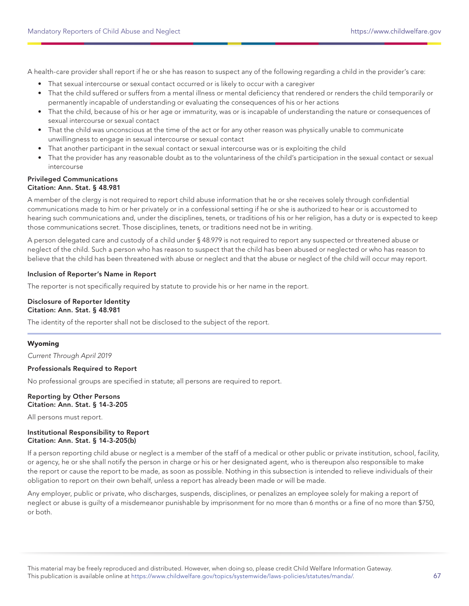A health-care provider shall report if he or she has reason to suspect any of the following regarding a child in the provider's care:

- That sexual intercourse or sexual contact occurred or is likely to occur with a caregiver
- That the child suffered or suffers from a mental illness or mental deficiency that rendered or renders the child temporarily or permanently incapable of understanding or evaluating the consequences of his or her actions
- That the child, because of his or her age or immaturity, was or is incapable of understanding the nature or consequences of sexual intercourse or sexual contact
- That the child was unconscious at the time of the act or for any other reason was physically unable to communicate unwillingness to engage in sexual intercourse or sexual contact
- That another participant in the sexual contact or sexual intercourse was or is exploiting the child
- That the provider has any reasonable doubt as to the voluntariness of the child's participation in the sexual contact or sexual intercourse

## Privileged Communications Citation: Ann. Stat. § 48.981

A member of the clergy is not required to report child abuse information that he or she receives solely through confidential communications made to him or her privately or in a confessional setting if he or she is authorized to hear or is accustomed to hearing such communications and, under the disciplines, tenets, or traditions of his or her religion, has a duty or is expected to keep those communications secret. Those disciplines, tenets, or traditions need not be in writing.

A person delegated care and custody of a child under § 48.979 is not required to report any suspected or threatened abuse or neglect of the child. Such a person who has reason to suspect that the child has been abused or neglected or who has reason to believe that the child has been threatened with abuse or neglect and that the abuse or neglect of the child will occur may report.

## Inclusion of Reporter's Name in Report

The reporter is not specifically required by statute to provide his or her name in the report.

#### Disclosure of Reporter Identity Citation: Ann. Stat. § 48.981

The identity of the reporter shall not be disclosed to the subject of the report.

## Wyoming

Current Through April 2019

#### Professionals Required to Report

No professional groups are specified in statute; all persons are required to report.

#### Reporting by Other Persons Citation: Ann. Stat. § 14-3-205

All persons must report.

#### Institutional Responsibility to Report Citation: Ann. Stat. § 14-3-205(b)

If a person reporting child abuse or neglect is a member of the staff of a medical or other public or private institution, school, facility, or agency, he or she shall notify the person in charge or his or her designated agent, who is thereupon also responsible to make the report or cause the report to be made, as soon as possible. Nothing in this subsection is intended to relieve individuals of their obligation to report on their own behalf, unless a report has already been made or will be made.

Any employer, public or private, who discharges, suspends, disciplines, or penalizes an employee solely for making a report of neglect or abuse is guilty of a misdemeanor punishable by imprisonment for no more than 6 months or a fine of no more than \$750, or both.